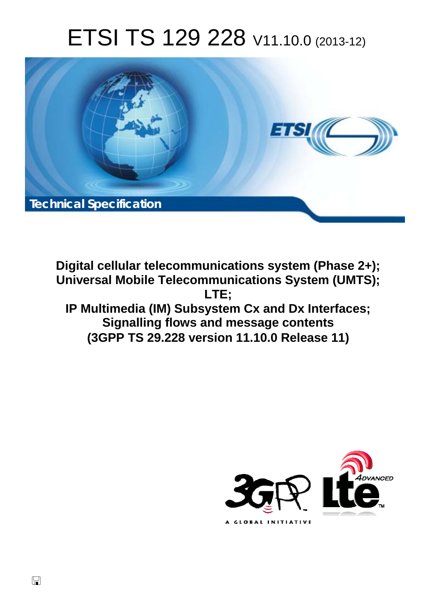# ETSI TS 129 228 V11.10.0 (2013-12)



**Digital cellular telecommunications system (Phase 2+); Universal Mobile Telecommunications System (UMTS); LTE; IP Multimedia (IM) Subsystem Cx and Dx Interfaces; Signalling flows and message contents (3GPP TS 29.228 version 11.10.0 Release 11)** 



 $\Box$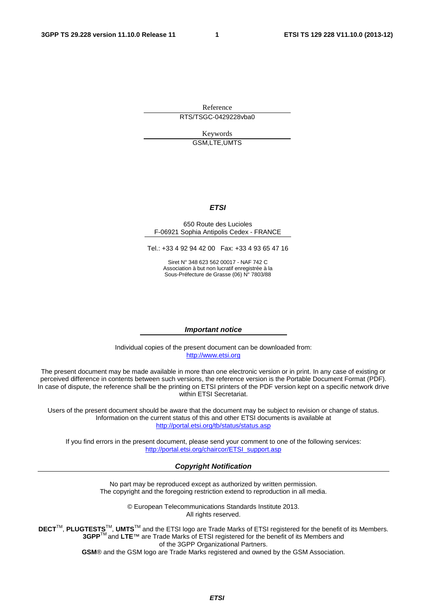Reference RTS/TSGC-0429228vba0

> Keywords GSM,LTE,UMTS

#### *ETSI*

#### 650 Route des Lucioles F-06921 Sophia Antipolis Cedex - FRANCE

Tel.: +33 4 92 94 42 00 Fax: +33 4 93 65 47 16

Siret N° 348 623 562 00017 - NAF 742 C Association à but non lucratif enregistrée à la Sous-Préfecture de Grasse (06) N° 7803/88

#### *Important notice*

Individual copies of the present document can be downloaded from: [http://www.etsi.org](http://www.etsi.org/)

The present document may be made available in more than one electronic version or in print. In any case of existing or perceived difference in contents between such versions, the reference version is the Portable Document Format (PDF). In case of dispute, the reference shall be the printing on ETSI printers of the PDF version kept on a specific network drive within ETSI Secretariat.

Users of the present document should be aware that the document may be subject to revision or change of status. Information on the current status of this and other ETSI documents is available at <http://portal.etsi.org/tb/status/status.asp>

If you find errors in the present document, please send your comment to one of the following services: [http://portal.etsi.org/chaircor/ETSI\\_support.asp](http://portal.etsi.org/chaircor/ETSI_support.asp)

#### *Copyright Notification*

No part may be reproduced except as authorized by written permission. The copyright and the foregoing restriction extend to reproduction in all media.

> © European Telecommunications Standards Institute 2013. All rights reserved.

**DECT**TM, **PLUGTESTS**TM, **UMTS**TM and the ETSI logo are Trade Marks of ETSI registered for the benefit of its Members. **3GPP**TM and **LTE**™ are Trade Marks of ETSI registered for the benefit of its Members and of the 3GPP Organizational Partners.

**GSM**® and the GSM logo are Trade Marks registered and owned by the GSM Association.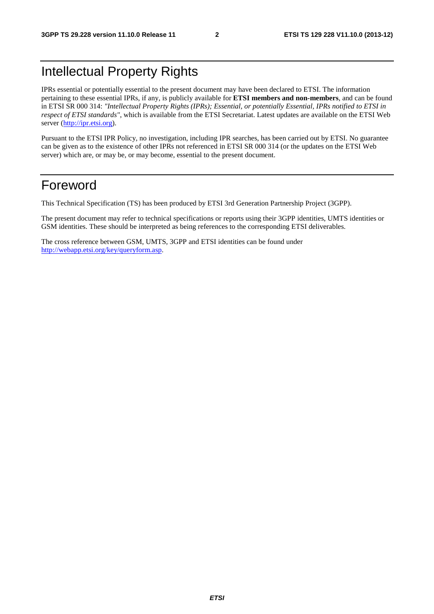# Intellectual Property Rights

IPRs essential or potentially essential to the present document may have been declared to ETSI. The information pertaining to these essential IPRs, if any, is publicly available for **ETSI members and non-members**, and can be found in ETSI SR 000 314: *"Intellectual Property Rights (IPRs); Essential, or potentially Essential, IPRs notified to ETSI in respect of ETSI standards"*, which is available from the ETSI Secretariat. Latest updates are available on the ETSI Web server [\(http://ipr.etsi.org](http://webapp.etsi.org/IPR/home.asp)).

Pursuant to the ETSI IPR Policy, no investigation, including IPR searches, has been carried out by ETSI. No guarantee can be given as to the existence of other IPRs not referenced in ETSI SR 000 314 (or the updates on the ETSI Web server) which are, or may be, or may become, essential to the present document.

# Foreword

This Technical Specification (TS) has been produced by ETSI 3rd Generation Partnership Project (3GPP).

The present document may refer to technical specifications or reports using their 3GPP identities, UMTS identities or GSM identities. These should be interpreted as being references to the corresponding ETSI deliverables.

The cross reference between GSM, UMTS, 3GPP and ETSI identities can be found under <http://webapp.etsi.org/key/queryform.asp>.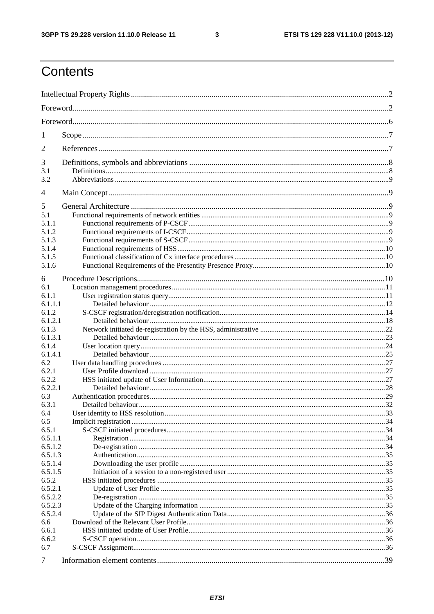$\mathbf{3}$ 

# Contents

| 1       |  |  |  |  |  |  |  |  |
|---------|--|--|--|--|--|--|--|--|
| 2       |  |  |  |  |  |  |  |  |
| 3       |  |  |  |  |  |  |  |  |
| 3.1     |  |  |  |  |  |  |  |  |
| 3.2     |  |  |  |  |  |  |  |  |
| 4       |  |  |  |  |  |  |  |  |
| 5       |  |  |  |  |  |  |  |  |
| 5.1     |  |  |  |  |  |  |  |  |
| 5.1.1   |  |  |  |  |  |  |  |  |
| 5.1.2   |  |  |  |  |  |  |  |  |
| 5.1.3   |  |  |  |  |  |  |  |  |
| 5.1.4   |  |  |  |  |  |  |  |  |
| 5.1.5   |  |  |  |  |  |  |  |  |
| 5.1.6   |  |  |  |  |  |  |  |  |
|         |  |  |  |  |  |  |  |  |
| 6       |  |  |  |  |  |  |  |  |
| 6.1     |  |  |  |  |  |  |  |  |
| 6.1.1   |  |  |  |  |  |  |  |  |
| 6.1.1.1 |  |  |  |  |  |  |  |  |
| 6.1.2   |  |  |  |  |  |  |  |  |
| 6.1.2.1 |  |  |  |  |  |  |  |  |
| 6.1.3   |  |  |  |  |  |  |  |  |
| 6.1.3.1 |  |  |  |  |  |  |  |  |
| 6.1.4   |  |  |  |  |  |  |  |  |
| 6.1.4.1 |  |  |  |  |  |  |  |  |
| 6.2     |  |  |  |  |  |  |  |  |
| 6.2.1   |  |  |  |  |  |  |  |  |
| 6.2.2   |  |  |  |  |  |  |  |  |
| 6.2.2.1 |  |  |  |  |  |  |  |  |
| 6.3     |  |  |  |  |  |  |  |  |
| 6.3.1   |  |  |  |  |  |  |  |  |
| 6.4     |  |  |  |  |  |  |  |  |
| 6.5     |  |  |  |  |  |  |  |  |
| 6.5.1   |  |  |  |  |  |  |  |  |
| 6.5.1.1 |  |  |  |  |  |  |  |  |
| 6.5.1.2 |  |  |  |  |  |  |  |  |
| 6.5.1.3 |  |  |  |  |  |  |  |  |
| 6.5.1.4 |  |  |  |  |  |  |  |  |
| 6.5.1.5 |  |  |  |  |  |  |  |  |
| 6.5.2   |  |  |  |  |  |  |  |  |
| 6.5.2.1 |  |  |  |  |  |  |  |  |
| 6.5.2.2 |  |  |  |  |  |  |  |  |
| 6.5.2.3 |  |  |  |  |  |  |  |  |
| 6.5.2.4 |  |  |  |  |  |  |  |  |
| 6.6     |  |  |  |  |  |  |  |  |
| 6.6.1   |  |  |  |  |  |  |  |  |
| 6.6.2   |  |  |  |  |  |  |  |  |
| 6.7     |  |  |  |  |  |  |  |  |
|         |  |  |  |  |  |  |  |  |
| 7       |  |  |  |  |  |  |  |  |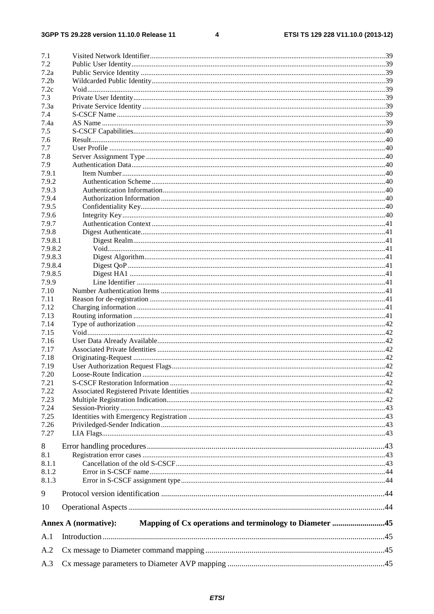$\overline{\mathbf{4}}$ 

| 7.1              |                                                                                        |  |
|------------------|----------------------------------------------------------------------------------------|--|
| 7.2              |                                                                                        |  |
| 7.2a             |                                                                                        |  |
| 7.2 <sub>b</sub> |                                                                                        |  |
| 7.2c             |                                                                                        |  |
| 7.3              |                                                                                        |  |
| 7.3a             |                                                                                        |  |
| 7.4              |                                                                                        |  |
| 7.4a             |                                                                                        |  |
| 7.5              |                                                                                        |  |
| 7.6              |                                                                                        |  |
| 7.7              |                                                                                        |  |
| 7.8              |                                                                                        |  |
| 7.9              |                                                                                        |  |
| 7.9.1            |                                                                                        |  |
| 7.9.2            |                                                                                        |  |
| 7.9.3            |                                                                                        |  |
| 7.9.4            |                                                                                        |  |
| 7.9.5            |                                                                                        |  |
| 7.9.6            |                                                                                        |  |
| 7.9.7            |                                                                                        |  |
| 7.9.8            |                                                                                        |  |
| 7.9.8.1          |                                                                                        |  |
| 7.9.8.2          |                                                                                        |  |
| 7.9.8.3          |                                                                                        |  |
|                  |                                                                                        |  |
| 7.9.8.4          |                                                                                        |  |
| 7.9.8.5          |                                                                                        |  |
| 7.9.9            |                                                                                        |  |
| 7.10             |                                                                                        |  |
| 7.11             |                                                                                        |  |
| 7.12             |                                                                                        |  |
| 7.13             |                                                                                        |  |
| 7.14             |                                                                                        |  |
| 7.15             |                                                                                        |  |
| 7.16             |                                                                                        |  |
| 7.17             |                                                                                        |  |
| 7.18             |                                                                                        |  |
| 7.19             |                                                                                        |  |
| 7.20             |                                                                                        |  |
| 7.21             |                                                                                        |  |
| 7.22             |                                                                                        |  |
| 7.23             |                                                                                        |  |
| 7.24             |                                                                                        |  |
| 7.25             |                                                                                        |  |
| 7.26             |                                                                                        |  |
| 7.27             |                                                                                        |  |
| 8                |                                                                                        |  |
| 8.1              |                                                                                        |  |
| 8.1.1            |                                                                                        |  |
|                  |                                                                                        |  |
| 8.1.2            |                                                                                        |  |
| 8.1.3            |                                                                                        |  |
| 9                |                                                                                        |  |
| 10               |                                                                                        |  |
|                  | Mapping of Cx operations and terminology to Diameter 45<br><b>Annex A (normative):</b> |  |
| A.1              |                                                                                        |  |
| A.2              |                                                                                        |  |
| A.3              |                                                                                        |  |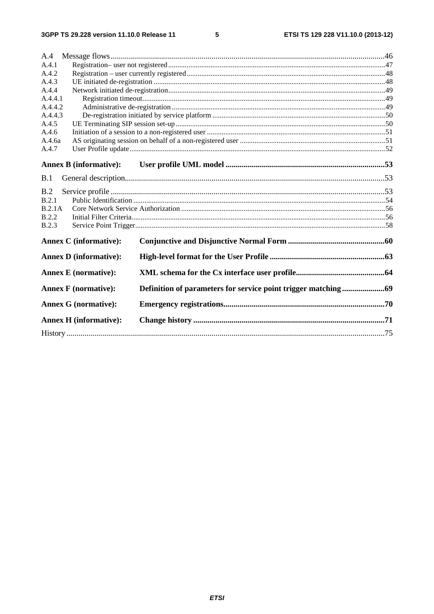$5\phantom{a}$ 

| A.4          |                               |  |  |  |  |  |  |  |
|--------------|-------------------------------|--|--|--|--|--|--|--|
| A.4.1        |                               |  |  |  |  |  |  |  |
| A.4.2        |                               |  |  |  |  |  |  |  |
| A.4.3        |                               |  |  |  |  |  |  |  |
| A.4.4        |                               |  |  |  |  |  |  |  |
| A.4.4.1      |                               |  |  |  |  |  |  |  |
| A.4.4.2      |                               |  |  |  |  |  |  |  |
| A.4.4.3      |                               |  |  |  |  |  |  |  |
| A.4.5        |                               |  |  |  |  |  |  |  |
| A.4.6        |                               |  |  |  |  |  |  |  |
| A.4.6a       |                               |  |  |  |  |  |  |  |
| A.4.7        |                               |  |  |  |  |  |  |  |
|              | <b>Annex B (informative):</b> |  |  |  |  |  |  |  |
|              |                               |  |  |  |  |  |  |  |
| B.1          |                               |  |  |  |  |  |  |  |
| B.2          |                               |  |  |  |  |  |  |  |
| B.2.1        |                               |  |  |  |  |  |  |  |
| B.2.1A       |                               |  |  |  |  |  |  |  |
| <b>B.2.2</b> |                               |  |  |  |  |  |  |  |
| <b>B.2.3</b> |                               |  |  |  |  |  |  |  |
|              | <b>Annex C</b> (informative): |  |  |  |  |  |  |  |
|              | <b>Annex D</b> (informative): |  |  |  |  |  |  |  |
|              | <b>Annex E</b> (normative):   |  |  |  |  |  |  |  |
|              | <b>Annex F</b> (normative):   |  |  |  |  |  |  |  |
|              | <b>Annex G (normative):</b>   |  |  |  |  |  |  |  |
|              | <b>Annex H</b> (informative): |  |  |  |  |  |  |  |
|              |                               |  |  |  |  |  |  |  |
|              |                               |  |  |  |  |  |  |  |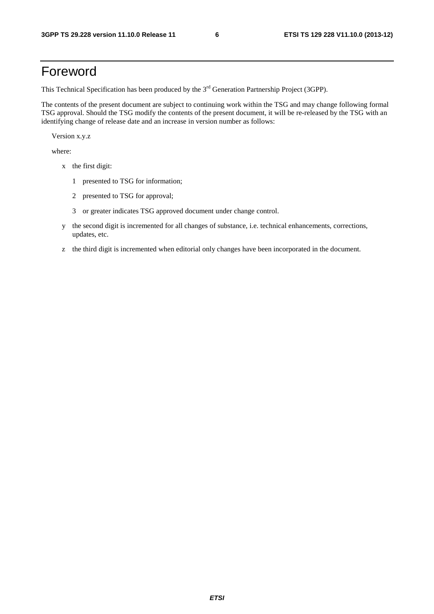# Foreword

This Technical Specification has been produced by the 3<sup>rd</sup> Generation Partnership Project (3GPP).

The contents of the present document are subject to continuing work within the TSG and may change following formal TSG approval. Should the TSG modify the contents of the present document, it will be re-released by the TSG with an identifying change of release date and an increase in version number as follows:

Version x.y.z

where:

- x the first digit:
	- 1 presented to TSG for information;
	- 2 presented to TSG for approval;
	- 3 or greater indicates TSG approved document under change control.
- y the second digit is incremented for all changes of substance, i.e. technical enhancements, corrections, updates, etc.
- z the third digit is incremented when editorial only changes have been incorporated in the document.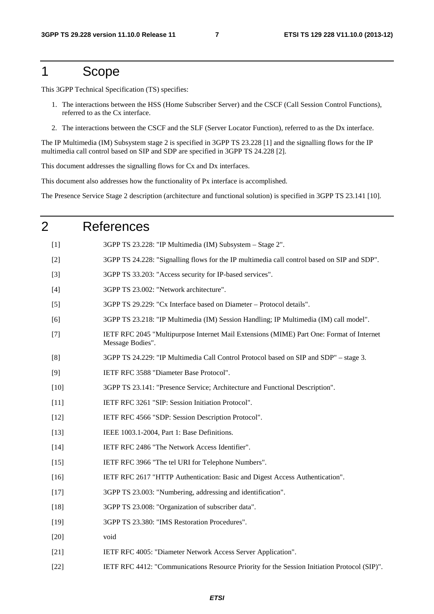# 1 Scope

This 3GPP Technical Specification (TS) specifies:

- 1. The interactions between the HSS (Home Subscriber Server) and the CSCF (Call Session Control Functions), referred to as the Cx interface.
- 2. The interactions between the CSCF and the SLF (Server Locator Function), referred to as the Dx interface.

The IP Multimedia (IM) Subsystem stage 2 is specified in 3GPP TS 23.228 [1] and the signalling flows for the IP multimedia call control based on SIP and SDP are specified in 3GPP TS 24.228 [2].

This document addresses the signalling flows for Cx and Dx interfaces.

This document also addresses how the functionality of Px interface is accomplished.

The Presence Service Stage 2 description (architecture and functional solution) is specified in 3GPP TS 23.141 [10].

# 2 References [1] 3GPP TS 23.228: "IP Multimedia (IM) Subsystem – Stage 2". [2] 3GPP TS 24.228: "Signalling flows for the IP multimedia call control based on SIP and SDP". [3] 3GPP TS 33.203: "Access security for IP-based services". [4] 3GPP TS 23.002: "Network architecture". [5] 3GPP TS 29.229: "Cx Interface based on Diameter – Protocol details". [6] 3GPP TS 23.218: "IP Multimedia (IM) Session Handling; IP Multimedia (IM) call model". [7] IETF RFC 2045 "Multipurpose Internet Mail Extensions (MIME) Part One: Format of Internet Message Bodies". [8] 3GPP TS 24.229: "IP Multimedia Call Control Protocol based on SIP and SDP" – stage 3. [9] IETF RFC 3588 "Diameter Base Protocol". [10] 3GPP TS 23.141: "Presence Service; Architecture and Functional Description". [11] IETF RFC 3261 "SIP: Session Initiation Protocol". [12] IETF RFC 4566 "SDP: Session Description Protocol". [13] **IEEE 1003.1-2004, Part 1: Base Definitions.** [14] IETF RFC 2486 "The Network Access Identifier". [15] IETF RFC 3966 "The tel URI for Telephone Numbers". [16] IETF RFC 2617 "HTTP Authentication: Basic and Digest Access Authentication". [17] 3GPP TS 23.003: "Numbering, addressing and identification". [18] 3GPP TS 23.008: "Organization of subscriber data". [19] 3GPP TS 23.380: "IMS Restoration Procedures". [20] void [21] IETF RFC 4005: "Diameter Network Access Server Application". [22] IETF RFC 4412: "Communications Resource Priority for the Session Initiation Protocol (SIP)".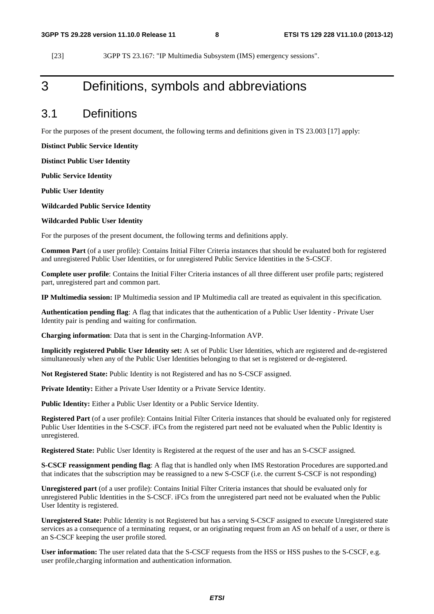[23] 3GPP TS 23.167: "IP Multimedia Subsystem (IMS) emergency sessions".

# 3 Definitions, symbols and abbreviations

### 3.1 Definitions

For the purposes of the present document, the following terms and definitions given in TS 23.003 [17] apply:

**Distinct Public Service Identity** 

**Distinct Public User Identity** 

**Public Service Identity** 

**Public User Identity** 

**Wildcarded Public Service Identity** 

**Wildcarded Public User Identity** 

For the purposes of the present document, the following terms and definitions apply.

**Common Part** (of a user profile): Contains Initial Filter Criteria instances that should be evaluated both for registered and unregistered Public User Identities, or for unregistered Public Service Identities in the S-CSCF.

**Complete user profile**: Contains the Initial Filter Criteria instances of all three different user profile parts; registered part, unregistered part and common part.

**IP Multimedia session:** IP Multimedia session and IP Multimedia call are treated as equivalent in this specification.

**Authentication pending flag**: A flag that indicates that the authentication of a Public User Identity - Private User Identity pair is pending and waiting for confirmation.

**Charging information**: Data that is sent in the Charging-Information AVP.

**Implicitly registered Public User Identity set:** A set of Public User Identities, which are registered and de-registered simultaneously when any of the Public User Identities belonging to that set is registered or de-registered.

**Not Registered State:** Public Identity is not Registered and has no S-CSCF assigned.

**Private Identity:** Either a Private User Identity or a Private Service Identity.

**Public Identity:** Either a Public User Identity or a Public Service Identity.

**Registered Part** (of a user profile): Contains Initial Filter Criteria instances that should be evaluated only for registered Public User Identities in the S-CSCF. iFCs from the registered part need not be evaluated when the Public Identity is unregistered.

**Registered State:** Public User Identity is Registered at the request of the user and has an S-CSCF assigned.

**S-CSCF reassignment pending flag**: A flag that is handled only when IMS Restoration Procedures are supported.and that indicates that the subscription may be reassigned to a new S-CSCF (i.e. the current S-CSCF is not responding)

**Unregistered part** (of a user profile): Contains Initial Filter Criteria instances that should be evaluated only for unregistered Public Identities in the S-CSCF. iFCs from the unregistered part need not be evaluated when the Public User Identity is registered.

**Unregistered State:** Public Identity is not Registered but has a serving S-CSCF assigned to execute Unregistered state services as a consequence of a terminating request, or an originating request from an AS on behalf of a user, or there is an S-CSCF keeping the user profile stored.

**User information:** The user related data that the S-CSCF requests from the HSS or HSS pushes to the S-CSCF, e.g. user profile,charging information and authentication information.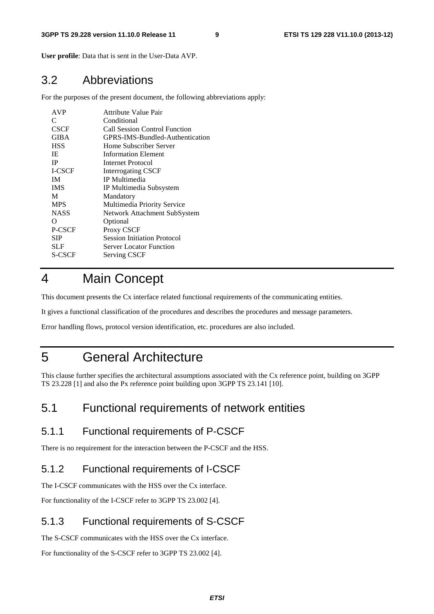**User profile**: Data that is sent in the User-Data AVP.

## 3.2 Abbreviations

For the purposes of the present document, the following abbreviations apply:

| <b>AVP</b>    | <b>Attribute Value Pair</b>        |
|---------------|------------------------------------|
| C             | Conditional                        |
| <b>CSCF</b>   | Call Session Control Function      |
| GIBA          | GPRS-IMS-Bundled-Authentication    |
| <b>HSS</b>    | Home Subscriber Server             |
| IE            | Information Element                |
| <b>IP</b>     | Internet Protocol                  |
| <b>I-CSCF</b> | <b>Interrogating CSCF</b>          |
| <b>IM</b>     | <b>IP</b> Multimedia               |
| <b>IMS</b>    | IP Multimedia Subsystem            |
| M             | Mandatory                          |
| <b>MPS</b>    | Multimedia Priority Service        |
| <b>NASS</b>   | Network Attachment SubSystem       |
| Ω             | Optional                           |
| P-CSCF        | Proxy CSCF                         |
| <b>SIP</b>    | <b>Session Initiation Protocol</b> |
| <b>SLF</b>    | <b>Server Locator Function</b>     |
| S-CSCF        | <b>Serving CSCF</b>                |
|               |                                    |

# 4 Main Concept

This document presents the Cx interface related functional requirements of the communicating entities.

It gives a functional classification of the procedures and describes the procedures and message parameters.

Error handling flows, protocol version identification, etc. procedures are also included.

# 5 General Architecture

This clause further specifies the architectural assumptions associated with the Cx reference point, building on 3GPP TS 23.228 [1] and also the Px reference point building upon 3GPP TS 23.141 [10].

# 5.1 Functional requirements of network entities

### 5.1.1 Functional requirements of P-CSCF

There is no requirement for the interaction between the P-CSCF and the HSS.

### 5.1.2 Functional requirements of I-CSCF

The I-CSCF communicates with the HSS over the Cx interface.

For functionality of the I-CSCF refer to 3GPP TS 23.002 [4].

### 5.1.3 Functional requirements of S-CSCF

The S-CSCF communicates with the HSS over the Cx interface.

For functionality of the S-CSCF refer to 3GPP TS 23.002 [4].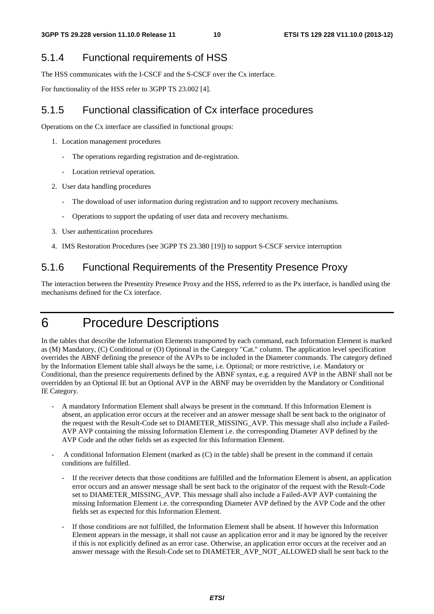# 5.1.4 Functional requirements of HSS

The HSS communicates with the I-CSCF and the S-CSCF over the Cx interface.

For functionality of the HSS refer to 3GPP TS 23.002 [4].

# 5.1.5 Functional classification of Cx interface procedures

Operations on the Cx interface are classified in functional groups:

- 1. Location management procedures
	- The operations regarding registration and de-registration.
	- Location retrieval operation.
- 2. User data handling procedures
	- The download of user information during registration and to support recovery mechanisms.
	- Operations to support the updating of user data and recovery mechanisms.
- 3. User authentication procedures
- 4. IMS Restoration Procedures (see 3GPP TS 23.380 [19]) to support S-CSCF service interruption

# 5.1.6 Functional Requirements of the Presentity Presence Proxy

The interaction between the Presentity Presence Proxy and the HSS, referred to as the Px interface, is handled using the mechanisms defined for the Cx interface.

# 6 Procedure Descriptions

In the tables that describe the Information Elements transported by each command, each Information Element is marked as (M) Mandatory, (C) Conditional or (O) Optional in the Category "Cat." column. The application level specification overrides the ABNF defining the presence of the AVPs to be included in the Diameter commands. The category defined by the Information Element table shall always be the same, i.e. Optional; or more restrictive, i.e. Mandatory or Conditional, than the presence requirements defined by the ABNF syntax, e.g. a required AVP in the ABNF shall not be overridden by an Optional IE but an Optional AVP in the ABNF may be overridden by the Mandatory or Conditional IE Category.

- A mandatory Information Element shall always be present in the command. If this Information Element is absent, an application error occurs at the receiver and an answer message shall be sent back to the originator of the request with the Result-Code set to DIAMETER\_MISSING\_AVP. This message shall also include a Failed-AVP AVP containing the missing Information Element i.e. the corresponding Diameter AVP defined by the AVP Code and the other fields set as expected for this Information Element.
- A conditional Information Element (marked as (C) in the table) shall be present in the command if certain conditions are fulfilled.
	- If the receiver detects that those conditions are fulfilled and the Information Element is absent, an application error occurs and an answer message shall be sent back to the originator of the request with the Result-Code set to DIAMETER\_MISSING\_AVP. This message shall also include a Failed-AVP AVP containing the missing Information Element i.e. the corresponding Diameter AVP defined by the AVP Code and the other fields set as expected for this Information Element.
	- If those conditions are not fulfilled, the Information Element shall be absent. If however this Information Element appears in the message, it shall not cause an application error and it may be ignored by the receiver if this is not explicitly defined as an error case. Otherwise, an application error occurs at the receiver and an answer message with the Result-Code set to DIAMETER\_AVP\_NOT\_ALLOWED shall be sent back to the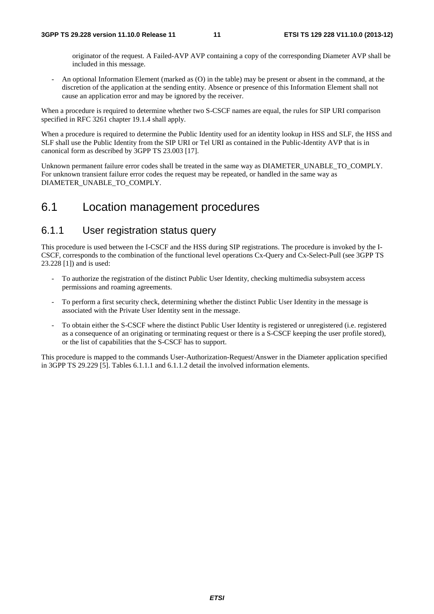originator of the request. A Failed-AVP AVP containing a copy of the corresponding Diameter AVP shall be included in this message.

- An optional Information Element (marked as (O) in the table) may be present or absent in the command, at the discretion of the application at the sending entity. Absence or presence of this Information Element shall not cause an application error and may be ignored by the receiver.

When a procedure is required to determine whether two S-CSCF names are equal, the rules for SIP URI comparison specified in RFC 3261 chapter 19.1.4 shall apply.

When a procedure is required to determine the Public Identity used for an identity lookup in HSS and SLF, the HSS and SLF shall use the Public Identity from the SIP URI or Tel URI as contained in the Public-Identity AVP that is in canonical form as described by 3GPP TS 23.003 [17].

Unknown permanent failure error codes shall be treated in the same way as DIAMETER\_UNABLE\_TO\_COMPLY. For unknown transient failure error codes the request may be repeated, or handled in the same way as DIAMETER\_UNABLE\_TO\_COMPLY.

# 6.1 Location management procedures

### 6.1.1 User registration status query

This procedure is used between the I-CSCF and the HSS during SIP registrations. The procedure is invoked by the I-CSCF, corresponds to the combination of the functional level operations Cx-Query and Cx-Select-Pull (see 3GPP TS 23.228 [1]) and is used:

- To authorize the registration of the distinct Public User Identity, checking multimedia subsystem access permissions and roaming agreements.
- To perform a first security check, determining whether the distinct Public User Identity in the message is associated with the Private User Identity sent in the message.
- To obtain either the S-CSCF where the distinct Public User Identity is registered or unregistered (i.e. registered as a consequence of an originating or terminating request or there is a S-CSCF keeping the user profile stored), or the list of capabilities that the S-CSCF has to support.

This procedure is mapped to the commands User-Authorization-Request/Answer in the Diameter application specified in 3GPP TS 29.229 [5]. Tables 6.1.1.1 and 6.1.1.2 detail the involved information elements.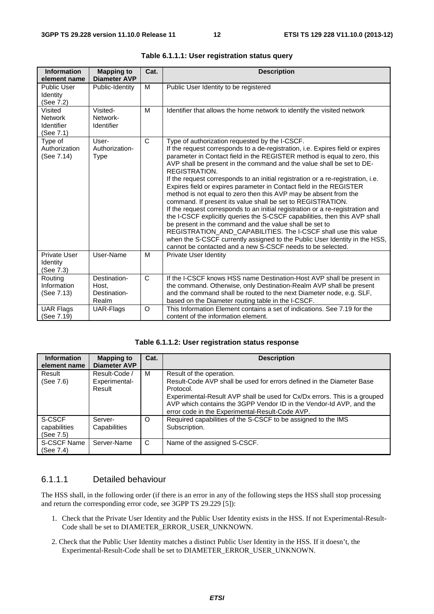| <b>Information</b><br>element name                   | <b>Mapping to</b><br><b>Diameter AVP</b>       | Cat.         | <b>Description</b>                                                                                                                                                                                                                                                                                                                                                                                                                                                                                                                                                                                                                                                                                                                                                                                                                                                                                                                                                                                                                            |
|------------------------------------------------------|------------------------------------------------|--------------|-----------------------------------------------------------------------------------------------------------------------------------------------------------------------------------------------------------------------------------------------------------------------------------------------------------------------------------------------------------------------------------------------------------------------------------------------------------------------------------------------------------------------------------------------------------------------------------------------------------------------------------------------------------------------------------------------------------------------------------------------------------------------------------------------------------------------------------------------------------------------------------------------------------------------------------------------------------------------------------------------------------------------------------------------|
| <b>Public User</b><br>Identity<br>(See 7.2)          | Public-Identity                                | м            | Public User Identity to be registered                                                                                                                                                                                                                                                                                                                                                                                                                                                                                                                                                                                                                                                                                                                                                                                                                                                                                                                                                                                                         |
| Visited<br><b>Network</b><br>Identifier<br>(See 7.1) | Visited-<br>Network-<br>Identifier             | M            | Identifier that allows the home network to identify the visited network                                                                                                                                                                                                                                                                                                                                                                                                                                                                                                                                                                                                                                                                                                                                                                                                                                                                                                                                                                       |
| Type of<br>Authorization<br>(See 7.14)               | User-<br>Authorization-<br><b>Type</b>         | $\mathsf{C}$ | Type of authorization requested by the I-CSCF.<br>If the request corresponds to a de-registration, i.e. Expires field or expires<br>parameter in Contact field in the REGISTER method is equal to zero, this<br>AVP shall be present in the command and the value shall be set to DE-<br>REGISTRATION.<br>If the request corresponds to an initial registration or a re-registration, i.e.<br>Expires field or expires parameter in Contact field in the REGISTER<br>method is not equal to zero then this AVP may be absent from the<br>command. If present its value shall be set to REGISTRATION.<br>If the request corresponds to an initial registration or a re-registration and<br>the I-CSCF explicitly queries the S-CSCF capabilities, then this AVP shall<br>be present in the command and the value shall be set to<br>REGISTRATION_AND_CAPABILITIES. The I-CSCF shall use this value<br>when the S-CSCF currently assigned to the Public User Identity in the HSS,<br>cannot be contacted and a new S-CSCF needs to be selected. |
| <b>Private User</b><br>Identity<br>(See 7.3)         | User-Name                                      | M            | Private User Identity                                                                                                                                                                                                                                                                                                                                                                                                                                                                                                                                                                                                                                                                                                                                                                                                                                                                                                                                                                                                                         |
| Routing<br>Information<br>(See 7.13)                 | Destination-<br>Host.<br>Destination-<br>Realm | $\mathsf{C}$ | If the I-CSCF knows HSS name Destination-Host AVP shall be present in<br>the command. Otherwise, only Destination-Realm AVP shall be present<br>and the command shall be routed to the next Diameter node, e.g. SLF,<br>based on the Diameter routing table in the I-CSCF.                                                                                                                                                                                                                                                                                                                                                                                                                                                                                                                                                                                                                                                                                                                                                                    |
| <b>UAR Flags</b><br>(See 7.19)                       | UAR-Flags                                      | O            | This Information Element contains a set of indications. See 7.19 for the<br>content of the information element.                                                                                                                                                                                                                                                                                                                                                                                                                                                                                                                                                                                                                                                                                                                                                                                                                                                                                                                               |

**Table 6.1.1.1: User registration status query** 

| Table 6.1.1.2: User registration status response |  |  |  |
|--------------------------------------------------|--|--|--|
|--------------------------------------------------|--|--|--|

| <b>Information</b><br>element name  | <b>Mapping to</b><br><b>Diameter AVP</b> | Cat.    | <b>Description</b>                                                                                                                                                                                                                                                                                                    |
|-------------------------------------|------------------------------------------|---------|-----------------------------------------------------------------------------------------------------------------------------------------------------------------------------------------------------------------------------------------------------------------------------------------------------------------------|
| Result<br>(See 7.6)                 | Result-Code /<br>Experimental-<br>Result | м       | Result of the operation.<br>Result-Code AVP shall be used for errors defined in the Diameter Base<br>Protocol.<br>Experimental-Result AVP shall be used for Cx/Dx errors. This is a grouped<br>AVP which contains the 3GPP Vendor ID in the Vendor-Id AVP, and the<br>error code in the Experimental-Result-Code AVP. |
| S-CSCF<br>capabilities<br>(See 7.5) | Server-<br>Capabilities                  | $\circ$ | Required capabilities of the S-CSCF to be assigned to the IMS<br>Subscription.                                                                                                                                                                                                                                        |
| S-CSCF Name<br>(See 7.4)            | Server-Name                              | C       | Name of the assigned S-CSCF.                                                                                                                                                                                                                                                                                          |

#### 6.1.1.1 Detailed behaviour

The HSS shall, in the following order (if there is an error in any of the following steps the HSS shall stop processing and return the corresponding error code, see 3GPP TS 29.229 [5]):

- 1. Check that the Private User Identity and the Public User Identity exists in the HSS. If not Experimental-Result-Code shall be set to DIAMETER\_ERROR\_USER\_UNKNOWN.
- 2. Check that the Public User Identity matches a distinct Public User Identity in the HSS. If it doesn't, the Experimental-Result-Code shall be set to DIAMETER\_ERROR\_USER\_UNKNOWN.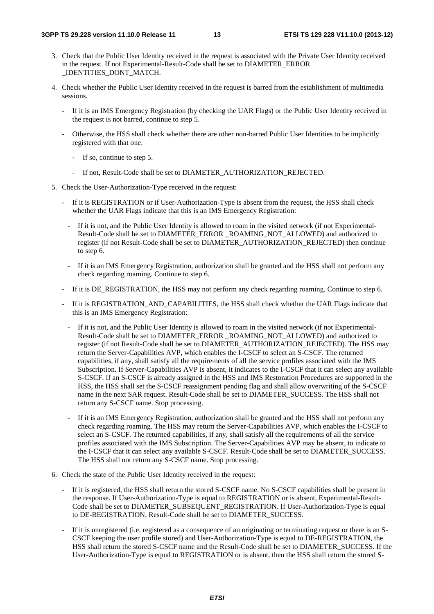- 3. Check that the Public User Identity received in the request is associated with the Private User Identity received in the request. If not Experimental-Result-Code shall be set to DIAMETER\_ERROR \_IDENTITIES\_DONT\_MATCH.
- 4. Check whether the Public User Identity received in the request is barred from the establishment of multimedia sessions.
	- If it is an IMS Emergency Registration (by checking the UAR Flags) or the Public User Identity received in the request is not barred, continue to step 5.
	- Otherwise, the HSS shall check whether there are other non-barred Public User Identities to be implicitly registered with that one.
		- If so, continue to step 5.
		- If not, Result-Code shall be set to DIAMETER\_AUTHORIZATION\_REJECTED.
- 5. Check the User-Authorization-Type received in the request:
	- If it is REGISTRATION or if User-Authorization-Type is absent from the request, the HSS shall check whether the UAR Flags indicate that this is an IMS Emergency Registration:
		- If it is not, and the Public User Identity is allowed to roam in the visited network (if not Experimental-Result-Code shall be set to DIAMETER\_ERROR \_ROAMING\_NOT\_ALLOWED) and authorized to register (if not Result-Code shall be set to DIAMETER\_AUTHORIZATION\_REJECTED) then continue to step 6.
		- If it is an IMS Emergency Registration, authorization shall be granted and the HSS shall not perform any check regarding roaming. Continue to step 6.
	- If it is DE\_REGISTRATION, the HSS may not perform any check regarding roaming. Continue to step 6.
	- If it is REGISTRATION\_AND\_CAPABILITIES, the HSS shall check whether the UAR Flags indicate that this is an IMS Emergency Registration:
		- If it is not, and the Public User Identity is allowed to roam in the visited network (if not Experimental-Result-Code shall be set to DIAMETER\_ERROR \_ROAMING\_NOT\_ALLOWED) and authorized to register (if not Result-Code shall be set to DIAMETER\_AUTHORIZATION\_REJECTED). The HSS may return the Server-Capabilities AVP, which enables the I-CSCF to select an S-CSCF. The returned capabilities, if any, shall satisfy all the requirements of all the service profiles associated with the IMS Subscription. If Server-Capabilities AVP is absent, it indicates to the I-CSCF that it can select any available S-CSCF. If an S-CSCF is already assigned in the HSS and IMS Restoration Procedures are supported in the HSS, the HSS shall set the S-CSCF reassignment pending flag and shall allow overwriting of the S-CSCF name in the next SAR request. Result-Code shall be set to DIAMETER\_SUCCESS. The HSS shall not return any S-CSCF name. Stop processing.
		- If it is an IMS Emergency Registration, authorization shall be granted and the HSS shall not perform any check regarding roaming. The HSS may return the Server-Capabilities AVP, which enables the I-CSCF to select an S-CSCF. The returned capabilities, if any, shall satisfy all the requirements of all the service profiles associated with the IMS Subscription. The Server-Capabilities AVP may be absent, to indicate to the I-CSCF that it can select any available S-CSCF. Result-Code shall be set to DIAMETER\_SUCCESS. The HSS shall not return any S-CSCF name. Stop processing.
- 6. Check the state of the Public User Identity received in the request:
	- If it is registered, the HSS shall return the stored S-CSCF name. No S-CSCF capabilities shall be present in the response. If User-Authorization-Type is equal to REGISTRATION or is absent, Experimental-Result-Code shall be set to DIAMETER\_SUBSEQUENT\_REGISTRATION. If User-Authorization-Type is equal to DE-REGISTRATION, Result-Code shall be set to DIAMETER\_SUCCESS.
	- If it is unregistered (i.e. registered as a consequence of an originating or terminating request or there is an S-CSCF keeping the user profile stored) and User-Authorization-Type is equal to DE-REGISTRATION, the HSS shall return the stored S-CSCF name and the Result-Code shall be set to DIAMETER\_SUCCESS. If the User-Authorization-Type is equal to REGISTRATION or is absent, then the HSS shall return the stored S-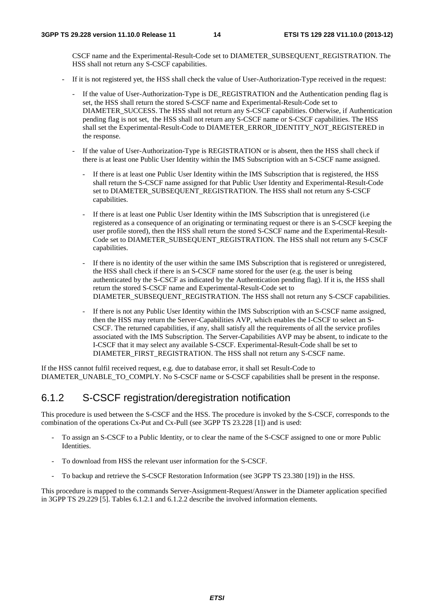CSCF name and the Experimental-Result-Code set to DIAMETER\_SUBSEQUENT\_REGISTRATION. The HSS shall not return any S-CSCF capabilities.

- If it is not registered yet, the HSS shall check the value of User-Authorization-Type received in the request:
	- If the value of User-Authorization-Type is DE\_REGISTRATION and the Authentication pending flag is set, the HSS shall return the stored S-CSCF name and Experimental-Result-Code set to DIAMETER\_SUCCESS. The HSS shall not return any S-CSCF capabilities. Otherwise, if Authentication pending flag is not set, the HSS shall not return any S-CSCF name or S-CSCF capabilities. The HSS shall set the Experimental-Result-Code to DIAMETER\_ERROR\_IDENTITY\_NOT\_REGISTERED in the response.
	- If the value of User-Authorization-Type is REGISTRATION or is absent, then the HSS shall check if there is at least one Public User Identity within the IMS Subscription with an S-CSCF name assigned.
		- If there is at least one Public User Identity within the IMS Subscription that is registered, the HSS shall return the S-CSCF name assigned for that Public User Identity and Experimental-Result-Code set to DIAMETER\_SUBSEQUENT\_REGISTRATION. The HSS shall not return any S-CSCF capabilities.
		- If there is at least one Public User Identity within the IMS Subscription that is unregistered (i.e. registered as a consequence of an originating or terminating request or there is an S-CSCF keeping the user profile stored), then the HSS shall return the stored S-CSCF name and the Experimental-Result-Code set to DIAMETER\_SUBSEQUENT\_REGISTRATION. The HSS shall not return any S-CSCF capabilities.
		- If there is no identity of the user within the same IMS Subscription that is registered or unregistered, the HSS shall check if there is an S-CSCF name stored for the user (e.g. the user is being authenticated by the S-CSCF as indicated by the Authentication pending flag). If it is, the HSS shall return the stored S-CSCF name and Experimental-Result-Code set to DIAMETER\_SUBSEQUENT\_REGISTRATION. The HSS shall not return any S-CSCF capabilities.
		- If there is not any Public User Identity within the IMS Subscription with an S-CSCF name assigned, then the HSS may return the Server-Capabilities AVP, which enables the I-CSCF to select an S-CSCF. The returned capabilities, if any, shall satisfy all the requirements of all the service profiles associated with the IMS Subscription. The Server-Capabilities AVP may be absent, to indicate to the I-CSCF that it may select any available S-CSCF. Experimental-Result-Code shall be set to DIAMETER\_FIRST\_REGISTRATION. The HSS shall not return any S-CSCF name.

If the HSS cannot fulfil received request, e.g. due to database error, it shall set Result-Code to DIAMETER\_UNABLE\_TO\_COMPLY. No S-CSCF name or S-CSCF capabilities shall be present in the response.

### 6.1.2 S-CSCF registration/deregistration notification

This procedure is used between the S-CSCF and the HSS. The procedure is invoked by the S-CSCF, corresponds to the combination of the operations Cx-Put and Cx-Pull (see 3GPP TS 23.228 [1]) and is used:

- To assign an S-CSCF to a Public Identity, or to clear the name of the S-CSCF assigned to one or more Public Identities.
- To download from HSS the relevant user information for the S-CSCF.
- To backup and retrieve the S-CSCF Restoration Information (see 3GPP TS 23.380 [19]) in the HSS.

This procedure is mapped to the commands Server-Assignment-Request/Answer in the Diameter application specified in 3GPP TS 29.229 [5]. Tables 6.1.2.1 and 6.1.2.2 describe the involved information elements.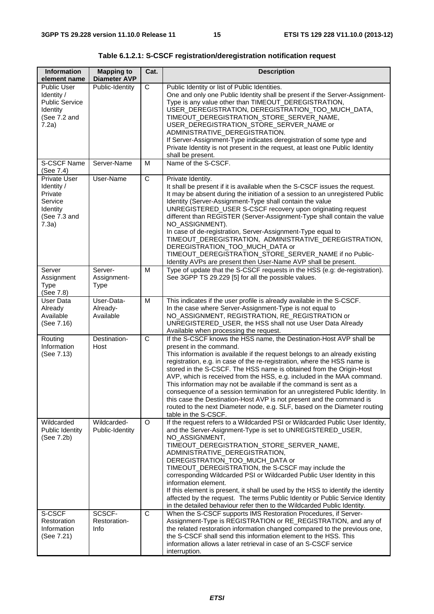| <b>Information</b><br>element name                                                                  | <b>Mapping to</b><br><b>Diameter AVP</b> | Cat.           | <b>Description</b>                                                                                                                                                                                                                                                                                                                                                                                                                                                                                                                                                                                                                                                                                                                           |
|-----------------------------------------------------------------------------------------------------|------------------------------------------|----------------|----------------------------------------------------------------------------------------------------------------------------------------------------------------------------------------------------------------------------------------------------------------------------------------------------------------------------------------------------------------------------------------------------------------------------------------------------------------------------------------------------------------------------------------------------------------------------------------------------------------------------------------------------------------------------------------------------------------------------------------------|
| <b>Public User</b><br>Identity /<br><b>Public Service</b><br>Identity<br>(See 7.2 and<br>7.2a)      | Public-Identity                          | C              | Public Identity or list of Public Identities.<br>One and only one Public Identity shall be present if the Server-Assignment-<br>Type is any value other than TIMEOUT_DEREGISTRATION,<br>USER_DEREGISTRATION, DEREGISTRATION_TOO_MUCH_DATA,<br>TIMEOUT_DEREGISTRATION_STORE_SERVER_NAME,<br>USER_DEREGISTRATION_STORE_SERVER_NAME or<br>ADMINISTRATIVE_DEREGISTRATION.<br>If Server-Assignment-Type indicates deregistration of some type and<br>Private Identity is not present in the request, at least one Public Identity<br>shall be present.                                                                                                                                                                                            |
| <b>S-CSCF Name</b><br>(See 7.4)                                                                     | Server-Name                              | M              | Name of the S-CSCF.                                                                                                                                                                                                                                                                                                                                                                                                                                                                                                                                                                                                                                                                                                                          |
| <b>Private User</b><br>Identity /<br>Private<br>Service<br><b>Identity</b><br>(See 7.3 and<br>7.3a) | User-Name                                | $\mathsf C$    | Private Identity.<br>It shall be present if it is available when the S-CSCF issues the request.<br>It may be absent during the initiation of a session to an unregistered Public<br>Identity (Server-Assignment-Type shall contain the value<br>UNREGISTERED_USER S-CSCF recovery upon originating request<br>different than REGISTER (Server-Assignment-Type shall contain the value<br>NO_ASSIGNMENT).<br>In case of de-registration, Server-Assignment-Type equal to<br>TIMEOUT_DEREGISTRATION, ADMINISTRATIVE_DEREGISTRATION,<br>DEREGISTRATION_TOO_MUCH_DATA or<br>TIMEOUT_DEREGISTRATION_STORE_SERVER_NAME if no Public-<br>Identity AVPs are present then User-Name AVP shall be present.                                             |
| Server<br>Assignment<br><b>Type</b><br>(See 7.8)                                                    | Server-<br>Assignment-<br><b>Type</b>    | M              | Type of update that the S-CSCF requests in the HSS (e.g: de-registration).<br>See 3GPP TS 29.229 [5] for all the possible values.                                                                                                                                                                                                                                                                                                                                                                                                                                                                                                                                                                                                            |
| <b>User Data</b><br>Already<br>Available<br>(See 7.16)                                              | User-Data-<br>Already-<br>Available      | M              | This indicates if the user profile is already available in the S-CSCF.<br>In the case where Server-Assignment-Type is not equal to<br>NO_ASSIGNMENT, REGISTRATION, RE_REGISTRATION or<br>UNREGISTERED_USER, the HSS shall not use User Data Already<br>Available when processing the request.                                                                                                                                                                                                                                                                                                                                                                                                                                                |
| Routing<br>Information<br>(See 7.13)                                                                | Destination-<br>Host                     | $\overline{C}$ | If the S-CSCF knows the HSS name, the Destination-Host AVP shall be<br>present in the command.<br>This information is available if the request belongs to an already existing<br>registration, e.g. in case of the re-registration, where the HSS name is<br>stored in the S-CSCF. The HSS name is obtained from the Origin-Host<br>AVP, which is received from the HSS, e.g. included in the MAA command.<br>This information may not be available if the command is sent as a<br>consequence of a session termination for an unregistered Public Identity. In<br>this case the Destination-Host AVP is not present and the command is<br>routed to the next Diameter node, e.g. SLF, based on the Diameter routing<br>table in the S-CSCF. |
| Wildcarded<br>Public Identity<br>(See 7.2b)                                                         | Wildcarded-<br>Public-Identity           | O              | If the request refers to a Wildcarded PSI or Wildcarded Public User Identity,<br>and the Server-Asignment-Type is set to UNREGISTERED_USER,<br>NO_ASSIGNMENT,<br>TIMEOUT_DEREGISTRATION_STORE_SERVER_NAME,<br>ADMINISTRATIVE_DEREGISTRATION,<br>DEREGISTRATION_TOO_MUCH_DATA or<br>TIMEOUT_DEREGISTRATION, the S-CSCF may include the<br>corresponding Wildcarded PSI or Wildcarded Public User Identity in this<br>information element.<br>If this element is present, it shall be used by the HSS to identify the identity<br>affected by the request. The terms Public Identity or Public Service Identity<br>in the detailed behaviour refer then to the Wildcarded Public Identity.                                                     |
| S-CSCF<br>Restoration<br>Information<br>(See 7.21)                                                  | SCSCF-<br>Restoration-<br>Info           | C              | When the S-CSCF supports IMS Restoration Procedures, if Server-<br>Assignment-Type is REGISTRATION or RE_REGISTRATION, and any of<br>the related restoration information changed compared to the previous one,<br>the S-CSCF shall send this information element to the HSS. This<br>information allows a later retrieval in case of an S-CSCF service<br>interruption.                                                                                                                                                                                                                                                                                                                                                                      |

**Table 6.1.2.1: S-CSCF registration/deregistration notification request**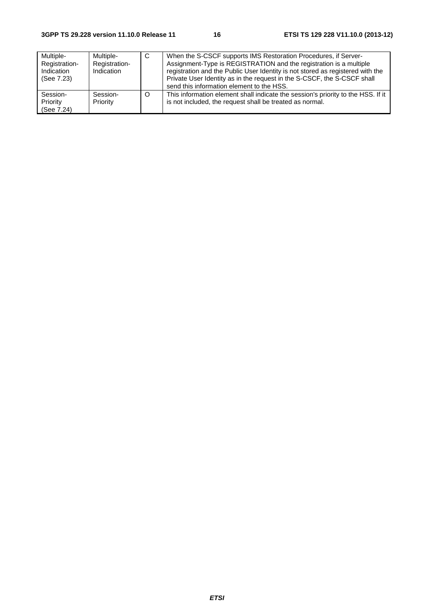| Multiple-<br>Registration-<br>Indication<br>(See 7.23) | Multiple-<br>Registration-<br>Indication | C | When the S-CSCF supports IMS Restoration Procedures, if Server-<br>Assignment-Type is REGISTRATION and the registration is a multiple<br>registration and the Public User Identity is not stored as registered with the<br>Private User Identity as in the request in the S-CSCF, the S-CSCF shall<br>send this information element to the HSS. |
|--------------------------------------------------------|------------------------------------------|---|-------------------------------------------------------------------------------------------------------------------------------------------------------------------------------------------------------------------------------------------------------------------------------------------------------------------------------------------------|
| Session-<br>Priority<br>(See 7.24)                     | Session-<br>Priority                     | O | This information element shall indicate the session's priority to the HSS. If it<br>is not included, the request shall be treated as normal.                                                                                                                                                                                                    |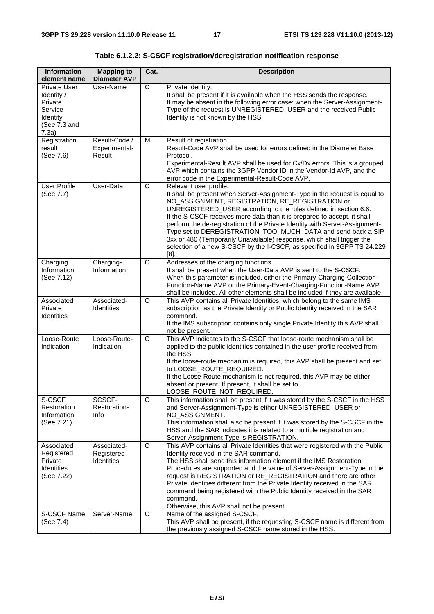| <b>Information</b><br>element name                                                    | <b>Mapping to</b><br><b>Diameter AVP</b>        | Cat.                  | <b>Description</b>                                                                                                                                                                                                                                                                                                                                                                                                                                                                                                                                                                                                     |
|---------------------------------------------------------------------------------------|-------------------------------------------------|-----------------------|------------------------------------------------------------------------------------------------------------------------------------------------------------------------------------------------------------------------------------------------------------------------------------------------------------------------------------------------------------------------------------------------------------------------------------------------------------------------------------------------------------------------------------------------------------------------------------------------------------------------|
| Private User<br>Identity /<br>Private<br>Service<br>Identity<br>(See 7.3 and<br>7.3a) | User-Name                                       | C                     | Private Identity.<br>It shall be present if it is available when the HSS sends the response.<br>It may be absent in the following error case: when the Server-Assignment-<br>Type of the request is UNREGISTERED_USER and the received Public<br>Identity is not known by the HSS.                                                                                                                                                                                                                                                                                                                                     |
| Registration<br>result<br>(See 7.6)                                                   | Result-Code /<br>Experimental-<br>Result        | M                     | Result of registration.<br>Result-Code AVP shall be used for errors defined in the Diameter Base<br>Protocol.<br>Experimental-Result AVP shall be used for Cx/Dx errors. This is a grouped<br>AVP which contains the 3GPP Vendor ID in the Vendor-Id AVP, and the<br>error code in the Experimental-Result-Code AVP.                                                                                                                                                                                                                                                                                                   |
| <b>User Profile</b><br>(See 7.7)                                                      | User-Data                                       | $\mathsf{C}$          | Relevant user profile.<br>It shall be present when Server-Assignment-Type in the request is equal to<br>NO_ASSIGNMENT, REGISTRATION, RE_REGISTRATION or<br>UNREGISTERED_USER according to the rules defined in section 6.6.<br>If the S-CSCF receives more data than it is prepared to accept, it shall<br>perform the de-registration of the Private Identity with Server-Assignment-<br>Type set to DEREGISTRATION_TOO_MUCH_DATA and send back a SIP<br>3xx or 480 (Temporarily Unavailable) response, which shall trigger the<br>selection of a new S-CSCF by the I-CSCF, as specified in 3GPP TS 24.229<br>$[8]$ . |
| Charging<br>Information<br>(See 7.12)                                                 | Charging-<br>Information                        | $\overline{C}$        | Addresses of the charging functions.<br>It shall be present when the User-Data AVP is sent to the S-CSCF.<br>When this parameter is included, either the Primary-Charging-Collection-<br>Function-Name AVP or the Primary-Event-Charging-Function-Name AVP<br>shall be included. All other elements shall be included if they are available.                                                                                                                                                                                                                                                                           |
| Associated<br>Private<br><b>Identities</b>                                            | Associated-<br><b>Identities</b>                | $\Omega$              | This AVP contains all Private Identities, which belong to the same IMS<br>subscription as the Private Identity or Public Identity received in the SAR<br>command.<br>If the IMS subscription contains only single Private Identity this AVP shall<br>not be present.                                                                                                                                                                                                                                                                                                                                                   |
| Loose-Route<br>Indication                                                             | Loose-Route-<br>Indication                      | $\overline{\text{c}}$ | This AVP indicates to the S-CSCF that loose-route mechanism shall be<br>applied to the public identities contained in the user profile received from<br>the HSS.<br>If the loose-route mechanim is required, this AVP shall be present and set<br>to LOOSE_ROUTE_REQUIRED.<br>If the Loose-Route mechanism is not required, this AVP may be either<br>absent or present. If present, it shall be set to<br>LOOSE_ROUTE_NOT_REQUIRED.                                                                                                                                                                                   |
| S-CSCF<br>Restoration<br>Information<br>(See 7.21)                                    | SCSCF-<br>Restoration-<br>Info                  | C                     | This information shall be present if it was stored by the S-CSCF in the HSS<br>and Server-Assignment-Type is either UNREGISTERED_USER or<br>NO_ASSIGNMENT.<br>This information shall also be present if it was stored by the S-CSCF in the<br>HSS and the SAR indicates it is related to a multiple registration and<br>Server-Assignment-Type is REGISTRATION.                                                                                                                                                                                                                                                        |
| Associated<br>Registered<br>Private<br><b>Identities</b><br>(See 7.22)                | Associated-<br>Registered-<br><b>Identities</b> | $\mathsf{C}$          | This AVP contains all Private Identities that were registered with the Public<br>Identity received in the SAR command.<br>The HSS shall send this information element if the IMS Restoration<br>Procedures are supported and the value of Server-Assignment-Type in the<br>request is REGISTRATION or RE_REGISTRATION and there are other<br>Private Identities different from the Private Identity received in the SAR<br>command being registered with the Public Identity received in the SAR<br>command.<br>Otherwise, this AVP shall not be present.                                                              |
| S-CSCF Name<br>(See 7.4)                                                              | Server-Name                                     | C                     | Name of the assigned S-CSCF.<br>This AVP shall be present, if the requesting S-CSCF name is different from<br>the previously assigned S-CSCF name stored in the HSS.                                                                                                                                                                                                                                                                                                                                                                                                                                                   |

**Table 6.1.2.2: S-CSCF registration/deregistration notification response**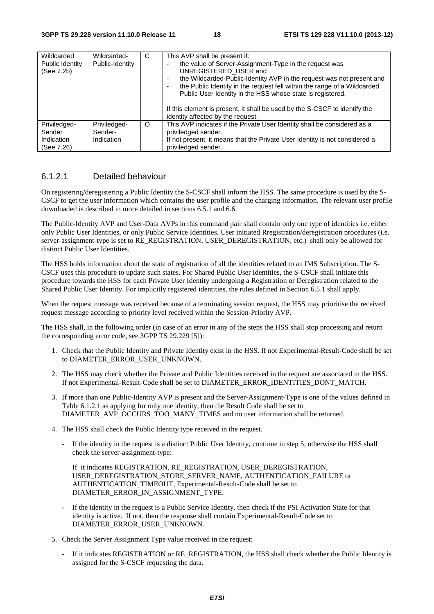| Wildcarded<br>Public Identity<br>(See 7.2b)        | Wildcarded-<br>Public-Identity        | C       | This AVP shall be present if:<br>the value of Server-Assignment-Type in the request was<br>UNREGISTERED_USER and<br>the Wildcarded-Public-Identity AVP in the request was not present and<br>$\overline{\phantom{a}}$<br>the Public Identity in the request fell within the range of a Wildcarded<br>٠<br>Public User Identity in the HSS whose state is registered.<br>If this element is present, it shall be used by the S-CSCF to identify the<br>identity affected by the request. |
|----------------------------------------------------|---------------------------------------|---------|-----------------------------------------------------------------------------------------------------------------------------------------------------------------------------------------------------------------------------------------------------------------------------------------------------------------------------------------------------------------------------------------------------------------------------------------------------------------------------------------|
| Priviledged-<br>Sender<br>Indication<br>(See 7.26) | Priviledged-<br>Sender-<br>Indication | $\circ$ | This AVP indicates if the Private User Identity shall be considered as a<br>priviledged sender.<br>If not present, it means that the Private User Identity is not considered a<br>priviledged sender.                                                                                                                                                                                                                                                                                   |

#### 6.1.2.1 Detailed behaviour

On registering/deregistering a Public Identity the S-CSCF shall inform the HSS. The same procedure is used by the S-CSCF to get the user information which contains the user profile and the charging information. The relevant user profile downloaded is described in more detailed in sections 6.5.1 and 6.6.

The Public-Identity AVP and User-Data AVPs in this command pair shall contain only one type of identities i.e. either only Public User Identities, or only Public Service Identities. User initiated Rregistration/deregistration procedures (i.e. server-assignment-type is set to RE\_REGISTRATION, USER\_DEREGISTRATION, etc.) shall only be allowed for distinct Public User Identities.

The HSS holds information about the state of registration of all the identities related to an IMS Subscription. The S-CSCF uses this procedure to update such states. For Shared Public User Identities, the S-CSCF shall initiate this procedure towards the HSS for each Private User Identity undergoing a Registration or Deregistration related to the Shared Public User Identity. For implicitly registered identities, the rules defined in Section 6.5.1 shall apply.

When the request message was received because of a terminating session request, the HSS may prioritise the received request message according to priority level received within the Session-Priority AVP.

The HSS shall, in the following order (in case of an error in any of the steps the HSS shall stop processing and return the corresponding error code, see 3GPP TS 29.229 [5]):

- 1. Check that the Public Identity and Private Identity exist in the HSS. If not Experimental-Result-Code shall be set to DIAMETER\_ERROR\_USER\_UNKNOWN.
- 2. The HSS may check whether the Private and Public Identities received in the request are associated in the HSS. If not Experimental-Result-Code shall be set to DIAMETER\_ERROR\_IDENTITIES\_DONT\_MATCH.
- 3. If more than one Public-Identity AVP is present and the Server-Assignment-Type is one of the values defined in Table 6.1.2.1 as applying for only one identity, then the Result Code shall be set to DIAMETER\_AVP\_OCCURS\_TOO\_MANY\_TIMES and no user information shall be returned.
- 4. The HSS shall check the Public Identity type received in the request.
	- If the identity in the request is a distinct Public User Identity, continue in step 5, otherwise the HSS shall check the server-assignment-type:

 If it indicates REGISTRATION, RE\_REGISTRATION, USER\_DEREGISTRATION, USER\_DEREGISTRATION\_STORE\_SERVER\_NAME, AUTHENTICATION\_FAILURE or AUTHENTICATION\_TIMEOUT, Experimental-Result-Code shall be set to DIAMETER\_ERROR\_IN\_ASSIGNMENT\_TYPE.

- If the identity in the request is a Public Service Identity, then check if the PSI Activation State for that identity is active. If not, then the response shall contain Experimental-Result-Code set to DIAMETER\_ERROR\_USER\_UNKNOWN.
- 5. Check the Server Assignment Type value received in the request:
	- If it indicates REGISTRATION or RE\_REGISTRATION, the HSS shall check whether the Public Identity is assigned for the S-CSCF requesting the data.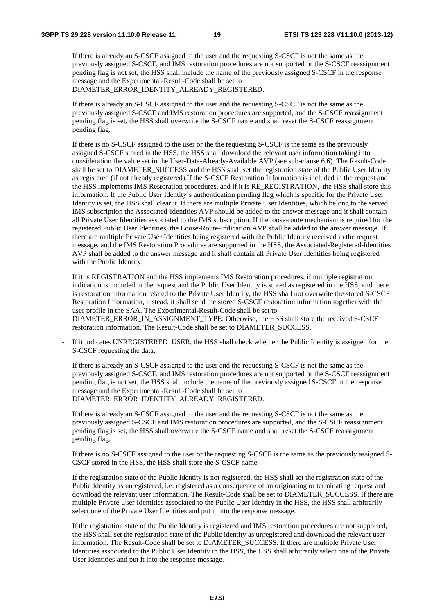If there is already an S-CSCF assigned to the user and the requesting S-CSCF is not the same as the previously assigned S-CSCF, and IMS restoration procedures are not supported or the S-CSCF reassignment pending flag is not set, the HSS shall include the name of the previously assigned S-CSCF in the response message and the Experimental-Result-Code shall be set to DIAMETER\_ERROR\_IDENTITY\_ALREADY\_REGISTERED.

If there is already an S-CSCF assigned to the user and the requesting S-CSCF is not the same as the previously assigned S-CSCF and IMS restoration procedures are supported, and the S-CSCF reassignment pending flag is set, the HSS shall overwrite the S-CSCF name and shall reset the S-CSCF reassignment pending flag.

 If there is no S-CSCF assigned to the user or the the requesting S-CSCF is the same as the previously assigned S-CSCF stored in the HSS, the HSS shall download the relevant user information taking into consideration the value set in the User-Data-Already-Available AVP (see sub-clause 6.6). The Result-Code shall be set to DIAMETER\_SUCCESS and the HSS shall set the registration state of the Public User Identity as registered (if not already registered).If the S-CSCF Restoration Information is included in the request and the HSS implements IMS Restoration procedures, and if it is RE\_REGISTRATION, the HSS shall store this information. If the Public User Identity's authentication pending flag which is specific for the Private User Identity is set, the HSS shall clear it. If there are multiple Private User Identities, which belong to the served IMS subscription the Associated-Identities AVP should be added to the answer message and it shall contain all Private User Identities associated to the IMS subscription. If the loose-route mechanism is required for the registered Public User Identities, the Loose-Route-Indication AVP shall be added to the answer message. If there are multiple Private User Identities being registered with the Public Identity received in the request message, and the IMS Restoration Procedures are supported in the HSS, the Associated-Registered-Identities AVP shall be added to the answer message and it shall contain all Private User Identities being registered with the Public Identity.

If it is REGISTRATION and the HSS implements IMS Restoration procedures, if multiple registration indication is included in the request and the Public User Identity is stored as registered in the HSS, and there is restoration information related to the Private User Identity, the HSS shall not overwrite the stored S-CSCF Restoration Information, instead, it shall send the stored S-CSCF restoration information together with the user profile in the SAA. The Experimental-Result-Code shall be set to DIAMETER\_ERROR\_IN\_ASSIGNMENT\_TYPE. Otherwise, the HSS shall store the received S-CSCF restoration information. The Result-Code shall be set to DIAMETER\_SUCCESS.

If it indicates UNREGISTERED\_USER, the HSS shall check whether the Public Identity is assigned for the S-CSCF requesting the data.

If there is already an S-CSCF assigned to the user and the requesting S-CSCF is not the same as the previously assigned S-CSCF, and IMS restoration procedures are not supported or the S-CSCF reassignment pending flag is not set, the HSS shall include the name of the previously assigned S-CSCF in the response message and the Experimental-Result-Code shall be set to DIAMETER\_ERROR\_IDENTITY\_ALREADY\_REGISTERED.

If there is already an S-CSCF assigned to the user and the requesting S-CSCF is not the same as the previously assigned S-CSCF and IMS restoration procedures are supported, and the S-CSCF reassignment pending flag is set, the HSS shall overwrite the S-CSCF name and shall reset the S-CSCF reassignment pending flag.

 If there is no S-CSCF assigned to the user or the requesting S-CSCF is the same as the previously assigned S-CSCF stored in the HSS, the HSS shall store the S-CSCF name.

 If the registration state of the Public Identity is not registered, the HSS shall set the registration state of the Public Identity as unregistered, i.e. registered as a consequence of an originating or terminating request and download the relevant user information. The Result-Code shall be set to DIAMETER\_SUCCESS. If there are multiple Private User Identities associated to the Public User Identity in the HSS, the HSS shall arbitrarily select one of the Private User Identities and put it into the response message.

If the registration state of the Public Identity is registered and IMS restoration procedures are not supported, the HSS shall set the registration state of the Public identity as unregistered and download the relevant user information. The Result-Code shall be set to DIAMETER\_SUCCESS. If there are multiple Private User Identities associated to the Public User Identity in the HSS, the HSS shall arbitrarily select one of the Private User Identities and put it into the response message.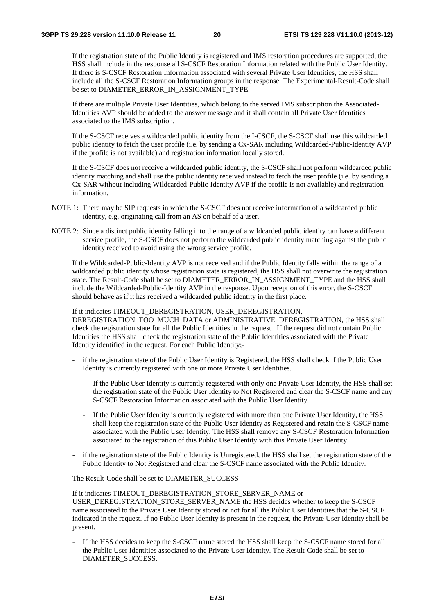If the registration state of the Public Identity is registered and IMS restoration procedures are supported, the HSS shall include in the response all S-CSCF Restoration Information related with the Public User Identity. If there is S-CSCF Restoration Information associated with several Private User Identities, the HSS shall include all the S-CSCF Restoration Information groups in the response. The Experimental-Result-Code shall be set to DIAMETER\_ERROR\_IN\_ASSIGNMENT\_TYPE.

 If there are multiple Private User Identities, which belong to the served IMS subscription the Associated-Identities AVP should be added to the answer message and it shall contain all Private User Identities associated to the IMS subscription.

If the S-CSCF receives a wildcarded public identity from the I-CSCF, the S-CSCF shall use this wildcarded public identity to fetch the user profile (i.e. by sending a Cx-SAR including Wildcarded-Public-Identity AVP if the profile is not available) and registration information locally stored.

If the S-CSCF does not receive a wildcarded public identity, the S-CSCF shall not perform wildcarded public identity matching and shall use the public identity received instead to fetch the user profile (i.e. by sending a Cx-SAR without including Wildcarded-Public-Identity AVP if the profile is not available) and registration information.

- NOTE 1: There may be SIP requests in which the S-CSCF does not receive information of a wildcarded public identity, e.g. originating call from an AS on behalf of a user.
- NOTE 2: Since a distinct public identity falling into the range of a wildcarded public identity can have a different service profile, the S-CSCF does not perform the wildcarded public identity matching against the public identity received to avoid using the wrong service profile.

If the Wildcarded-Public-Identity AVP is not received and if the Public Identity falls within the range of a wildcarded public identity whose registration state is registered, the HSS shall not overwrite the registration state. The Result-Code shall be set to DIAMETER\_ERROR\_IN\_ASSIGNMENT\_TYPE and the HSS shall include the Wildcarded-Public-Identity AVP in the response. Upon reception of this error, the S-CSCF should behave as if it has received a wildcarded public identity in the first place.

- If it indicates TIMEOUT DEREGISTRATION, USER DEREGISTRATION, DEREGISTRATION\_TOO\_MUCH\_DATA or ADMINISTRATIVE\_DEREGISTRATION, the HSS shall check the registration state for all the Public Identities in the request. If the request did not contain Public Identities the HSS shall check the registration state of the Public Identities associated with the Private Identity identified in the request. For each Public Identity;
	- if the registration state of the Public User Identity is Registered, the HSS shall check if the Public User Identity is currently registered with one or more Private User Identities.
		- If the Public User Identity is currently registered with only one Private User Identity, the HSS shall set the registration state of the Public User Identity to Not Registered and clear the S-CSCF name and any S-CSCF Restoration Information associated with the Public User Identity.
		- If the Public User Identity is currently registered with more than one Private User Identity, the HSS shall keep the registration state of the Public User Identity as Registered and retain the S-CSCF name associated with the Public User Identity. The HSS shall remove any S-CSCF Restoration Information associated to the registration of this Public User Identity with this Private User Identity.
	- if the registration state of the Public Identity is Unregistered, the HSS shall set the registration state of the Public Identity to Not Registered and clear the S-CSCF name associated with the Public Identity.

The Result-Code shall be set to DIAMETER\_SUCCESS

- If it indicates TIMEOUT\_DEREGISTRATION\_STORE\_SERVER\_NAME or USER\_DEREGISTRATION\_STORE\_SERVER\_NAME the HSS decides whether to keep the S-CSCF name associated to the Private User Identity stored or not for all the Public User Identities that the S-CSCF indicated in the request. If no Public User Identity is present in the request, the Private User Identity shall be present.
	- If the HSS decides to keep the S-CSCF name stored the HSS shall keep the S-CSCF name stored for all the Public User Identities associated to the Private User Identity. The Result-Code shall be set to DIAMETER\_SUCCESS.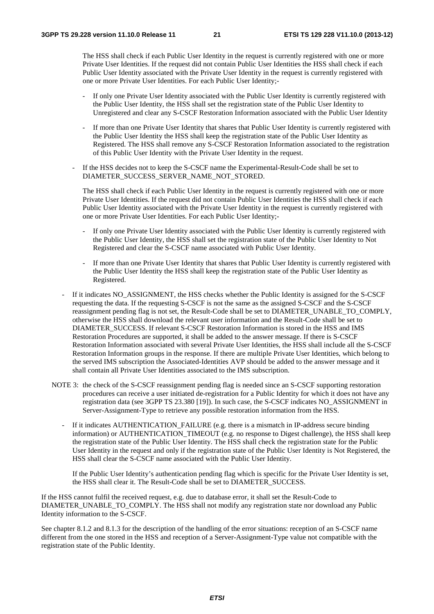The HSS shall check if each Public User Identity in the request is currently registered with one or more Private User Identities. If the request did not contain Public User Identities the HSS shall check if each Public User Identity associated with the Private User Identity in the request is currently registered with one or more Private User Identities. For each Public User Identity;-

- If only one Private User Identity associated with the Public User Identity is currently registered with the Public User Identity, the HSS shall set the registration state of the Public User Identity to Unregistered and clear any S-CSCF Restoration Information associated with the Public User Identity
- If more than one Private User Identity that shares that Public User Identity is currently registered with the Public User Identity the HSS shall keep the registration state of the Public User Identity as Registered. The HSS shall remove any S-CSCF Restoration Information associated to the registration of this Public User Identity with the Private User Identity in the request.
- If the HSS decides not to keep the S-CSCF name the Experimental-Result-Code shall be set to DIAMETER\_SUCCESS\_SERVER\_NAME\_NOT\_STORED.

The HSS shall check if each Public User Identity in the request is currently registered with one or more Private User Identities. If the request did not contain Public User Identities the HSS shall check if each Public User Identity associated with the Private User Identity in the request is currently registered with one or more Private User Identities. For each Public User Identity;-

- If only one Private User Identity associated with the Public User Identity is currently registered with the Public User Identity, the HSS shall set the registration state of the Public User Identity to Not Registered and clear the S-CSCF name associated with Public User Identity.
- If more than one Private User Identity that shares that Public User Identity is currently registered with the Public User Identity the HSS shall keep the registration state of the Public User Identity as Registered.
- If it indicates NO\_ASSIGNMENT, the HSS checks whether the Public Identity is assigned for the S-CSCF requesting the data. If the requesting S-CSCF is not the same as the assigned S-CSCF and the S-CSCF reassignment pending flag is not set, the Result-Code shall be set to DIAMETER\_UNABLE\_TO\_COMPLY, otherwise the HSS shall download the relevant user information and the Result-Code shall be set to DIAMETER\_SUCCESS. If relevant S-CSCF Restoration Information is stored in the HSS and IMS Restoration Procedures are supported, it shall be added to the answer message. If there is S-CSCF Restoration Information associated with several Private User Identities, the HSS shall include all the S-CSCF Restoration Information groups in the response. If there are multiple Private User Identities, which belong to the served IMS subscription the Associated-Identities AVP should be added to the answer message and it shall contain all Private User Identities associated to the IMS subscription.
- NOTE 3: the check of the S-CSCF reassignment pending flag is needed since an S-CSCF supporting restoration procedures can receive a user initiated de-registration for a Public Identity for which it does not have any registration data (see 3GPP TS 23.380 [19]). In such case, the S-CSCF indicates NO\_ASSIGNMENT in Server-Assignment-Type to retrieve any possible restoration information from the HSS.
	- If it indicates AUTHENTICATION\_FAILURE (e.g. there is a mismatch in IP-address secure binding information) or AUTHENTICATION TIMEOUT (e.g. no response to Digest challenge), the HSS shall keep the registration state of the Public User Identity. The HSS shall check the registration state for the Public User Identity in the request and only if the registration state of the Public User Identity is Not Registered, the HSS shall clear the S-CSCF name associated with the Public User Identity.

If the Public User Identity's authentication pending flag which is specific for the Private User Identity is set, the HSS shall clear it. The Result-Code shall be set to DIAMETER\_SUCCESS.

If the HSS cannot fulfil the received request, e.g. due to database error, it shall set the Result-Code to DIAMETER\_UNABLE\_TO\_COMPLY. The HSS shall not modify any registration state nor download any Public Identity information to the S-CSCF.

See chapter 8.1.2 and 8.1.3 for the description of the handling of the error situations: reception of an S-CSCF name different from the one stored in the HSS and reception of a Server-Assignment-Type value not compatible with the registration state of the Public Identity.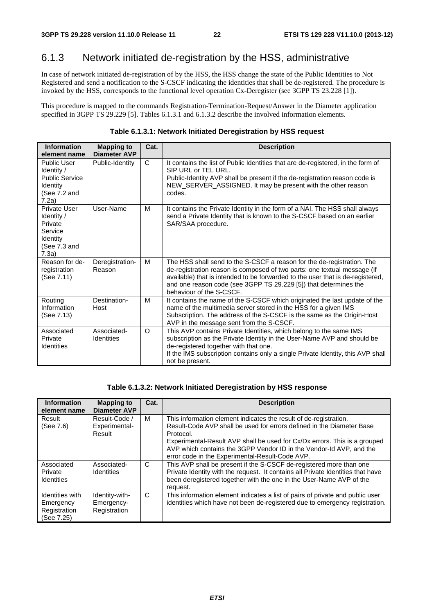# 6.1.3 Network initiated de-registration by the HSS, administrative

In case of network initiated de-registration of by the HSS, the HSS change the state of the Public Identities to Not Registered and send a notification to the S-CSCF indicating the identities that shall be de-registered. The procedure is invoked by the HSS, corresponds to the functional level operation Cx-Deregister (see 3GPP TS 23.228 [1]).

This procedure is mapped to the commands Registration-Termination-Request/Answer in the Diameter application specified in 3GPP TS 29.229 [5]. Tables 6.1.3.1 and 6.1.3.2 describe the involved information elements.

| <b>Information</b><br>element name                                                             | <b>Mapping to</b><br><b>Diameter AVP</b> | Cat.         | <b>Description</b>                                                                                                                                                                                                                                                                                                                   |
|------------------------------------------------------------------------------------------------|------------------------------------------|--------------|--------------------------------------------------------------------------------------------------------------------------------------------------------------------------------------------------------------------------------------------------------------------------------------------------------------------------------------|
| <b>Public User</b><br>Identity /<br><b>Public Service</b><br>Identity<br>(See 7.2 and<br>7.2a) | Public-Identity                          | $\mathsf{C}$ | It contains the list of Public Identities that are de-registered, in the form of<br>SIP URL or TEL URL.<br>Public-Identity AVP shall be present if the de-registration reason code is<br>NEW_SERVER_ASSIGNED. It may be present with the other reason<br>codes.                                                                      |
| Private User<br>Identity /<br>Private<br>Service<br>Identity<br>(See 7.3 and<br>7.3a)          | User-Name                                | M            | It contains the Private Identity in the form of a NAI. The HSS shall always<br>send a Private Identity that is known to the S-CSCF based on an earlier<br>SAR/SAA procedure.                                                                                                                                                         |
| Reason for de-<br>registration<br>(See 7.11)                                                   | Deregistration-<br>Reason                | м            | The HSS shall send to the S-CSCF a reason for the de-registration. The<br>de-registration reason is composed of two parts: one textual message (if<br>available) that is intended to be forwarded to the user that is de-registered,<br>and one reason code (see 3GPP TS 29.229 [5]) that determines the<br>behaviour of the S-CSCF. |
| Routing<br>Information<br>(See 7.13)                                                           | Destination-<br>Host                     | M            | It contains the name of the S-CSCF which originated the last update of the<br>name of the multimedia server stored in the HSS for a given IMS<br>Subscription. The address of the S-CSCF is the same as the Origin-Host<br>AVP in the message sent from the S-CSCF.                                                                  |
| Associated<br>Private<br>Identities                                                            | Associated-<br><b>Identities</b>         | $\Omega$     | This AVP contains Private Identities, which belong to the same IMS<br>subscription as the Private Identity in the User-Name AVP and should be<br>de-registered together with that one.<br>If the IMS subscription contains only a single Private Identity, this AVP shall<br>not be present.                                         |

#### **Table 6.1.3.2: Network Initiated Deregistration by HSS response**

| <b>Information</b><br>element name                         | <b>Mapping to</b><br><b>Diameter AVP</b>     | Cat. | <b>Description</b>                                                                                                                                                                                                                                                                                                                                             |
|------------------------------------------------------------|----------------------------------------------|------|----------------------------------------------------------------------------------------------------------------------------------------------------------------------------------------------------------------------------------------------------------------------------------------------------------------------------------------------------------------|
| Result<br>(See 7.6)                                        | Result-Code /<br>Experimental-<br>Result     | м    | This information element indicates the result of de-registration.<br>Result-Code AVP shall be used for errors defined in the Diameter Base<br>Protocol.<br>Experimental-Result AVP shall be used for Cx/Dx errors. This is a grouped<br>AVP which contains the 3GPP Vendor ID in the Vendor-Id AVP, and the<br>error code in the Experimental-Result-Code AVP. |
| Associated<br>Private<br>Identities                        | Associated-<br><b>Identities</b>             | C    | This AVP shall be present if the S-CSCF de-registered more than one<br>Private Identity with the request. It contains all Private Identities that have<br>been deregistered together with the one in the User-Name AVP of the<br>request.                                                                                                                      |
| Identities with<br>Emergency<br>Registration<br>(See 7.25) | Identity-with-<br>Emergency-<br>Registration | C    | This information element indicates a list of pairs of private and public user<br>identities which have not been de-registered due to emergency registration.                                                                                                                                                                                                   |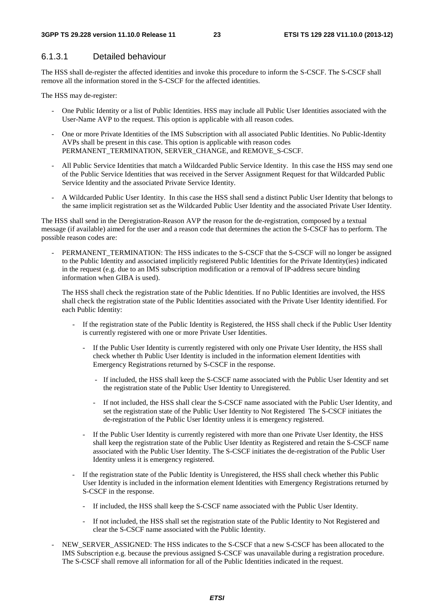### 6.1.3.1 Detailed behaviour

The HSS shall de-register the affected identities and invoke this procedure to inform the S-CSCF. The S-CSCF shall remove all the information stored in the S-CSCF for the affected identities.

The HSS may de-register:

- One Public Identity or a list of Public Identities. HSS may include all Public User Identities associated with the User-Name AVP to the request. This option is applicable with all reason codes.
- One or more Private Identities of the IMS Subscription with all associated Public Identities. No Public-Identity AVPs shall be present in this case. This option is applicable with reason codes PERMANENT\_TERMINATION, SERVER\_CHANGE, and REMOVE\_S-CSCF.
- All Public Service Identities that match a Wildcarded Public Service Identity. In this case the HSS may send one of the Public Service Identities that was received in the Server Assignment Request for that Wildcarded Public Service Identity and the associated Private Service Identity.
- A Wildcarded Public User Identity. In this case the HSS shall send a distinct Public User Identity that belongs to the same implicit registration set as the Wildcarded Public User Identity and the associated Private User Identity.

The HSS shall send in the Deregistration-Reason AVP the reason for the de-registration, composed by a textual message (if available) aimed for the user and a reason code that determines the action the S-CSCF has to perform. The possible reason codes are:

PERMANENT\_TERMINATION: The HSS indicates to the S-CSCF that the S-CSCF will no longer be assigned to the Public Identity and associated implicitly registered Public Identities for the Private Identity(ies) indicated in the request (e.g. due to an IMS subscription modification or a removal of IP-address secure binding information when GIBA is used).

The HSS shall check the registration state of the Public Identities. If no Public Identities are involved, the HSS shall check the registration state of the Public Identities associated with the Private User Identity identified. For each Public Identity:

- If the registration state of the Public Identity is Registered, the HSS shall check if the Public User Identity is currently registered with one or more Private User Identities.
	- If the Public User Identity is currently registered with only one Private User Identity, the HSS shall check whether th Public User Identity is included in the information element Identities with Emergency Registrations returned by S-CSCF in the response.
		- If included, the HSS shall keep the S-CSCF name associated with the Public User Identity and set the registration state of the Public User Identity to Unregistered.
		- If not included, the HSS shall clear the S-CSCF name associated with the Public User Identity, and set the registration state of the Public User Identity to Not Registered The S-CSCF initiates the de-registration of the Public User Identity unless it is emergency registered.
	- If the Public User Identity is currently registered with more than one Private User Identity, the HSS shall keep the registration state of the Public User Identity as Registered and retain the S-CSCF name associated with the Public User Identity. The S-CSCF initiates the de-registration of the Public User Identity unless it is emergency registered.
- If the registration state of the Public Identity is Unregistered, the HSS shall check whether this Public User Identity is included in the information element Identities with Emergency Registrations returned by S-CSCF in the response.
	- If included, the HSS shall keep the S-CSCF name associated with the Public User Identity.
	- If not included, the HSS shall set the registration state of the Public Identity to Not Registered and clear the S-CSCF name associated with the Public Identity.
- NEW\_SERVER\_ASSIGNED: The HSS indicates to the S-CSCF that a new S-CSCF has been allocated to the IMS Subscription e.g. because the previous assigned S-CSCF was unavailable during a registration procedure. The S-CSCF shall remove all information for all of the Public Identities indicated in the request.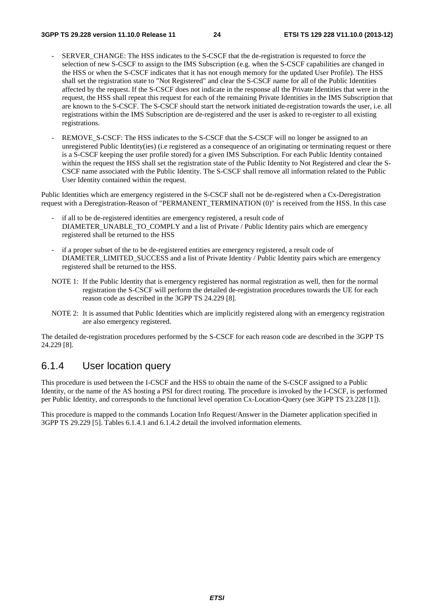- SERVER CHANGE: The HSS indicates to the S-CSCF that the de-registration is requested to force the selection of new S-CSCF to assign to the IMS Subscription (e.g. when the S-CSCF capabilities are changed in the HSS or when the S-CSCF indicates that it has not enough memory for the updated User Profile). The HSS shall set the registration state to "Not Registered" and clear the S-CSCF name for all of the Public Identities affected by the request. If the S-CSCF does not indicate in the response all the Private Identities that were in the request, the HSS shall repeat this request for each of the remaining Private Identities in the IMS Subscription that are known to the S-CSCF. The S-CSCF should start the network initiated de-registration towards the user, i.e. all registrations within the IMS Subscription are de-registered and the user is asked to re-register to all existing registrations.
- REMOVE\_S-CSCF: The HSS indicates to the S-CSCF that the S-CSCF will no longer be assigned to an unregistered Public Identity(ies) (i.e registered as a consequence of an originating or terminating request or there is a S-CSCF keeping the user profile stored) for a given IMS Subscription. For each Public Identity contained within the request the HSS shall set the registration state of the Public Identity to Not Registered and clear the S-CSCF name associated with the Public Identity. The S-CSCF shall remove all information related to the Public User Identity contained within the request.

Public Identities which are emergency registered in the S-CSCF shall not be de-registered when a Cx-Deregistration request with a Deregistration-Reason of "PERMANENT\_TERMINATION (0)" is received from the HSS. In this case

- if all to be de-registered identities are emergency registered, a result code of DIAMETER\_UNABLE\_TO\_COMPLY and a list of Private / Public Identity pairs which are emergency registered shall be returned to the HSS
- if a proper subset of the to be de-registered entities are emergency registered, a result code of DIAMETER\_LIMITED\_SUCCESS and a list of Private Identity / Public Identity pairs which are emergency registered shall be returned to the HSS.
- NOTE 1: If the Public Identity that is emergency registered has normal registration as well, then for the normal registration the S-CSCF will perform the detailed de-registration procedures towards the UE for each reason code as described in the 3GPP TS 24.229 [8].
- NOTE 2: It is assumed that Public Identities which are implicitly registered along with an emergency registration are also emergency registered.

The detailed de-registration procedures performed by the S-CSCF for each reason code are described in the 3GPP TS 24.229 [8].

### 6.1.4 User location query

This procedure is used between the I-CSCF and the HSS to obtain the name of the S-CSCF assigned to a Public Identity, or the name of the AS hosting a PSI for direct routing. The procedure is invoked by the I-CSCF, is performed per Public Identity, and corresponds to the functional level operation Cx-Location-Query (see 3GPP TS 23.228 [1]).

This procedure is mapped to the commands Location Info Request/Answer in the Diameter application specified in 3GPP TS 29.229 [5]. Tables 6.1.4.1 and 6.1.4.2 detail the involved information elements.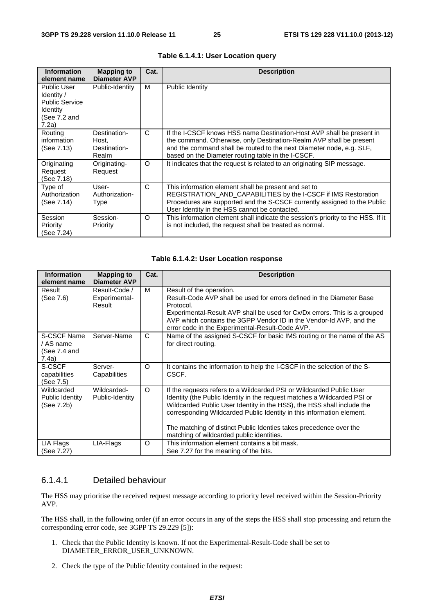| <b>Information</b><br>element name                                                      | <b>Mapping to</b><br><b>Diameter AVP</b>       | Cat. | <b>Description</b>                                                                                                                                                                                                                                                         |
|-----------------------------------------------------------------------------------------|------------------------------------------------|------|----------------------------------------------------------------------------------------------------------------------------------------------------------------------------------------------------------------------------------------------------------------------------|
| Public User<br>Identity /<br><b>Public Service</b><br>Identity<br>(See 7.2 and<br>7.2a) | Public-Identity                                | м    | Public Identity                                                                                                                                                                                                                                                            |
| Routing<br>information<br>(See 7.13)                                                    | Destination-<br>Host,<br>Destination-<br>Realm | C    | If the I-CSCF knows HSS name Destination-Host AVP shall be present in<br>the command. Otherwise, only Destination-Realm AVP shall be present<br>and the command shall be routed to the next Diameter node, e.g. SLF,<br>based on the Diameter routing table in the I-CSCF. |
| Originating<br>Request<br>(See 7.18)                                                    | Originating-<br>Request                        | O    | It indicates that the request is related to an originating SIP message.                                                                                                                                                                                                    |
| Type of<br>Authorization<br>(See 7.14)                                                  | User-<br>Authorization-<br>Type                | C    | This information element shall be present and set to<br>REGISTRATION_AND_CAPABILITIES by the I-CSCF if IMS Restoration<br>Procedures are supported and the S-CSCF currently assigned to the Public<br>User Identity in the HSS cannot be contacted.                        |
| Session<br>Priority<br>(See 7.24)                                                       | Session-<br>Priority                           | O    | This information element shall indicate the session's priority to the HSS. If it<br>is not included, the request shall be treated as normal.                                                                                                                               |

| Table 6.1.4.1: User Location query |  |  |
|------------------------------------|--|--|
|------------------------------------|--|--|

#### **Table 6.1.4.2: User Location response**

| <b>Information</b><br>element name                | <b>Mapping to</b><br><b>Diameter AVP</b> | Cat.     | <b>Description</b>                                                                                                                                                                                                                                                                                                                                                                                                     |
|---------------------------------------------------|------------------------------------------|----------|------------------------------------------------------------------------------------------------------------------------------------------------------------------------------------------------------------------------------------------------------------------------------------------------------------------------------------------------------------------------------------------------------------------------|
| Result<br>(See 7.6)                               | Result-Code /<br>Experimental-<br>Result | м        | Result of the operation.<br>Result-Code AVP shall be used for errors defined in the Diameter Base<br>Protocol.<br>Experimental-Result AVP shall be used for Cx/Dx errors. This is a grouped<br>AVP which contains the 3GPP Vendor ID in the Vendor-Id AVP, and the<br>error code in the Experimental-Result-Code AVP.                                                                                                  |
| S-CSCF Name<br>/ AS name<br>(See 7.4 and<br>7.4a) | Server-Name                              | C        | Name of the assigned S-CSCF for basic IMS routing or the name of the AS<br>for direct routing.                                                                                                                                                                                                                                                                                                                         |
| S-CSCF<br>capabilities<br>(See 7.5)               | Server-<br>Capabilities                  | O        | It contains the information to help the I-CSCF in the selection of the S-<br>CSCF.                                                                                                                                                                                                                                                                                                                                     |
| Wildcarded<br>Public Identity<br>(See 7.2b)       | Wildcarded-<br>Public-Identity           | $\Omega$ | If the requests refers to a Wildcarded PSI or Wildcarded Public User<br>Identity (the Public Identity in the request matches a Wildcarded PSI or<br>Wildcarded Public User Identity in the HSS), the HSS shall include the<br>corresponding Wildcarded Public Identity in this information element.<br>The matching of distinct Public Identies takes precedence over the<br>matching of wildcarded public identities. |
| LIA Flags<br>(See 7.27)                           | LIA-Flags                                | O        | This information element contains a bit mask.<br>See 7.27 for the meaning of the bits.                                                                                                                                                                                                                                                                                                                                 |

#### 6.1.4.1 Detailed behaviour

The HSS may prioritise the received request message according to priority level received within the Session-Priority AVP.

The HSS shall, in the following order (if an error occurs in any of the steps the HSS shall stop processing and return the corresponding error code, see 3GPP TS 29.229 [5]):

- 1. Check that the Public Identity is known. If not the Experimental-Result-Code shall be set to DIAMETER\_ERROR\_USER\_UNKNOWN.
- 2. Check the type of the Public Identity contained in the request: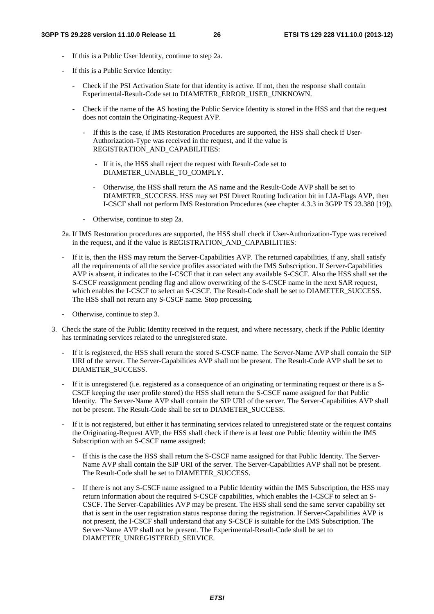- If this is a Public User Identity, continue to step 2a.
- If this is a Public Service Identity:
	- Check if the PSI Activation State for that identity is active. If not, then the response shall contain Experimental-Result-Code set to DIAMETER\_ERROR\_USER\_UNKNOWN.
	- Check if the name of the AS hosting the Public Service Identity is stored in the HSS and that the request does not contain the Originating-Request AVP.
		- If this is the case, if IMS Restoration Procedures are supported, the HSS shall check if User-Authorization-Type was received in the request, and if the value is REGISTRATION\_AND\_CAPABILITIES:
			- If it is, the HSS shall reject the request with Result-Code set to DIAMETER\_UNABLE\_TO\_COMPLY.
			- Otherwise, the HSS shall return the AS name and the Result-Code AVP shall be set to DIAMETER\_SUCCESS. HSS may set PSI Direct Routing Indication bit in LIA-Flags AVP, then I-CSCF shall not perform IMS Restoration Procedures (see chapter 4.3.3 in 3GPP TS 23.380 [19]).
		- Otherwise, continue to step 2a.
- 2a. If IMS Restoration procedures are supported, the HSS shall check if User-Authorization-Type was received in the request, and if the value is REGISTRATION\_AND\_CAPABILITIES:
- If it is, then the HSS may return the Server-Capabilities AVP. The returned capabilities, if any, shall satisfy all the requirements of all the service profiles associated with the IMS Subscription. If Server-Capabilities AVP is absent, it indicates to the I-CSCF that it can select any available S-CSCF. Also the HSS shall set the S-CSCF reassignment pending flag and allow overwriting of the S-CSCF name in the next SAR request, which enables the I-CSCF to select an S-CSCF. The Result-Code shall be set to DIAMETER\_SUCCESS. The HSS shall not return any S-CSCF name. Stop processing.
- Otherwise, continue to step 3.
- 3. Check the state of the Public Identity received in the request, and where necessary, check if the Public Identity has terminating services related to the unregistered state.
	- If it is registered, the HSS shall return the stored S-CSCF name. The Server-Name AVP shall contain the SIP URI of the server. The Server-Capabilities AVP shall not be present. The Result-Code AVP shall be set to DIAMETER\_SUCCESS.
	- If it is unregistered (i.e. registered as a consequence of an originating or terminating request or there is a S-CSCF keeping the user profile stored) the HSS shall return the S-CSCF name assigned for that Public Identity. The Server-Name AVP shall contain the SIP URI of the server. The Server-Capabilities AVP shall not be present. The Result-Code shall be set to DIAMETER\_SUCCESS.
	- If it is not registered, but either it has terminating services related to unregistered state or the request contains the Originating-Request AVP, the HSS shall check if there is at least one Public Identity within the IMS Subscription with an S-CSCF name assigned:
		- If this is the case the HSS shall return the S-CSCF name assigned for that Public Identity. The Server-Name AVP shall contain the SIP URI of the server. The Server-Capabilities AVP shall not be present. The Result-Code shall be set to DIAMETER\_SUCCESS.
		- If there is not any S-CSCF name assigned to a Public Identity within the IMS Subscription, the HSS may return information about the required S-CSCF capabilities, which enables the I-CSCF to select an S-CSCF. The Server-Capabilities AVP may be present. The HSS shall send the same server capability set that is sent in the user registration status response during the registration. If Server-Capabilities AVP is not present, the I-CSCF shall understand that any S-CSCF is suitable for the IMS Subscription. The Server-Name AVP shall not be present. The Experimental-Result-Code shall be set to DIAMETER\_UNREGISTERED\_SERVICE.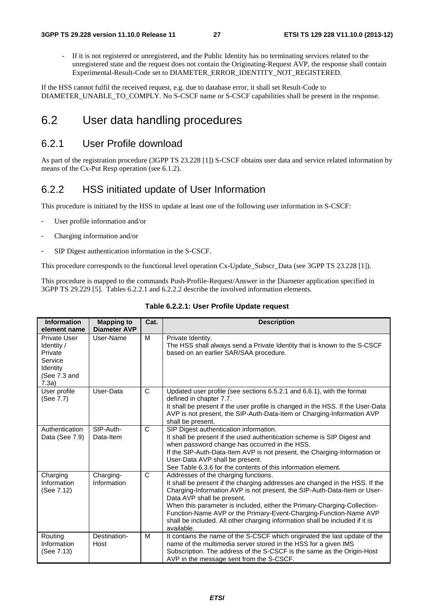If it is not registered or unregistered, and the Public Identity has no terminating services related to the unregistered state and the request does not contain the Originating-Request AVP, the response shall contain Experimental-Result-Code set to DIAMETER\_ERROR\_IDENTITY\_NOT\_REGISTERED.

If the HSS cannot fulfil the received request, e.g. due to database error, it shall set Result-Code to DIAMETER\_UNABLE\_TO\_COMPLY. No S-CSCF name or S-CSCF capabilities shall be present in the response.

# 6.2 User data handling procedures

### 6.2.1 User Profile download

As part of the registration procedure (3GPP TS 23.228 [1]) S-CSCF obtains user data and service related information by means of the Cx-Put Resp operation (see 6.1.2).

### 6.2.2 HSS initiated update of User Information

This procedure is initiated by the HSS to update at least one of the following user information in S-CSCF:

- User profile information and/or
- Charging information and/or
- SIP Digest authentication information in the S-CSCF.

This procedure corresponds to the functional level operation Cx-Update\_Subscr\_Data (see 3GPP TS 23.228 [1]).

This procedure is mapped to the commands Push-Profile-Request/Answer in the Diameter application specified in 3GPP TS 29.229 [5]. Tables 6.2.2.1 and 6.2.2.2 describe the involved information elements.

| <b>Information</b>                                                                           | <b>Mapping to</b><br><b>Diameter AVP</b> | Cat. | <b>Description</b>                                                                                                                                                                                                                                                                                                                                                                                                                                                            |
|----------------------------------------------------------------------------------------------|------------------------------------------|------|-------------------------------------------------------------------------------------------------------------------------------------------------------------------------------------------------------------------------------------------------------------------------------------------------------------------------------------------------------------------------------------------------------------------------------------------------------------------------------|
| element name                                                                                 |                                          |      |                                                                                                                                                                                                                                                                                                                                                                                                                                                                               |
| <b>Private User</b><br>Identity /<br>Private<br>Service<br>Identity<br>(See 7.3 and<br>7.3a) | User-Name                                | М    | Private Identity.<br>The HSS shall always send a Private Identity that is known to the S-CSCF<br>based on an earlier SAR/SAA procedure.                                                                                                                                                                                                                                                                                                                                       |
| User profile<br>(See 7.7)                                                                    | User-Data                                | C    | Updated user profile (see sections 6.5.2.1 and 6.6.1), with the format<br>defined in chapter 7.7.<br>It shall be present if the user profile is changed in the HSS. If the User-Data<br>AVP is not present, the SIP-Auth-Data-Item or Charging-Information AVP<br>shall be present.                                                                                                                                                                                           |
| Authentication<br>Data (See 7.9)                                                             | SIP-Auth-<br>Data-Item                   | C    | SIP Digest authentication information.<br>It shall be present if the used authentication scheme is SIP Digest and<br>when password change has occurred in the HSS.<br>If the SIP-Auth-Data-Item AVP is not present, the Charging-Information or<br>User-Data AVP shall be present.<br>See Table 6.3.6 for the contents of this information element.                                                                                                                           |
| Charging<br>Information<br>(See 7.12)                                                        | Charging-<br>Information                 | C    | Addresses of the charging functions.<br>It shall be present if the charging addresses are changed in the HSS. If the<br>Charging-Information AVP is not present, the SIP-Auth-Data-Item or User-<br>Data AVP shall be present.<br>When this parameter is included, either the Primary-Charging-Collection-<br>Function-Name AVP or the Primary-Event-Charging-Function-Name AVP<br>shall be included. All other charging information shall be included if it is<br>available. |
| Routing<br>Information<br>(See 7.13)                                                         | Destination-<br>Host                     | М    | It contains the name of the S-CSCF which originated the last update of the<br>name of the multimedia server stored in the HSS for a given IMS<br>Subscription. The address of the S-CSCF is the same as the Origin-Host<br>AVP in the message sent from the S-CSCF.                                                                                                                                                                                                           |

**Table 6.2.2.1: User Profile Update request**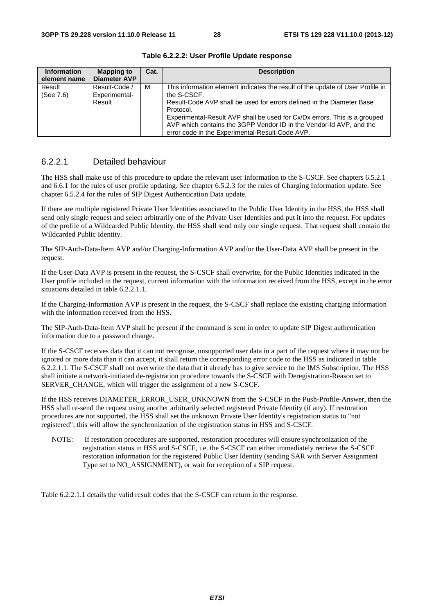| <b>Information</b><br>element name | <b>Mapping to</b><br><b>Diameter AVP</b> | Cat. | <b>Description</b>                                                                                                                                                                                                                                                                                                                                                                         |
|------------------------------------|------------------------------------------|------|--------------------------------------------------------------------------------------------------------------------------------------------------------------------------------------------------------------------------------------------------------------------------------------------------------------------------------------------------------------------------------------------|
| Result<br>(See 7.6)                | Result-Code /<br>Experimental-<br>Result | M    | This information element indicates the result of the update of User Profile in<br>the S-CSCF.<br>Result-Code AVP shall be used for errors defined in the Diameter Base<br>Protocol.<br>Experimental-Result AVP shall be used for Cx/Dx errors. This is a grouped<br>AVP which contains the 3GPP Vendor ID in the Vendor-Id AVP, and the<br>error code in the Experimental-Result-Code AVP. |

**Table 6.2.2.2: User Profile Update response** 

#### 6.2.2.1 Detailed behaviour

The HSS shall make use of this procedure to update the relevant user information to the S-CSCF. See chapters 6.5.2.1 and 6.6.1 for the rules of user profile updating. See chapter 6.5.2.3 for the rules of Charging Information update. See chapter 6.5.2.4 for the rules of SIP Digest Authentication Data update.

If there are multiple registered Private User Identities associated to the Public User Identity in the HSS, the HSS shall send only single request and select arbitrarily one of the Private User Identities and put it into the request. For updates of the profile of a Wildcarded Public Identity, the HSS shall send only one single request. That request shall contain the Wildcarded Public Identity.

The SIP-Auth-Data-Item AVP and/or Charging-Information AVP and/or the User-Data AVP shall be present in the request.

If the User-Data AVP is present in the request, the S-CSCF shall overwrite, for the Public Identities indicated in the User profile included in the request, current information with the information received from the HSS, except in the error situations detailed in table 6.2.2.1.1.

If the Charging-Information AVP is present in the request, the S-CSCF shall replace the existing charging information with the information received from the HSS.

The SIP-Auth-Data-Item AVP shall be present if the command is sent in order to update SIP Digest authentication information due to a password change.

If the S-CSCF receives data that it can not recognise, unsupported user data in a part of the request where it may not be ignored or more data than it can accept, it shall return the corresponding error code to the HSS as indicated in table 6.2.2.1.1. The S-CSCF shall not overwrite the data that it already has to give service to the IMS Subscription. The HSS shall initiate a network-initiated de-registration procedure towards the S-CSCF with Deregistration-Reason set to SERVER\_CHANGE, which will trigger the assignment of a new S-CSCF.

If the HSS receives DIAMETER\_ERROR\_USER\_UNKNOWN from the S-CSCF in the Push-Profile-Answer, then the HSS shall re-send the request using another arbitrarily selected registered Private Identity (if any). If restoration procedures are not supported, the HSS shall set the unknown Private User Identity's registration status to "not registered"; this will allow the synchronization of the registration status in HSS and S-CSCF.

NOTE: If restoration procedures are supported, restoration procedures will ensure synchronization of the registration status in HSS and S-CSCF, i.e. the S-CSCF can either immediately retrieve the S-CSCF restoration information for the registered Public User Identity (sending SAR with Server Assignment Type set to NO\_ASSIGNMENT), or wait for reception of a SIP request.

Table 6.2.2.1.1 details the valid result codes that the S-CSCF can return in the response.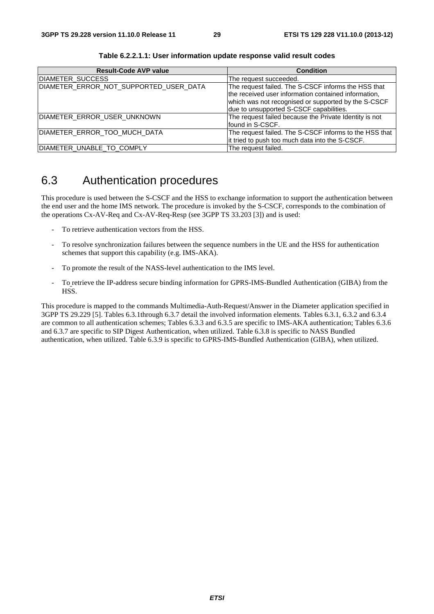| <b>Result-Code AVP value</b>           | <b>Condition</b>                                       |
|----------------------------------------|--------------------------------------------------------|
| DIAMETER_SUCCESS                       | The request succeeded.                                 |
| DIAMETER_ERROR_NOT_SUPPORTED_USER_DATA | The request failed. The S-CSCF informs the HSS that    |
|                                        | the received user information contained information,   |
|                                        | which was not recognised or supported by the S-CSCF    |
|                                        | due to unsupported S-CSCF capabilities.                |
| DIAMETER_ERROR_USER_UNKNOWN            | The request failed because the Private Identity is not |
|                                        | Ifound in S-CSCF.                                      |
| DIAMETER_ERROR_TOO_MUCH_DATA           | The request failed. The S-CSCF informs to the HSS that |
|                                        | it tried to push too much data into the S-CSCF.        |
| DIAMETER_UNABLE_TO_COMPLY              | The request failed.                                    |

**Table 6.2.2.1.1: User information update response valid result codes** 

# 6.3 Authentication procedures

This procedure is used between the S-CSCF and the HSS to exchange information to support the authentication between the end user and the home IMS network. The procedure is invoked by the S-CSCF, corresponds to the combination of the operations Cx-AV-Req and Cx-AV-Req-Resp (see 3GPP TS 33.203 [3]) and is used:

- To retrieve authentication vectors from the HSS.
- To resolve synchronization failures between the sequence numbers in the UE and the HSS for authentication schemes that support this capability (e.g. IMS-AKA).
- To promote the result of the NASS-level authentication to the IMS level.
- To retrieve the IP-address secure binding information for GPRS-IMS-Bundled Authentication (GIBA) from the HSS.

This procedure is mapped to the commands Multimedia-Auth-Request/Answer in the Diameter application specified in 3GPP TS 29.229 [5]. Tables 6.3.1through 6.3.7 detail the involved information elements. Tables 6.3.1, 6.3.2 and 6.3.4 are common to all authentication schemes; Tables 6.3.3 and 6.3.5 are specific to IMS-AKA authentication; Tables 6.3.6 and 6.3.7 are specific to SIP Digest Authentication, when utilized. Table 6.3.8 is specific to NASS Bundled authentication, when utilized. Table 6.3.9 is specific to GPRS-IMS-Bundled Authentication (GIBA), when utilized.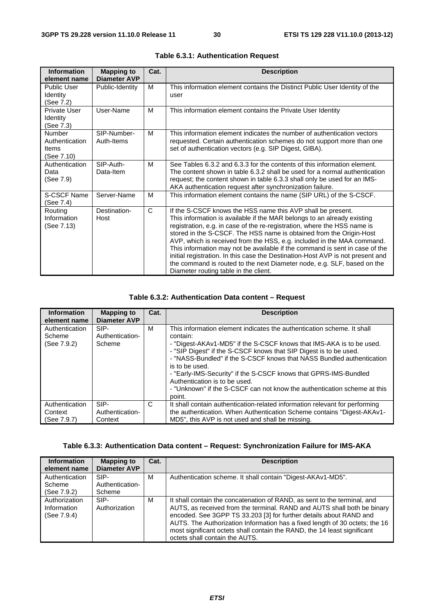| <b>Information</b><br>element name                            | <b>Mapping to</b><br><b>Diameter AVP</b> | Cat.         | <b>Description</b>                                                                                                                                                                                                                                                                                                                                                                                                                                                                                                                                                                                                                                       |
|---------------------------------------------------------------|------------------------------------------|--------------|----------------------------------------------------------------------------------------------------------------------------------------------------------------------------------------------------------------------------------------------------------------------------------------------------------------------------------------------------------------------------------------------------------------------------------------------------------------------------------------------------------------------------------------------------------------------------------------------------------------------------------------------------------|
| <b>Public User</b><br><b>Identity</b><br>(See 7.2)            | Public-Identity                          | м            | This information element contains the Distinct Public User Identity of the<br>user                                                                                                                                                                                                                                                                                                                                                                                                                                                                                                                                                                       |
| Private User<br>Identity<br>(See 7.3)                         | User-Name                                | M            | This information element contains the Private User Identity                                                                                                                                                                                                                                                                                                                                                                                                                                                                                                                                                                                              |
| <b>Number</b><br>Authentication<br><b>Items</b><br>(See 7.10) | SIP-Number-<br>Auth-Items                | M            | This information element indicates the number of authentication vectors<br>requested. Certain authentication schemes do not support more than one<br>set of authentication vectors (e.g. SIP Digest, GIBA).                                                                                                                                                                                                                                                                                                                                                                                                                                              |
| Authentication<br>Data<br>(See 7.9)                           | SIP-Auth-<br>Data-Item                   | M            | See Tables 6.3.2 and 6.3.3 for the contents of this information element.<br>The content shown in table 6.3.2 shall be used for a normal authentication<br>request; the content shown in table 6.3.3 shall only be used for an IMS-<br>AKA authentication request after synchronization failure.                                                                                                                                                                                                                                                                                                                                                          |
| S-CSCF Name<br>(See 7.4)                                      | Server-Name                              | M            | This information element contains the name (SIP URL) of the S-CSCF.                                                                                                                                                                                                                                                                                                                                                                                                                                                                                                                                                                                      |
| Routing<br>Information<br>(See 7.13)                          | Destination-<br>Host                     | $\mathsf{C}$ | If the S-CSCF knows the HSS name this AVP shall be present.<br>This information is available if the MAR belongs to an already existing<br>registration, e.g. in case of the re-registration, where the HSS name is<br>stored in the S-CSCF. The HSS name is obtained from the Origin-Host<br>AVP, which is received from the HSS, e.g. included in the MAA command.<br>This information may not be available if the command is sent in case of the<br>initial registration. In this case the Destination-Host AVP is not present and<br>the command is routed to the next Diameter node, e.g. SLF, based on the<br>Diameter routing table in the client. |

|  |  | Table 6.3.1: Authentication Request |  |  |
|--|--|-------------------------------------|--|--|
|--|--|-------------------------------------|--|--|

#### **Table 6.3.2: Authentication Data content – Request**

| <b>Information</b><br>element name       | <b>Mapping to</b><br><b>Diameter AVP</b> | Cat. | <b>Description</b>                                                                                                                                                                                                                                                                                                                                                                                                                                                                                                    |
|------------------------------------------|------------------------------------------|------|-----------------------------------------------------------------------------------------------------------------------------------------------------------------------------------------------------------------------------------------------------------------------------------------------------------------------------------------------------------------------------------------------------------------------------------------------------------------------------------------------------------------------|
| Authentication<br>Scheme<br>(See 7.9.2)  | SIP-<br>Authentication-<br>Scheme        | м    | This information element indicates the authentication scheme. It shall<br>contain:<br>- "Digest-AKAv1-MD5" if the S-CSCF knows that IMS-AKA is to be used.<br>- "SIP Digest" if the S-CSCF knows that SIP Digest is to be used.<br>- "NASS-Bundled" if the S-CSCF knows that NASS Bundled authentication<br>is to be used.<br>- "Early-IMS-Security" if the S-CSCF knows that GPRS-IMS-Bundled<br>Authentication is to be used.<br>- "Unknown" if the S-CSCF can not know the authentication scheme at this<br>point. |
| Authentication<br>Context<br>(See 7.9.7) | SIP-<br>Authentication-<br>Context       | C    | It shall contain authentication-related information relevant for performing<br>the authentication. When Authentication Scheme contains "Digest-AKAv1-<br>MD5", this AVP is not used and shall be missing.                                                                                                                                                                                                                                                                                                             |

### **Table 6.3.3: Authentication Data content – Request: Synchronization Failure for IMS-AKA**

| <b>Information</b><br>element name          | <b>Mapping to</b><br><b>Diameter AVP</b> | Cat. | <b>Description</b>                                                                                                                                                                                                                                                                                                                                                                                                     |
|---------------------------------------------|------------------------------------------|------|------------------------------------------------------------------------------------------------------------------------------------------------------------------------------------------------------------------------------------------------------------------------------------------------------------------------------------------------------------------------------------------------------------------------|
| Authentication<br>Scheme<br>(See 7.9.2)     | SIP-<br>Authentication-<br>Scheme        | M    | Authentication scheme. It shall contain "Digest-AKAv1-MD5".                                                                                                                                                                                                                                                                                                                                                            |
| Authorization<br>Information<br>(See 7.9.4) | SIP-<br>Authorization                    | м    | It shall contain the concatenation of RAND, as sent to the terminal, and<br>AUTS, as received from the terminal. RAND and AUTS shall both be binary<br>encoded. See 3GPP TS 33.203 [3] for further details about RAND and<br>AUTS. The Authorization Information has a fixed length of 30 octets; the 16<br>most significant octets shall contain the RAND, the 14 least significant<br>octets shall contain the AUTS. |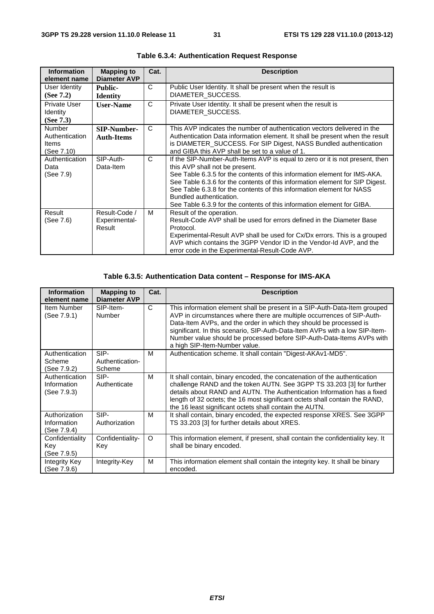| <b>Information</b><br>element name                     | <b>Mapping to</b><br><b>Diameter AVP</b> | Cat.         | <b>Description</b>                                                                                                                                                                                                                                                                                                                                                                                                                                        |
|--------------------------------------------------------|------------------------------------------|--------------|-----------------------------------------------------------------------------------------------------------------------------------------------------------------------------------------------------------------------------------------------------------------------------------------------------------------------------------------------------------------------------------------------------------------------------------------------------------|
| User Identity<br>(See $7.2$ )                          | <b>Public-</b><br><b>Identity</b>        | C            | Public User Identity. It shall be present when the result is<br>DIAMETER SUCCESS.                                                                                                                                                                                                                                                                                                                                                                         |
| Private User<br><b>Identity</b><br>(See $7.3$ )        | <b>User-Name</b>                         | $\mathsf{C}$ | Private User Identity. It shall be present when the result is<br>DIAMETER SUCCESS.                                                                                                                                                                                                                                                                                                                                                                        |
| <b>Number</b><br>Authentication<br>Items<br>(See 7.10) | <b>SIP-Number-</b><br><b>Auth-Items</b>  | $\mathsf{C}$ | This AVP indicates the number of authentication vectors delivered in the<br>Authentication Data information element. It shall be present when the result<br>is DIAMETER_SUCCESS. For SIP Digest, NASS Bundled authentication<br>and GIBA this AVP shall be set to a value of 1.                                                                                                                                                                           |
| Authentication<br>Data<br>(See 7.9)                    | SIP-Auth-<br>Data-Item                   | C            | If the SIP-Number-Auth-Items AVP is equal to zero or it is not present, then<br>this AVP shall not be present.<br>See Table 6.3.5 for the contents of this information element for IMS-AKA.<br>See Table 6.3.6 for the contents of this information element for SIP Digest.<br>See Table 6.3.8 for the contents of this information element for NASS<br>Bundled authentication.<br>See Table 6.3.9 for the contents of this information element for GIBA. |
| Result<br>(See 7.6)                                    | Result-Code /<br>Experimental-<br>Result | M            | Result of the operation.<br>Result-Code AVP shall be used for errors defined in the Diameter Base<br>Protocol.<br>Experimental-Result AVP shall be used for Cx/Dx errors. This is a grouped<br>AVP which contains the 3GPP Vendor ID in the Vendor-Id AVP, and the<br>error code in the Experimental-Result-Code AVP.                                                                                                                                     |

**Table 6.3.4: Authentication Request Response** 

### **Table 6.3.5: Authentication Data content – Response for IMS-AKA**

| <b>Information</b><br>element name           | <b>Mapping to</b><br><b>Diameter AVP</b> | Cat.     | <b>Description</b>                                                                                                                                                                                                                                                                                                                                                                                                 |
|----------------------------------------------|------------------------------------------|----------|--------------------------------------------------------------------------------------------------------------------------------------------------------------------------------------------------------------------------------------------------------------------------------------------------------------------------------------------------------------------------------------------------------------------|
| Item Number<br>(See 7.9.1)                   | SIP-Item-<br><b>Number</b>               | C        | This information element shall be present in a SIP-Auth-Data-Item grouped<br>AVP in circumstances where there are multiple occurrences of SIP-Auth-<br>Data-Item AVPs, and the order in which they should be processed is<br>significant. In this scenario, SIP-Auth-Data-Item AVPs with a low SIP-Item-<br>Number value should be processed before SIP-Auth-Data-Items AVPs with<br>a high SIP-Item-Number value. |
| Authentication<br>Scheme<br>(See 7.9.2)      | SIP-<br>Authentication-<br>Scheme        | M        | Authentication scheme. It shall contain "Digest-AKAv1-MD5".                                                                                                                                                                                                                                                                                                                                                        |
| Authentication<br>Information<br>(See 7.9.3) | SIP-<br>Authenticate                     | м        | It shall contain, binary encoded, the concatenation of the authentication<br>challenge RAND and the token AUTN. See 3GPP TS 33.203 [3] for further<br>details about RAND and AUTN. The Authentication Information has a fixed<br>length of 32 octets; the 16 most significant octets shall contain the RAND,<br>the 16 least significant octets shall contain the AUTN.                                            |
| Authorization<br>Information<br>(See 7.9.4)  | SIP-<br>Authorization                    | м        | It shall contain, binary encoded, the expected response XRES. See 3GPP<br>TS 33.203 [3] for further details about XRES.                                                                                                                                                                                                                                                                                            |
| Confidentiality<br>Key<br>(See 7.9.5)        | Confidentiality-<br>Key                  | $\Omega$ | This information element, if present, shall contain the confidentiality key. It<br>shall be binary encoded.                                                                                                                                                                                                                                                                                                        |
| Integrity Key<br>(See 7.9.6)                 | Integrity-Key                            | м        | This information element shall contain the integrity key. It shall be binary<br>encoded.                                                                                                                                                                                                                                                                                                                           |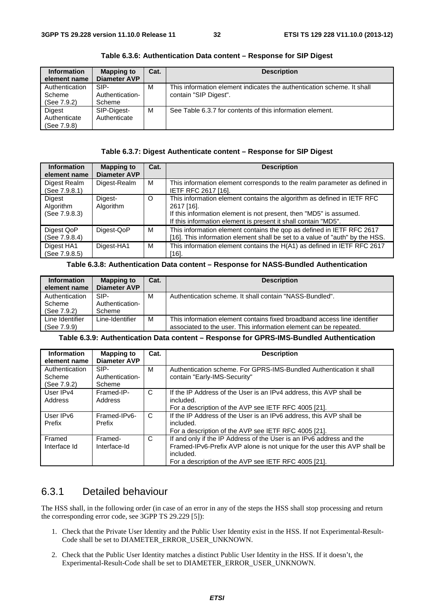| <b>Information</b> | <b>Mapping to</b><br><b>Diameter AVP</b> | Cat. | <b>Description</b>                                                     |
|--------------------|------------------------------------------|------|------------------------------------------------------------------------|
| element name       |                                          |      |                                                                        |
| Authentication     | SIP-                                     | м    | This information element indicates the authentication scheme. It shall |
| Scheme             | Authentication-                          |      | contain "SIP Digest".                                                  |
| (See 7.9.2)        | Scheme                                   |      |                                                                        |
| Digest             | SIP-Digest-                              | M    | See Table 6.3.7 for contents of this information element.              |
| Authenticate       | Authenticate                             |      |                                                                        |
| (See 7.9.8)        |                                          |      |                                                                        |

**Table 6.3.6: Authentication Data content – Response for SIP Digest** 

#### **Table 6.3.7: Digest Authenticate content – Response for SIP Digest**

| <b>Information</b><br>element name   | <b>Mapping to</b><br><b>Diameter AVP</b> | Cat.    | <b>Description</b>                                                                                                                                                                                                           |
|--------------------------------------|------------------------------------------|---------|------------------------------------------------------------------------------------------------------------------------------------------------------------------------------------------------------------------------------|
| Digest Realm<br>(See 7.9.8.1)        | Digest-Realm                             | м       | This information element corresponds to the realm parameter as defined in<br><b>IETF RFC 2617 [16].</b>                                                                                                                      |
| Digest<br>Algorithm<br>(See 7.9.8.3) | Digest-<br>Algorithm                     | $\circ$ | This information element contains the algorithm as defined in IETF RFC<br>2617 [16].<br>If this information element is not present, then "MD5" is assumed.<br>If this information element is present it shall contain "MD5". |
| Digest QoP<br>(See 7.9.8.4)          | Digest-QoP                               | м       | This information element contains the gop as defined in IETF RFC 2617<br>[16]. This information element shall be set to a value of "auth" by the HSS.                                                                        |
| Digest HA1<br>(See 7.9.8.5)          | Digest-HA1                               | м       | This information element contains the H(A1) as defined in IETF RFC 2617<br>[16].                                                                                                                                             |

#### **Table 6.3.8: Authentication Data content – Response for NASS-Bundled Authentication**

| <b>Information</b><br>element name      | <b>Mapping to</b><br><b>Diameter AVP</b> | Cat. | <b>Description</b>                                                                                                                            |
|-----------------------------------------|------------------------------------------|------|-----------------------------------------------------------------------------------------------------------------------------------------------|
| Authentication<br>Scheme<br>(See 7.9.2) | SIP-<br>Authentication-<br>Scheme        | м    | Authentication scheme. It shall contain "NASS-Bundled".                                                                                       |
| Line Identifier<br>(See 7.9.9)          | Line-Identifier                          | M    | This information element contains fixed broadband access line identifier<br>associated to the user. This information element can be repeated. |

#### **Table 6.3.9: Authentication Data content – Response for GPRS-IMS-Bundled Authentication**

| <b>Information</b><br>element name      | <b>Mapping to</b><br><b>Diameter AVP</b> | Cat. | <b>Description</b>                                                                                                                                                                                                     |
|-----------------------------------------|------------------------------------------|------|------------------------------------------------------------------------------------------------------------------------------------------------------------------------------------------------------------------------|
| Authentication<br>Scheme<br>(See 7.9.2) | SIP-<br>Authentication-<br>Scheme        | м    | Authentication scheme. For GPRS-IMS-Bundled Authentication it shall<br>contain "Early-IMS-Security"                                                                                                                    |
| User IPv4<br>Address                    | Framed-IP-<br>Address                    | C    | If the IP Address of the User is an IPv4 address, this AVP shall be<br>included.<br>For a description of the AVP see IETF RFC 4005 [21].                                                                               |
| User IP <sub>v6</sub><br>Prefix         | Framed-IPv6-<br>Prefix                   | C    | If the IP Address of the User is an IPv6 address, this AVP shall be<br>included.<br>For a description of the AVP see IETF RFC 4005 [21].                                                                               |
| Framed<br>Interface Id                  | Framed-<br>Interface-Id                  | C    | If and only if the IP Address of the User is an IPv6 address and the<br>Framed-IPv6-Prefix AVP alone is not unique for the user this AVP shall be<br>included.<br>For a description of the AVP see IETF RFC 4005 [21]. |

### 6.3.1 Detailed behaviour

The HSS shall, in the following order (in case of an error in any of the steps the HSS shall stop processing and return the corresponding error code, see 3GPP TS 29.229 [5]):

- 1. Check that the Private User Identity and the Public User Identity exist in the HSS. If not Experimental-Result-Code shall be set to DIAMETER\_ERROR\_USER\_UNKNOWN.
- 2. Check that the Public User Identity matches a distinct Public User Identity in the HSS. If it doesn't, the Experimental-Result-Code shall be set to DIAMETER\_ERROR\_USER\_UNKNOWN.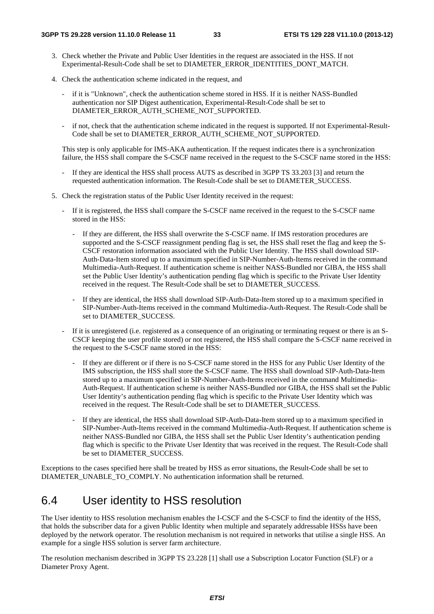- 3. Check whether the Private and Public User Identities in the request are associated in the HSS. If not Experimental-Result-Code shall be set to DIAMETER\_ERROR\_IDENTITIES\_DONT\_MATCH.
- 4. Check the authentication scheme indicated in the request, and
	- if it is "Unknown", check the authentication scheme stored in HSS. If it is neither NASS-Bundled authentication nor SIP Digest authentication, Experimental-Result-Code shall be set to DIAMETER\_ERROR\_AUTH\_SCHEME\_NOT\_SUPPORTED.
	- if not, check that the authentication scheme indicated in the request is supported. If not Experimental-Result-Code shall be set to DIAMETER\_ERROR\_AUTH\_SCHEME\_NOT\_SUPPORTED.

 This step is only applicable for IMS-AKA authentication. If the request indicates there is a synchronization failure, the HSS shall compare the S-CSCF name received in the request to the S-CSCF name stored in the HSS:

- If they are identical the HSS shall process AUTS as described in 3GPP TS 33.203 [3] and return the requested authentication information. The Result-Code shall be set to DIAMETER\_SUCCESS.
- 5. Check the registration status of the Public User Identity received in the request:
	- If it is registered, the HSS shall compare the S-CSCF name received in the request to the S-CSCF name stored in the HSS:
		- If they are different, the HSS shall overwrite the S-CSCF name. If IMS restoration procedures are supported and the S-CSCF reassignment pending flag is set, the HSS shall reset the flag and keep the S-CSCF restoration information associated with the Public User Identity. The HSS shall download SIP-Auth-Data-Item stored up to a maximum specified in SIP-Number-Auth-Items received in the command Multimedia-Auth-Request. If authentication scheme is neither NASS-Bundled nor GIBA, the HSS shall set the Public User Identity's authentication pending flag which is specific to the Private User Identity received in the request. The Result-Code shall be set to DIAMETER\_SUCCESS.
		- If they are identical, the HSS shall download SIP-Auth-Data-Item stored up to a maximum specified in SIP-Number-Auth-Items received in the command Multimedia-Auth-Request. The Result-Code shall be set to DIAMETER\_SUCCESS.
	- If it is unregistered (i.e. registered as a consequence of an originating or terminating request or there is an S-CSCF keeping the user profile stored) or not registered, the HSS shall compare the S-CSCF name received in the request to the S-CSCF name stored in the HSS:
		- If they are different or if there is no S-CSCF name stored in the HSS for any Public User Identity of the IMS subscription, the HSS shall store the S-CSCF name. The HSS shall download SIP-Auth-Data-Item stored up to a maximum specified in SIP-Number-Auth-Items received in the command Multimedia-Auth-Request. If authentication scheme is neither NASS-Bundled nor GIBA, the HSS shall set the Public User Identity's authentication pending flag which is specific to the Private User Identity which was received in the request. The Result-Code shall be set to DIAMETER\_SUCCESS.
		- If they are identical, the HSS shall download SIP-Auth-Data-Item stored up to a maximum specified in SIP-Number-Auth-Items received in the command Multimedia-Auth-Request. If authentication scheme is neither NASS-Bundled nor GIBA, the HSS shall set the Public User Identity's authentication pending flag which is specific to the Private User Identity that was received in the request. The Result-Code shall be set to DIAMETER\_SUCCESS.

Exceptions to the cases specified here shall be treated by HSS as error situations, the Result-Code shall be set to DIAMETER\_UNABLE\_TO\_COMPLY. No authentication information shall be returned.

# 6.4 User identity to HSS resolution

The User identity to HSS resolution mechanism enables the I-CSCF and the S-CSCF to find the identity of the HSS, that holds the subscriber data for a given Public Identity when multiple and separately addressable HSSs have been deployed by the network operator. The resolution mechanism is not required in networks that utilise a single HSS. An example for a single HSS solution is server farm architecture.

The resolution mechanism described in 3GPP TS 23.228 [1] shall use a Subscription Locator Function (SLF) or a Diameter Proxy Agent.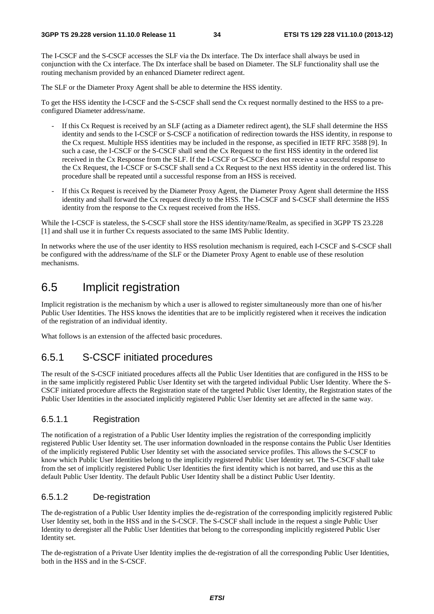The I-CSCF and the S-CSCF accesses the SLF via the Dx interface. The Dx interface shall always be used in conjunction with the Cx interface. The Dx interface shall be based on Diameter. The SLF functionality shall use the routing mechanism provided by an enhanced Diameter redirect agent.

The SLF or the Diameter Proxy Agent shall be able to determine the HSS identity.

To get the HSS identity the I-CSCF and the S-CSCF shall send the Cx request normally destined to the HSS to a preconfigured Diameter address/name.

- If this Cx Request is received by an SLF (acting as a Diameter redirect agent), the SLF shall determine the HSS identity and sends to the I-CSCF or S-CSCF a notification of redirection towards the HSS identity, in response to the Cx request. Multiple HSS identities may be included in the response, as specified in IETF RFC 3588 [9]. In such a case, the I-CSCF or the S-CSCF shall send the Cx Request to the first HSS identity in the ordered list received in the Cx Response from the SLF. If the I-CSCF or S-CSCF does not receive a successful response to the Cx Request, the I-CSCF or S-CSCF shall send a Cx Request to the next HSS identity in the ordered list. This procedure shall be repeated until a successful response from an HSS is received.
- If this Cx Request is received by the Diameter Proxy Agent, the Diameter Proxy Agent shall determine the HSS identity and shall forward the Cx request directly to the HSS. The I-CSCF and S-CSCF shall determine the HSS identity from the response to the Cx request received from the HSS.

While the I-CSCF is stateless, the S-CSCF shall store the HSS identity/name/Realm, as specified in 3GPP TS 23.228 [1] and shall use it in further Cx requests associated to the same IMS Public Identity.

In networks where the use of the user identity to HSS resolution mechanism is required, each I-CSCF and S-CSCF shall be configured with the address/name of the SLF or the Diameter Proxy Agent to enable use of these resolution mechanisms.

# 6.5 Implicit registration

Implicit registration is the mechanism by which a user is allowed to register simultaneously more than one of his/her Public User Identities. The HSS knows the identities that are to be implicitly registered when it receives the indication of the registration of an individual identity.

What follows is an extension of the affected basic procedures.

### 6.5.1 S-CSCF initiated procedures

The result of the S-CSCF initiated procedures affects all the Public User Identities that are configured in the HSS to be in the same implicitly registered Public User Identity set with the targeted individual Public User Identity. Where the S-CSCF initiated procedure affects the Registration state of the targeted Public User Identity, the Registration states of the Public User Identities in the associated implicitly registered Public User Identity set are affected in the same way.

#### 6.5.1.1 Registration

The notification of a registration of a Public User Identity implies the registration of the corresponding implicitly registered Public User Identity set. The user information downloaded in the response contains the Public User Identities of the implicitly registered Public User Identity set with the associated service profiles. This allows the S-CSCF to know which Public User Identities belong to the implicitly registered Public User Identity set. The S-CSCF shall take from the set of implicitly registered Public User Identities the first identity which is not barred, and use this as the default Public User Identity. The default Public User Identity shall be a distinct Public User Identity.

#### 6.5.1.2 De-registration

The de-registration of a Public User Identity implies the de-registration of the corresponding implicitly registered Public User Identity set, both in the HSS and in the S-CSCF. The S-CSCF shall include in the request a single Public User Identity to deregister all the Public User Identities that belong to the corresponding implicitly registered Public User Identity set.

The de-registration of a Private User Identity implies the de-registration of all the corresponding Public User Identities, both in the HSS and in the S-CSCF.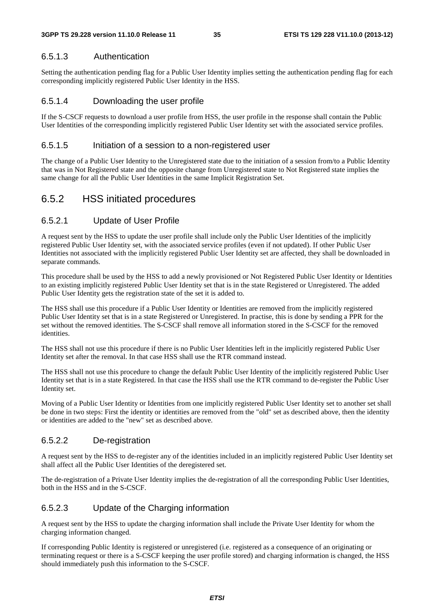#### 6.5.1.3 Authentication

Setting the authentication pending flag for a Public User Identity implies setting the authentication pending flag for each corresponding implicitly registered Public User Identity in the HSS.

#### 6.5.1.4 Downloading the user profile

If the S-CSCF requests to download a user profile from HSS, the user profile in the response shall contain the Public User Identities of the corresponding implicitly registered Public User Identity set with the associated service profiles.

#### 6.5.1.5 Initiation of a session to a non-registered user

The change of a Public User Identity to the Unregistered state due to the initiation of a session from/to a Public Identity that was in Not Registered state and the opposite change from Unregistered state to Not Registered state implies the same change for all the Public User Identities in the same Implicit Registration Set.

## 6.5.2 HSS initiated procedures

#### 6.5.2.1 Update of User Profile

A request sent by the HSS to update the user profile shall include only the Public User Identities of the implicitly registered Public User Identity set, with the associated service profiles (even if not updated). If other Public User Identities not associated with the implicitly registered Public User Identity set are affected, they shall be downloaded in separate commands.

This procedure shall be used by the HSS to add a newly provisioned or Not Registered Public User Identity or Identities to an existing implicitly registered Public User Identity set that is in the state Registered or Unregistered. The added Public User Identity gets the registration state of the set it is added to.

The HSS shall use this procedure if a Public User Identity or Identities are removed from the implicitly registered Public User Identity set that is in a state Registered or Unregistered. In practise, this is done by sending a PPR for the set without the removed identities. The S-CSCF shall remove all information stored in the S-CSCF for the removed identities.

The HSS shall not use this procedure if there is no Public User Identities left in the implicitly registered Public User Identity set after the removal. In that case HSS shall use the RTR command instead.

The HSS shall not use this procedure to change the default Public User Identity of the implicitly registered Public User Identity set that is in a state Registered. In that case the HSS shall use the RTR command to de-register the Public User Identity set.

Moving of a Public User Identity or Identities from one implicitly registered Public User Identity set to another set shall be done in two steps: First the identity or identities are removed from the "old" set as described above, then the identity or identities are added to the "new" set as described above.

#### 6.5.2.2 De-registration

A request sent by the HSS to de-register any of the identities included in an implicitly registered Public User Identity set shall affect all the Public User Identities of the deregistered set.

The de-registration of a Private User Identity implies the de-registration of all the corresponding Public User Identities, both in the HSS and in the S-CSCF.

#### 6.5.2.3 Update of the Charging information

A request sent by the HSS to update the charging information shall include the Private User Identity for whom the charging information changed.

If corresponding Public Identity is registered or unregistered (i.e. registered as a consequence of an originating or terminating request or there is a S-CSCF keeping the user profile stored) and charging information is changed, the HSS should immediately push this information to the S-CSCF.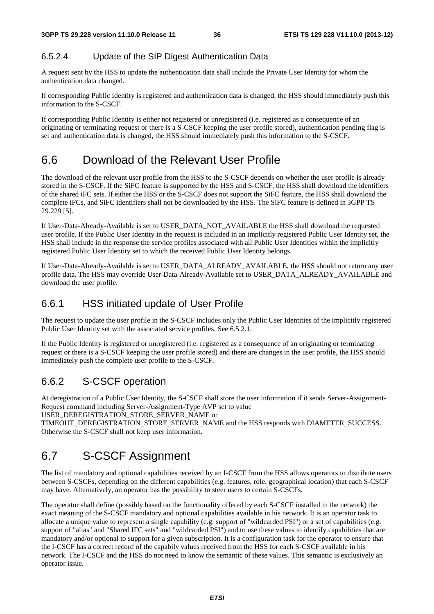#### 6.5.2.4 Update of the SIP Digest Authentication Data

A request sent by the HSS to update the authentication data shall include the Private User Identity for whom the authentication data changed.

If corresponding Public Identity is registered and authentication data is changed, the HSS should immediately push this information to the S-CSCF.

If corresponding Public Identity is either not registered or unregistered (i.e. registered as a consequence of an originating or terminating request or there is a S-CSCF keeping the user profile stored), authentication pending flag is set and authentication data is changed, the HSS should immediately push this information to the S-CSCF.

## 6.6 Download of the Relevant User Profile

The download of the relevant user profile from the HSS to the S-CSCF depends on whether the user profile is already stored in the S-CSCF. If the SiFC feature is supported by the HSS and S-CSCF, the HSS shall download the identifiers of the shared iFC sets. If either the HSS or the S-CSCF does not support the SiFC feature, the HSS shall download the complete iFCs, and SiFC identifiers shall not be downloaded by the HSS. The SiFC feature is defined in 3GPP TS 29.229 [5].

If User-Data-Already-Available is set to USER\_DATA\_NOT\_AVAILABLE the HSS shall download the requested user profile. If the Public User Identity in the request is included in an implicitly registered Public User Identity set, the HSS shall include in the response the service profiles associated with all Public User Identities within the implicitly registered Public User Identity set to which the received Public User Identity belongs.

If User-Data-Already-Available is set to USER\_DATA\_ALREADY\_AVAILABLE, the HSS should not return any user profile data. The HSS may override User-Data-Already-Available set to USER\_DATA\_ALREADY\_AVAILABLE and download the user profile.

#### 6.6.1 HSS initiated update of User Profile

The request to update the user profile in the S-CSCF includes only the Public User Identities of the implicitly registered Public User Identity set with the associated service profiles. See 6.5.2.1.

If the Public Identity is registered or unregistered (i.e. registered as a consequence of an originating or terminating request or there is a S-CSCF keeping the user profile stored) and there are changes in the user profile, the HSS should immediately push the complete user profile to the S-CSCF.

#### 6.6.2 S-CSCF operation

At deregistration of a Public User Identity, the S-CSCF shall store the user information if it sends Server-Assignment-Request command including Server-Assignment-Type AVP set to value

USER\_DEREGISTRATION\_STORE\_SERVER\_NAME or

TIMEOUT\_DEREGISTRATION\_STORE\_SERVER\_NAME and the HSS responds with DIAMETER\_SUCCESS. Otherwise the S-CSCF shall not keep user information.

## 6.7 S-CSCF Assignment

The list of mandatory and optional capabilities received by an I-CSCF from the HSS allows operators to distribute users between S-CSCFs, depending on the different capabilities (e.g. features, role, geographical location) that each S-CSCF may have. Alternatively, an operator has the possibility to steer users to certain S-CSCFs.

The operator shall define (possibly based on the functionality offered by each S-CSCF installed in the network) the exact meaning of the S-CSCF mandatory and optional capabilities available in his network. It is an operator task to allocate a unique value to represent a single capability (e.g. support of "wildcarded PSI") or a set of capabilities (e.g. support of "alias" and "Shared IFC sets" and "wildcarded PSI") and to use these values to identify capabilities that are mandatory and/or optional to support for a given subscription. It is a configuration task for the operator to ensure that the I-CSCF has a correct record of the capabily values received from the HSS for each S-CSCF available in his network. The I-CSCF and the HSS do not need to know the semantic of these values. This semantic is exclusively an operator issue.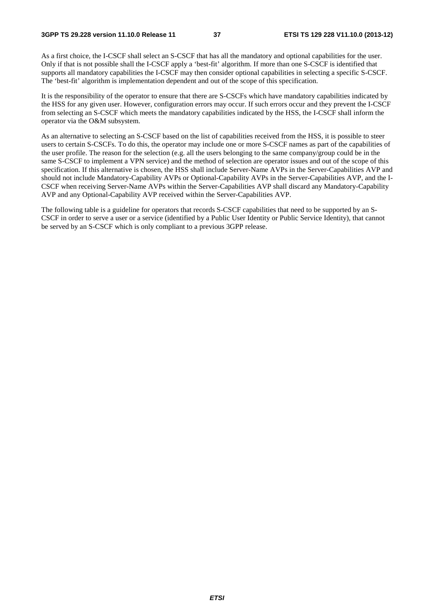As a first choice, the I-CSCF shall select an S-CSCF that has all the mandatory and optional capabilities for the user. Only if that is not possible shall the I-CSCF apply a 'best-fit' algorithm. If more than one S-CSCF is identified that supports all mandatory capabilities the I-CSCF may then consider optional capabilities in selecting a specific S-CSCF. The 'best-fit' algorithm is implementation dependent and out of the scope of this specification.

It is the responsibility of the operator to ensure that there are S-CSCFs which have mandatory capabilities indicated by the HSS for any given user. However, configuration errors may occur. If such errors occur and they prevent the I-CSCF from selecting an S-CSCF which meets the mandatory capabilities indicated by the HSS, the I-CSCF shall inform the operator via the O&M subsystem.

As an alternative to selecting an S-CSCF based on the list of capabilities received from the HSS, it is possible to steer users to certain S-CSCFs. To do this, the operator may include one or more S-CSCF names as part of the capabilities of the user profile. The reason for the selection (e.g. all the users belonging to the same company/group could be in the same S-CSCF to implement a VPN service) and the method of selection are operator issues and out of the scope of this specification. If this alternative is chosen, the HSS shall include Server-Name AVPs in the Server-Capabilities AVP and should not include Mandatory-Capability AVPs or Optional-Capability AVPs in the Server-Capabilities AVP, and the I-CSCF when receiving Server-Name AVPs within the Server-Capabilities AVP shall discard any Mandatory-Capability AVP and any Optional-Capability AVP received within the Server-Capabilities AVP.

The following table is a guideline for operators that records S-CSCF capabilities that need to be supported by an S-CSCF in order to serve a user or a service (identified by a Public User Identity or Public Service Identity), that cannot be served by an S-CSCF which is only compliant to a previous 3GPP release.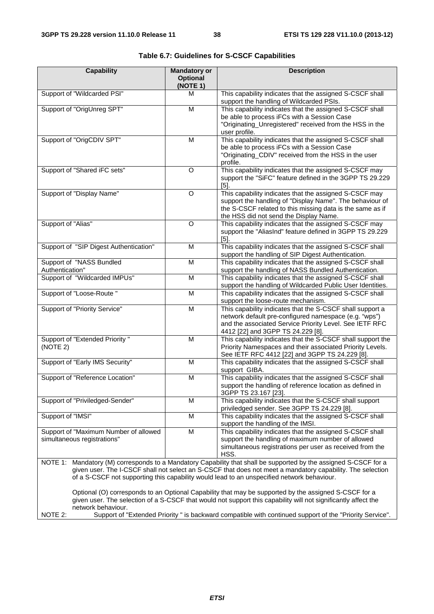| <b>Capability</b>                                                    | <b>Mandatory or</b><br><b>Optional</b><br>(NOTE 1) | <b>Description</b>                                                                                                                                                                                                                                                                                                           |  |  |  |
|----------------------------------------------------------------------|----------------------------------------------------|------------------------------------------------------------------------------------------------------------------------------------------------------------------------------------------------------------------------------------------------------------------------------------------------------------------------------|--|--|--|
| Support of "Wildcarded PSI"                                          | м                                                  | This capability indicates that the assigned S-CSCF shall<br>support the handling of Wildcarded PSIs.                                                                                                                                                                                                                         |  |  |  |
| Support of "OrigUnreg SPT"                                           | M                                                  | This capability indicates that the assigned S-CSCF shall<br>be able to process iFCs with a Session Case<br>"Originating_Unregistered" received from the HSS in the<br>user profile.                                                                                                                                          |  |  |  |
| Support of "OrigCDIV SPT"                                            | M                                                  | This capability indicates that the assigned S-CSCF shall<br>be able to process iFCs with a Session Case<br>"Originating_CDIV" received from the HSS in the user<br>profile.                                                                                                                                                  |  |  |  |
| Support of "Shared iFC sets"                                         | O                                                  | This capability indicates that the assigned S-CSCF may<br>support the "SiFC" feature defined in the 3GPP TS 29.229<br>$[5]$ .                                                                                                                                                                                                |  |  |  |
| Support of "Display Name"                                            | O                                                  | This capability indicates that the assigned S-CSCF may<br>support the handling of "Display Name". The behaviour of<br>the S-CSCF related to this missing data is the same as if<br>the HSS did not send the Display Name.                                                                                                    |  |  |  |
| Support of "Alias"                                                   | O                                                  | This capability indicates that the assigned S-CSCF may<br>support the "AliasInd" feature defined in 3GPP TS 29.229<br>$[5]$ .                                                                                                                                                                                                |  |  |  |
| Support of "SIP Digest Authentication"                               | M                                                  | This capability indicates that the assigned S-CSCF shall<br>support the handling of SIP Digest Authentication.                                                                                                                                                                                                               |  |  |  |
| Support of "NASS Bundled<br>Authentication"                          | M                                                  | This capability indicates that the assigned S-CSCF shall<br>support the handling of NASS Bundled Authentication.                                                                                                                                                                                                             |  |  |  |
| Support of "Wildcarded IMPUs"                                        | M                                                  | This capability indicates that the assigned S-CSCF shall<br>support the handling of Wildcarded Public User Identities.                                                                                                                                                                                                       |  |  |  |
| Support of "Loose-Route "                                            | M                                                  | This capability indicates that the assigned S-CSCF shall<br>support the loose-route mechanism.                                                                                                                                                                                                                               |  |  |  |
| Support of "Priority Service"                                        | M                                                  | This capability indicates that the S-CSCF shall support a<br>network default pre-configured namespace (e.g. "wps")<br>and the associated Service Priority Level. See IETF RFC<br>4412 [22] and 3GPP TS 24.229 [8].                                                                                                           |  |  |  |
| Support of "Extended Priority"<br>(NOTE 2)                           | M                                                  | This capability indicates that the S-CSCF shall support the<br>Priority Namespaces and their associated Priority Levels.<br>See IETF RFC 4412 [22] and 3GPP TS 24.229 [8].                                                                                                                                                   |  |  |  |
| Support of "Early IMS Security"                                      | M                                                  | This capability indicates that the assigned S-CSCF shall<br>support GIBA.                                                                                                                                                                                                                                                    |  |  |  |
| Support of "Reference Location"                                      | M                                                  | This capability indicates that the assigned S-CSCF shall<br>support the handling of reference location as defined in<br>3GPP TS 23.167 [23].                                                                                                                                                                                 |  |  |  |
| Support of "Priviledged-Sender"                                      | М                                                  | This capability indicates that the S-CSCF shall support<br>priviledged sender. See 3GPP TS 24.229 [8].                                                                                                                                                                                                                       |  |  |  |
| Support of "IMSI"                                                    | M                                                  | This capability indicates that the assigned S-CSCF shall<br>support the handling of the IMSI.                                                                                                                                                                                                                                |  |  |  |
| Support of "Maximum Number of allowed<br>simultaneous registrations" | M                                                  | This capability indicates that the assigned S-CSCF shall<br>support the handling of maximum number of allowed<br>simultaneous registrations per user as received from the<br>HSS.                                                                                                                                            |  |  |  |
|                                                                      |                                                    | NOTE 1: Mandatory (M) corresponds to a Mandatory Capability that shall be supported by the assigned S-CSCF for a<br>given user. The I-CSCF shall not select an S-CSCF that does not meet a mandatory capability. The selection<br>of a S-CSCF not supporting this capability would lead to an unspecified network behaviour. |  |  |  |
| network behaviour.                                                   |                                                    | Optional (O) corresponds to an Optional Capability that may be supported by the assigned S-CSCF for a<br>given user. The selection of a S-CSCF that would not support this capability will not significantly affect the                                                                                                      |  |  |  |
| NOTE 2:                                                              |                                                    | Support of "Extended Priority" is backward compatible with continued support of the "Priority Service".                                                                                                                                                                                                                      |  |  |  |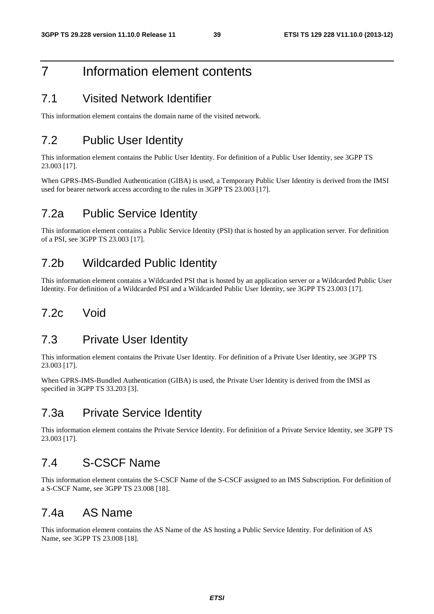# 7 Information element contents

#### 7.1 Visited Network Identifier

This information element contains the domain name of the visited network.

### 7.2 Public User Identity

This information element contains the Public User Identity. For definition of a Public User Identity, see 3GPP TS 23.003 [17].

When GPRS-IMS-Bundled Authentication (GIBA) is used, a Temporary Public User Identity is derived from the IMSI used for bearer network access according to the rules in 3GPP TS 23.003 [17].

#### 7.2a Public Service Identity

This information element contains a Public Service Identity (PSI) that is hosted by an application server. For definition of a PSI, see 3GPP TS 23.003 [17].

#### 7.2b Wildcarded Public Identity

This information element contains a Wildcarded PSI that is hosted by an application server or a Wildcarded Public User Identity. For definition of a Wildcarded PSI and a Wildcarded Public User Identity, see 3GPP TS 23.003 [17].

#### 7.2c Void

### 7.3 Private User Identity

This information element contains the Private User Identity. For definition of a Private User Identity, see 3GPP TS 23.003 [17].

When GPRS-IMS-Bundled Authentication (GIBA) is used, the Private User Identity is derived from the IMSI as specified in 3GPP TS 33.203 [3].

### 7.3a Private Service Identity

This information element contains the Private Service Identity. For definition of a Private Service Identity, see 3GPP TS 23.003 [17].

#### 7.4 S-CSCF Name

This information element contains the S-CSCF Name of the S-CSCF assigned to an IMS Subscription. For definition of a S-CSCF Name, see 3GPP TS 23.008 [18].

#### 7.4a AS Name

This information element contains the AS Name of the AS hosting a Public Service Identity. For definition of AS Name, see 3GPP TS 23.008 [18].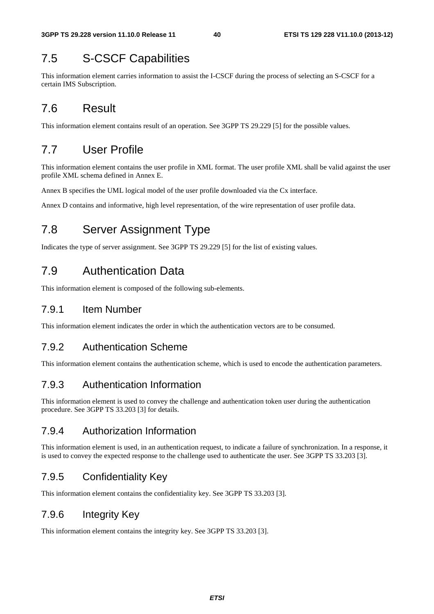## 7.5 S-CSCF Capabilities

This information element carries information to assist the I-CSCF during the process of selecting an S-CSCF for a certain IMS Subscription.

## 7.6 Result

This information element contains result of an operation. See 3GPP TS 29.229 [5] for the possible values.

## 7.7 User Profile

This information element contains the user profile in XML format. The user profile XML shall be valid against the user profile XML schema defined in Annex E.

Annex B specifies the UML logical model of the user profile downloaded via the Cx interface.

Annex D contains and informative, high level representation, of the wire representation of user profile data.

## 7.8 Server Assignment Type

Indicates the type of server assignment. See 3GPP TS 29.229 [5] for the list of existing values.

## 7.9 Authentication Data

This information element is composed of the following sub-elements.

#### 7.9.1 Item Number

This information element indicates the order in which the authentication vectors are to be consumed.

#### 7.9.2 Authentication Scheme

This information element contains the authentication scheme, which is used to encode the authentication parameters.

#### 7.9.3 Authentication Information

This information element is used to convey the challenge and authentication token user during the authentication procedure. See 3GPP TS 33.203 [3] for details.

#### 7.9.4 Authorization Information

This information element is used, in an authentication request, to indicate a failure of synchronization. In a response, it is used to convey the expected response to the challenge used to authenticate the user. See 3GPP TS 33.203 [3].

#### 7.9.5 Confidentiality Key

This information element contains the confidentiality key. See 3GPP TS 33.203 [3].

#### 7.9.6 Integrity Key

This information element contains the integrity key. See 3GPP TS 33.203 [3].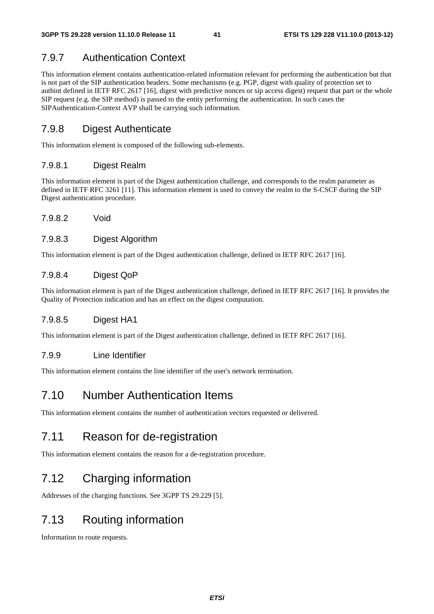#### 7.9.7 Authentication Context

This information element contains authentication-related information relevant for performing the authentication but that is not part of the SIP authentication headers. Some mechanisms (e.g. PGP, digest with quality of protection set to authint defined in IETF RFC 2617 [16], digest with predictive nonces or sip access digest) request that part or the whole SIP request (e.g. the SIP method) is passed to the entity performing the authentication. In such cases the SIPAuthentication-Context AVP shall be carrying such information.

#### 7.9.8 Digest Authenticate

This information element is composed of the following sub-elements.

#### 7.9.8.1 Digest Realm

This information element is part of the Digest authentication challenge, and corresponds to the realm parameter as defined in IETF RFC 3261 [11]. This information element is used to convey the realm to the S-CSCF during the SIP Digest authentication procedure.

7.9.8.2 Void

#### 7.9.8.3 Digest Algorithm

This information element is part of the Digest authentication challenge, defined in IETF RFC 2617 [16].

#### 7.9.8.4 Digest QoP

This information element is part of the Digest authentication challenge, defined in IETF RFC 2617 [16]. It provides the Quality of Protection indication and has an effect on the digest computation.

#### 7.9.8.5 Digest HA1

This information element is part of the Digest authentication challenge, defined in IETF RFC 2617 [16].

#### 7.9.9 Line Identifier

This information element contains the line identifier of the user's network termination.

#### 7.10 Number Authentication Items

This information element contains the number of authentication vectors requested or delivered.

#### 7.11 Reason for de-registration

This information element contains the reason for a de-registration procedure.

## 7.12 Charging information

Addresses of the charging functions. See 3GPP TS 29.229 [5].

### 7.13 Routing information

Information to route requests.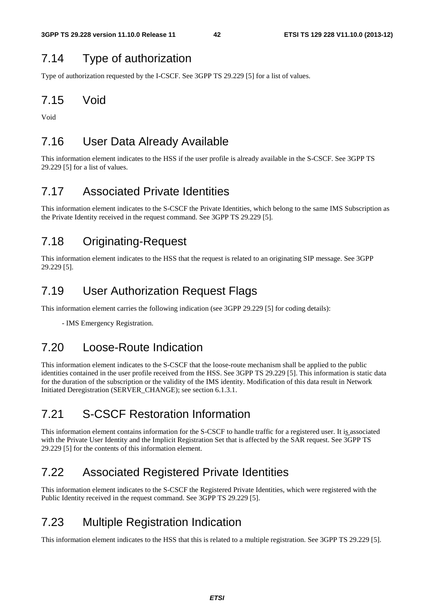#### 7.14 Type of authorization

Type of authorization requested by the I-CSCF. See 3GPP TS 29.229 [5] for a list of values.

#### 7.15 Void

Void

## 7.16 User Data Already Available

This information element indicates to the HSS if the user profile is already available in the S-CSCF. See 3GPP TS 29.229 [5] for a list of values.

#### 7.17 Associated Private Identities

This information element indicates to the S-CSCF the Private Identities, which belong to the same IMS Subscription as the Private Identity received in the request command. See 3GPP TS 29.229 [5].

### 7.18 Originating-Request

This information element indicates to the HSS that the request is related to an originating SIP message. See 3GPP 29.229 [5].

### 7.19 User Authorization Request Flags

This information element carries the following indication (see 3GPP 29.229 [5] for coding details):

- IMS Emergency Registration.

#### 7.20 Loose-Route Indication

This information element indicates to the S-CSCF that the loose-route mechanism shall be applied to the public identities contained in the user profile received from the HSS. See 3GPP TS 29.229 [5]. This information is static data for the duration of the subscription or the validity of the IMS identity. Modification of this data result in Network Initiated Deregistration (SERVER\_CHANGE); see section 6.1.3.1.

## 7.21 S-CSCF Restoration Information

This information element contains information for the S-CSCF to handle traffic for a registered user. It is associated with the Private User Identity and the Implicit Registration Set that is affected by the SAR request. See 3GPP TS 29.229 [5] for the contents of this information element.

### 7.22 Associated Registered Private Identities

This information element indicates to the S-CSCF the Registered Private Identities, which were registered with the Public Identity received in the request command. See 3GPP TS 29.229 [5].

## 7.23 Multiple Registration Indication

This information element indicates to the HSS that this is related to a multiple registration. See 3GPP TS 29.229 [5].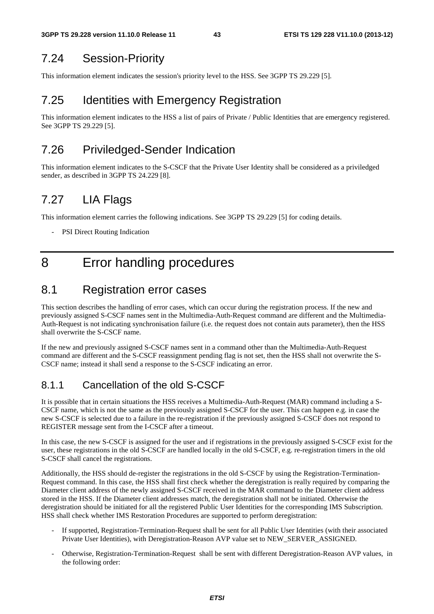### 7.24 Session-Priority

This information element indicates the session's priority level to the HSS. See 3GPP TS 29.229 [5].

## 7.25 Identities with Emergency Registration

This information element indicates to the HSS a list of pairs of Private / Public Identities that are emergency registered. See 3GPP TS 29.229 [5].

### 7.26 Priviledged-Sender Indication

This information element indicates to the S-CSCF that the Private User Identity shall be considered as a priviledged sender, as described in 3GPP TS 24.229 [8].

## 7.27 LIA Flags

This information element carries the following indications. See 3GPP TS 29.229 [5] for coding details.

PSI Direct Routing Indication

## 8 Error handling procedures

#### 8.1 Registration error cases

This section describes the handling of error cases, which can occur during the registration process. If the new and previously assigned S-CSCF names sent in the Multimedia-Auth-Request command are different and the Multimedia-Auth-Request is not indicating synchronisation failure (i.e. the request does not contain auts parameter), then the HSS shall overwrite the S-CSCF name.

If the new and previously assigned S-CSCF names sent in a command other than the Multimedia-Auth-Request command are different and the S-CSCF reassignment pending flag is not set, then the HSS shall not overwrite the S-CSCF name; instead it shall send a response to the S-CSCF indicating an error.

#### 8.1.1 Cancellation of the old S-CSCF

It is possible that in certain situations the HSS receives a Multimedia-Auth-Request (MAR) command including a S-CSCF name, which is not the same as the previously assigned S-CSCF for the user. This can happen e.g. in case the new S-CSCF is selected due to a failure in the re-registration if the previously assigned S-CSCF does not respond to REGISTER message sent from the I-CSCF after a timeout.

In this case, the new S-CSCF is assigned for the user and if registrations in the previously assigned S-CSCF exist for the user, these registrations in the old S-CSCF are handled locally in the old S-CSCF, e.g. re-registration timers in the old S-CSCF shall cancel the registrations.

Additionally, the HSS should de-register the registrations in the old S-CSCF by using the Registration-Termination-Request command. In this case, the HSS shall first check whether the deregistration is really required by comparing the Diameter client address of the newly assigned S-CSCF received in the MAR command to the Diameter client address stored in the HSS. If the Diameter client addresses match, the deregistration shall not be initiated. Otherwise the deregistration should be initiated for all the registered Public User Identities for the corresponding IMS Subscription. HSS shall check whether IMS Restoration Procedures are supported to perform deregistration:

- If supported, Registration-Termination-Request shall be sent for all Public User Identities (with their associated Private User Identities), with Deregistration-Reason AVP value set to NEW\_SERVER\_ASSIGNED.
- Otherwise, Registration-Termination-Request shall be sent with different Deregistration-Reason AVP values, in the following order: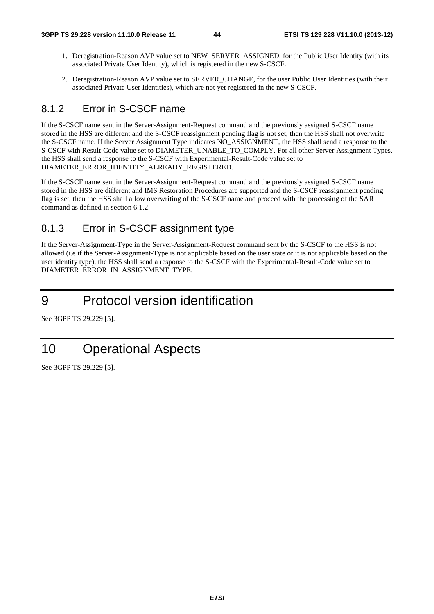- 1. Deregistration-Reason AVP value set to NEW\_SERVER\_ASSIGNED, for the Public User Identity (with its associated Private User Identity), which is registered in the new S-CSCF.
- 2. Deregistration-Reason AVP value set to SERVER\_CHANGE, for the user Public User Identities (with their associated Private User Identities), which are not yet registered in the new S-CSCF.

#### 8.1.2 Error in S-CSCF name

If the S-CSCF name sent in the Server-Assignment-Request command and the previously assigned S-CSCF name stored in the HSS are different and the S-CSCF reassignment pending flag is not set, then the HSS shall not overwrite the S-CSCF name. If the Server Assignment Type indicates NO\_ASSIGNMENT, the HSS shall send a response to the S-CSCF with Result-Code value set to DIAMETER\_UNABLE\_TO\_COMPLY. For all other Server Assignment Types, the HSS shall send a response to the S-CSCF with Experimental-Result-Code value set to DIAMETER\_ERROR\_IDENTITY\_ALREADY\_REGISTERED.

If the S-CSCF name sent in the Server-Assignment-Request command and the previously assigned S-CSCF name stored in the HSS are different and IMS Restoration Procedures are supported and the S-CSCF reassignment pending flag is set, then the HSS shall allow overwriting of the S-CSCF name and proceed with the processing of the SAR command as defined in section 6.1.2.

#### 8.1.3 Error in S-CSCF assignment type

If the Server-Assignment-Type in the Server-Assignment-Request command sent by the S-CSCF to the HSS is not allowed (i.e if the Server-Assignment-Type is not applicable based on the user state or it is not applicable based on the user identity type), the HSS shall send a response to the S-CSCF with the Experimental-Result-Code value set to DIAMETER\_ERROR\_IN\_ASSIGNMENT\_TYPE.

# 9 Protocol version identification

See 3GPP TS 29.229 [5].

# 10 Operational Aspects

See 3GPP TS 29.229 [5].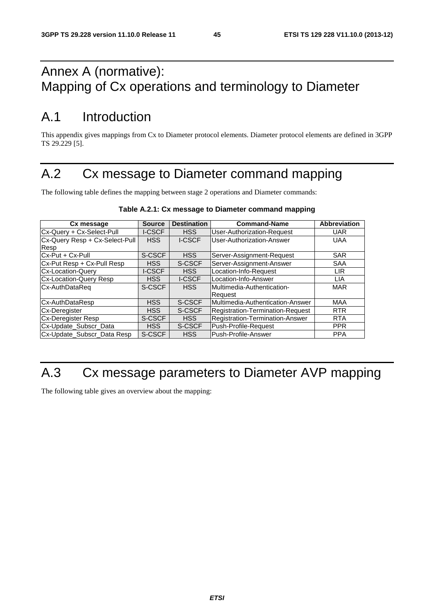# Annex A (normative): Mapping of Cx operations and terminology to Diameter

# A.1 Introduction

This appendix gives mappings from Cx to Diameter protocol elements. Diameter protocol elements are defined in 3GPP TS 29.229 [5].

# A.2 Cx message to Diameter command mapping

The following table defines the mapping between stage 2 operations and Diameter commands:

| Cx message                     | <b>Source</b> | <b>Destination</b> | <b>Command-Name</b>               | <b>Abbreviation</b> |
|--------------------------------|---------------|--------------------|-----------------------------------|---------------------|
| Cx-Query + Cx-Select-Pull      | <b>I-CSCF</b> | <b>HSS</b>         | <b>User-Authorization-Request</b> | <b>UAR</b>          |
| Cx-Query Resp + Cx-Select-Pull | <b>HSS</b>    | I-CSCF             | User-Authorization-Answer         | <b>UAA</b>          |
| Resp                           |               |                    |                                   |                     |
| Cx-Put + Cx-Pull               | S-CSCF        | <b>HSS</b>         | Server-Assignment-Request         | <b>SAR</b>          |
| Cx-Put Resp + Cx-Pull Resp     | <b>HSS</b>    | S-CSCF             | Server-Assignment-Answer          | <b>SAA</b>          |
| <b>Cx-Location-Query</b>       | <b>I-CSCF</b> | <b>HSS</b>         | Location-Info-Request             | <b>LIR</b>          |
| <b>Cx-Location-Query Resp</b>  | <b>HSS</b>    | <b>I-CSCF</b>      | Location-Info-Answer              | <b>LIA</b>          |
| Cx-AuthDataReq                 | S-CSCF        | <b>HSS</b>         | <b>Multimedia-Authentication-</b> | <b>MAR</b>          |
|                                |               |                    | <b>Request</b>                    |                     |
| Cx-AuthDataResp                | <b>HSS</b>    | S-CSCF             | Multimedia-Authentication-Answer  | <b>MAA</b>          |
| <b>Cx-Deregister</b>           | <b>HSS</b>    | S-CSCF             | Registration-Termination-Request  | <b>RTR</b>          |
| <b>Cx-Deregister Resp</b>      | S-CSCF        | <b>HSS</b>         | Registration-Termination-Answer   | <b>RTA</b>          |
| Cx-Update_Subscr_Data          | <b>HSS</b>    | S-CSCF             | Push-Profile-Request              | <b>PPR</b>          |
| Cx-Update_Subscr_Data Resp     | S-CSCF        | <b>HSS</b>         | Push-Profile-Answer               | <b>PPA</b>          |

#### **Table A.2.1: Cx message to Diameter command mapping**

# A.3 Cx message parameters to Diameter AVP mapping

The following table gives an overview about the mapping: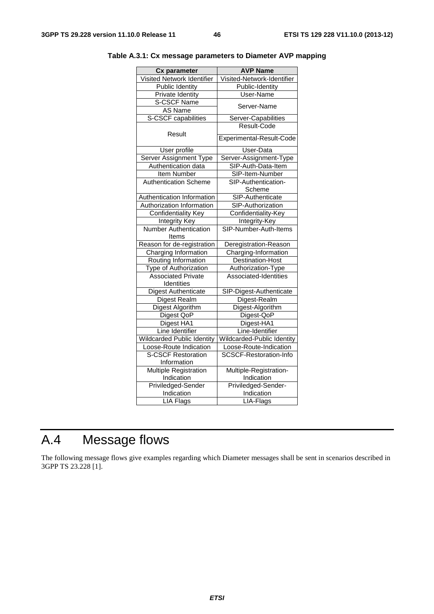| Cx parameter                      | <b>AVP Name</b>               |
|-----------------------------------|-------------------------------|
| Visited Network Identifier        | Visited-Network-Identifier    |
| <b>Public Identity</b>            | Public-Identity               |
| Private Identity                  | User-Name                     |
| <b>S-CSCF Name</b>                | Server-Name                   |
| AS Name                           |                               |
| S-CSCF capabilities               | Server-Capabilities           |
|                                   | Result-Code                   |
| Result                            | Experimental-Result-Code      |
| <b>User profile</b>               | User-Data                     |
| <b>Server Assignment Type</b>     | Server-Assignment-Type        |
| Authentication data               | SIP-Auth-Data-Item            |
| Item Number                       | SIP-Item-Number               |
| <b>Authentication Scheme</b>      | SIP-Authentication-           |
|                                   | Scheme                        |
| Authentication Information        | SIP-Authenticate              |
| Authorization Information         | SIP-Authorization             |
| <b>Confidentiality Key</b>        | Confidentiality-Key           |
| Integrity Key                     | Integrity-Key                 |
| <b>Number Authentication</b>      | SIP-Number-Auth-Items         |
| Items                             |                               |
| Reason for de-registration        | Deregistration-Reason         |
| Charging Information              | Charging-Information          |
| Routing Information               | <b>Destination-Host</b>       |
| Type of Authorization             | Authorization-Type            |
| <b>Associated Private</b>         | Associated-Identities         |
| Identities                        |                               |
| Digest Authenticate               | SIP-Digest-Authenticate       |
| Digest Realm                      | Digest-Realm                  |
| <b>Digest Algorithm</b>           | Digest-Algorithm              |
| Digest QoP                        | Digest-QoP                    |
| Digest HA1                        | Digest-HA1                    |
| Line Identifier                   | Line-Identifier               |
| <b>Wildcarded Public Identity</b> | Wildcarded-Public Identity    |
| Loose-Route Indication            | Loose-Route-Indication        |
| <b>S-CSCF Restoration</b>         | <b>SCSCF-Restoration-Info</b> |
| Information                       |                               |
| <b>Multiple Registration</b>      | Multiple-Registration-        |
| Indication                        | Indication                    |
| Priviledged-Sender                | Priviledged-Sender-           |
| Indication                        | Indication                    |
| <b>LIA Flags</b>                  | LIA-Flags                     |

**Table A.3.1: Cx message parameters to Diameter AVP mapping** 

# A.4 Message flows

The following message flows give examples regarding which Diameter messages shall be sent in scenarios described in 3GPP TS 23.228 [1].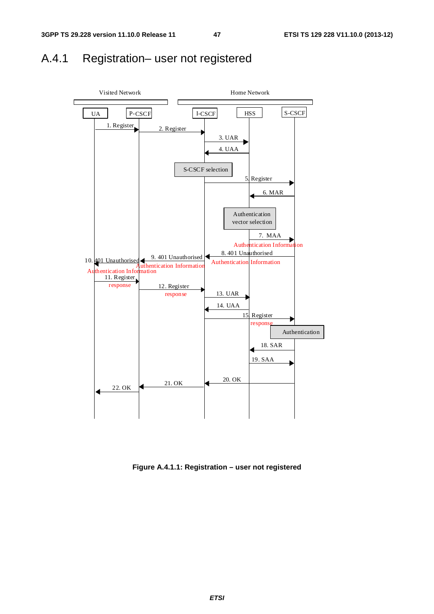## A.4.1 Registration– user not registered



**Figure A.4.1.1: Registration – user not registered**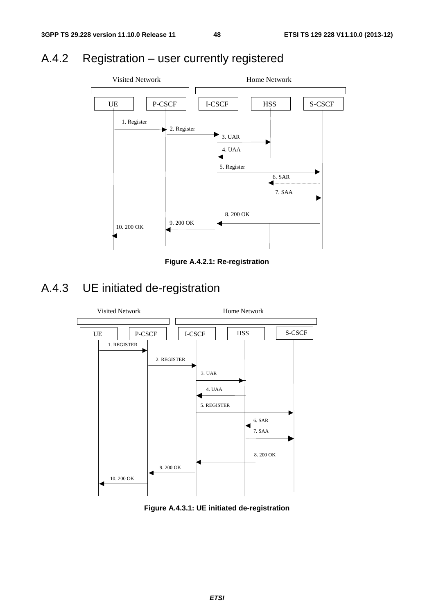# A.4.2 Registration – user currently registered



**Figure A.4.2.1: Re-registration** 

# A.4.3 UE initiated de-registration



**Figure A.4.3.1: UE initiated de-registration**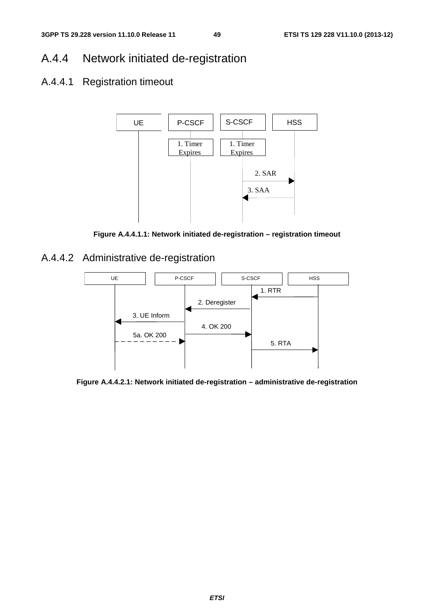## A.4.4 Network initiated de-registration

## A.4.4.1 Registration timeout



**Figure A.4.4.1.1: Network initiated de-registration – registration timeout** 

A.4.4.2 Administrative de-registration



**Figure A.4.4.2.1: Network initiated de-registration – administrative de-registration**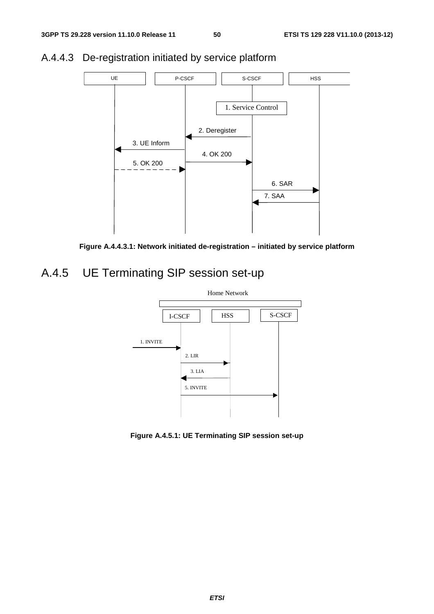

## A.4.4.3 De-registration initiated by service platform



# A.4.5 UE Terminating SIP session set-up



**Figure A.4.5.1: UE Terminating SIP session set-up**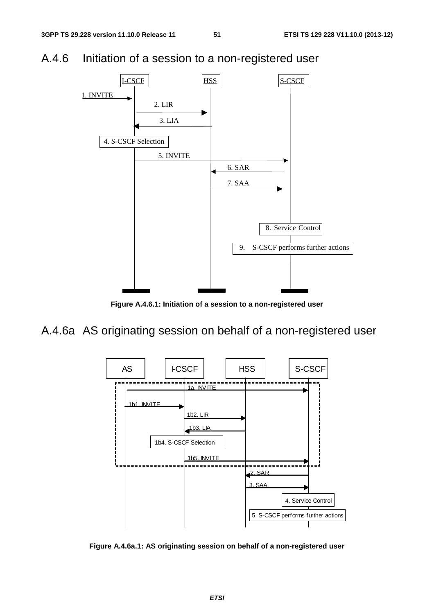A.4.6 Initiation of a session to a non-registered user



**Figure A.4.6.1: Initiation of a session to a non-registered user** 

A.4.6a AS originating session on behalf of a non-registered user



**Figure A.4.6a.1: AS originating session on behalf of a non-registered user**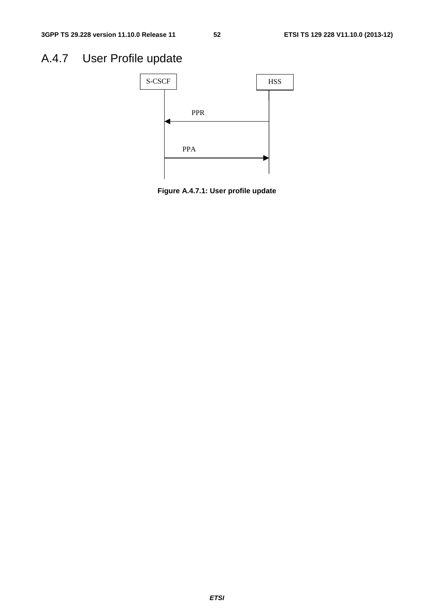# A.4.7 User Profile update



**Figure A.4.7.1: User profile update**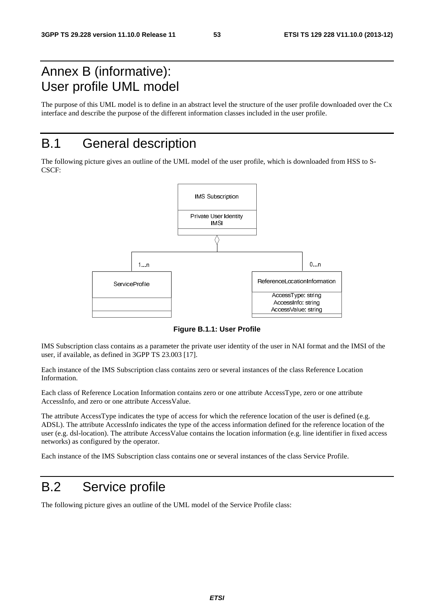# Annex B (informative): User profile UML model

The purpose of this UML model is to define in an abstract level the structure of the user profile downloaded over the Cx interface and describe the purpose of the different information classes included in the user profile.

## B.1 General description

The following picture gives an outline of the UML model of the user profile, which is downloaded from HSS to S-CSCF:



**Figure B.1.1: User Profile** 

IMS Subscription class contains as a parameter the private user identity of the user in NAI format and the IMSI of the user, if available, as defined in 3GPP TS 23.003 [17].

Each instance of the IMS Subscription class contains zero or several instances of the class Reference Location Information.

Each class of Reference Location Information contains zero or one attribute AccessType, zero or one attribute AccessInfo, and zero or one attribute AccessValue.

The attribute AccessType indicates the type of access for which the reference location of the user is defined (e.g. ADSL). The attribute AccessInfo indicates the type of the access information defined for the reference location of the user (e.g. dsl-location). The attribute AccessValue contains the location information (e.g. line identifier in fixed access networks) as configured by the operator.

Each instance of the IMS Subscription class contains one or several instances of the class Service Profile.

## B.2 Service profile

The following picture gives an outline of the UML model of the Service Profile class: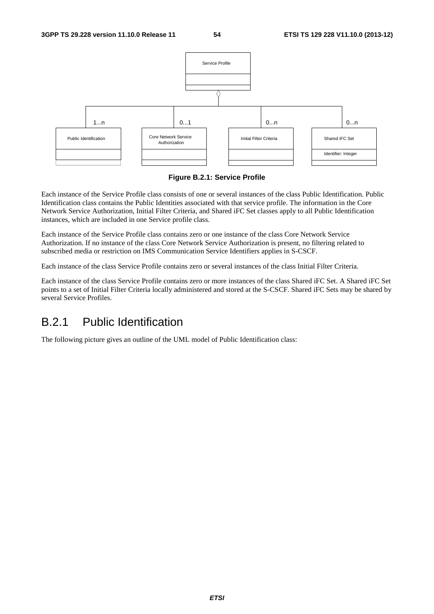

**Figure B.2.1: Service Profile** 

Each instance of the Service Profile class consists of one or several instances of the class Public Identification. Public Identification class contains the Public Identities associated with that service profile. The information in the Core Network Service Authorization, Initial Filter Criteria, and Shared iFC Set classes apply to all Public Identification instances, which are included in one Service profile class.

Each instance of the Service Profile class contains zero or one instance of the class Core Network Service Authorization. If no instance of the class Core Network Service Authorization is present, no filtering related to subscribed media or restriction on IMS Communication Service Identifiers applies in S-CSCF.

Each instance of the class Service Profile contains zero or several instances of the class Initial Filter Criteria.

Each instance of the class Service Profile contains zero or more instances of the class Shared iFC Set. A Shared iFC Set points to a set of Initial Filter Criteria locally administered and stored at the S-CSCF. Shared iFC Sets may be shared by several Service Profiles.

## B.2.1 Public Identification

The following picture gives an outline of the UML model of Public Identification class: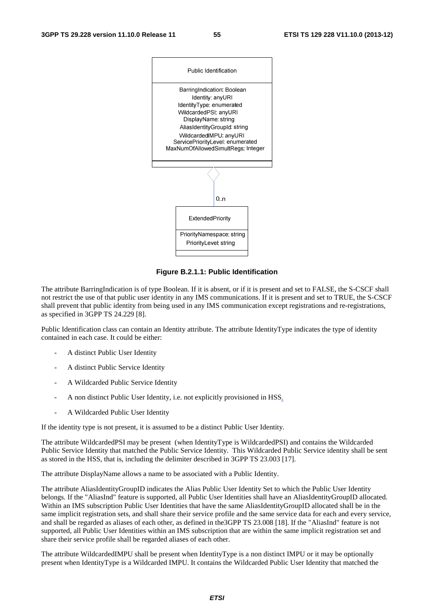

**Figure B.2.1.1: Public Identification** 

The attribute BarringIndication is of type Boolean. If it is absent, or if it is present and set to FALSE, the S-CSCF shall not restrict the use of that public user identity in any IMS communications. If it is present and set to TRUE, the S-CSCF shall prevent that public identity from being used in any IMS communication except registrations and re-registrations, as specified in 3GPP TS 24.229 [8].

Public Identification class can contain an Identity attribute. The attribute IdentityType indicates the type of identity contained in each case. It could be either:

- A distinct Public User Identity
- A distinct Public Service Identity
- A Wildcarded Public Service Identity
- A non distinct Public User Identity, i.e. not explicitly provisioned in HSS.
- A Wildcarded Public User Identity

If the identity type is not present, it is assumed to be a distinct Public User Identity.

The attribute WildcardedPSI may be present (when IdentityType is WildcardedPSI) and contains the Wildcarded Public Service Identity that matched the Public Service Identity. This Wildcarded Public Service identity shall be sent as stored in the HSS, that is, including the delimiter described in 3GPP TS 23.003 [17].

The attribute DisplayName allows a name to be associated with a Public Identity.

The attribute AliasIdentityGroupID indicates the Alias Public User Identity Set to which the Public User Identity belongs. If the "AliasInd" feature is supported, all Public User Identities shall have an AliasIdentityGroupID allocated. Within an IMS subscription Public User Identities that have the same AliasIdentityGroupID allocated shall be in the same implicit registration sets, and shall share their service profile and the same service data for each and every service, and shall be regarded as aliases of each other, as defined in the3GPP TS 23.008 [18]. If the "AliasInd" feature is not supported, all Public User Identities within an IMS subscription that are within the same implicit registration set and share their service profile shall be regarded aliases of each other.

The attribute WildcardedIMPU shall be present when IdentityType is a non distinct IMPU or it may be optionally present when IdentityType is a Wildcarded IMPU. It contains the Wildcarded Public User Identity that matched the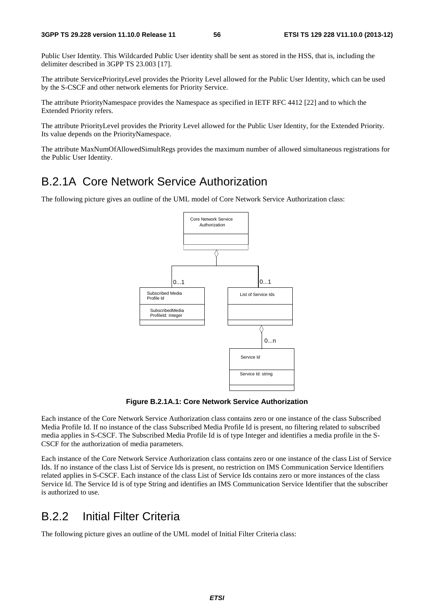Public User Identity. This Wildcarded Public User identity shall be sent as stored in the HSS, that is, including the delimiter described in 3GPP TS 23.003 [17].

The attribute ServicePriorityLevel provides the Priority Level allowed for the Public User Identity, which can be used by the S-CSCF and other network elements for Priority Service.

The attribute PriorityNamespace provides the Namespace as specified in IETF RFC 4412 [22] and to which the Extended Priority refers.

The attribute PriorityLevel provides the Priority Level allowed for the Public User Identity, for the Extended Priority. Its value depends on the PriorityNamespace.

The attribute MaxNumOfAllowedSimultRegs provides the maximum number of allowed simultaneous registrations for the Public User Identity.

## B.2.1A Core Network Service Authorization

The following picture gives an outline of the UML model of Core Network Service Authorization class:



**Figure B.2.1A.1: Core Network Service Authorization** 

Each instance of the Core Network Service Authorization class contains zero or one instance of the class Subscribed Media Profile Id. If no instance of the class Subscribed Media Profile Id is present, no filtering related to subscribed media applies in S-CSCF. The Subscribed Media Profile Id is of type Integer and identifies a media profile in the S-CSCF for the authorization of media parameters.

Each instance of the Core Network Service Authorization class contains zero or one instance of the class List of Service Ids. If no instance of the class List of Service Ids is present, no restriction on IMS Communication Service Identifiers related applies in S-CSCF. Each instance of the class List of Service Ids contains zero or more instances of the class Service Id. The Service Id is of type String and identifies an IMS Communication Service Identifier that the subscriber is authorized to use.

#### B.2.2 Initial Filter Criteria

The following picture gives an outline of the UML model of Initial Filter Criteria class: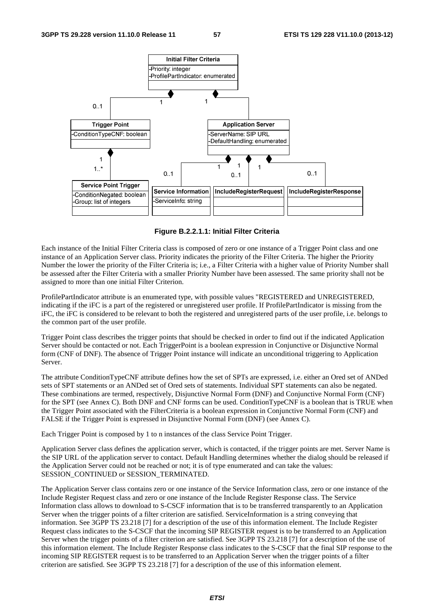

**Figure B.2.2.1.1: Initial Filter Criteria** 

Each instance of the Initial Filter Criteria class is composed of zero or one instance of a Trigger Point class and one instance of an Application Server class. Priority indicates the priority of the Filter Criteria. The higher the Priority Number the lower the priority of the Filter Criteria is; i.e., a Filter Criteria with a higher value of Priority Number shall be assessed after the Filter Criteria with a smaller Priority Number have been assessed. The same priority shall not be assigned to more than one initial Filter Criterion.

ProfilePartIndicator attribute is an enumerated type, with possible values "REGISTERED and UNREGISTERED, indicating if the iFC is a part of the registered or unregistered user profile. If ProfilePartIndicator is missing from the iFC, the iFC is considered to be relevant to both the registered and unregistered parts of the user profile, i.e. belongs to the common part of the user profile.

Trigger Point class describes the trigger points that should be checked in order to find out if the indicated Application Server should be contacted or not. Each TriggerPoint is a boolean expression in Conjunctive or Disjunctive Normal form (CNF of DNF). The absence of Trigger Point instance will indicate an unconditional triggering to Application Server.

The attribute ConditionTypeCNF attribute defines how the set of SPTs are expressed, i.e. either an Ored set of ANDed sets of SPT statements or an ANDed set of Ored sets of statements. Individual SPT statements can also be negated. These combinations are termed, respectively, Disjunctive Normal Form (DNF) and Conjunctive Normal Form (CNF) for the SPT (see Annex C). Both DNF and CNF forms can be used. ConditionTypeCNF is a boolean that is TRUE when the Trigger Point associated with the FilterCriteria is a boolean expression in Conjunctive Normal Form (CNF) and FALSE if the Trigger Point is expressed in Disjunctive Normal Form (DNF) (see Annex C).

Each Trigger Point is composed by 1 to n instances of the class Service Point Trigger.

Application Server class defines the application server, which is contacted, if the trigger points are met. Server Name is the SIP URL of the application server to contact. Default Handling determines whether the dialog should be released if the Application Server could not be reached or not; it is of type enumerated and can take the values: SESSION\_CONTINUED or SESSION\_TERMINATED.

The Application Server class contains zero or one instance of the Service Information class, zero or one instance of the Include Register Request class and zero or one instance of the Include Register Response class. The Service Information class allows to download to S-CSCF information that is to be transferred transparently to an Application Server when the trigger points of a filter criterion are satisfied. ServiceInformation is a string conveying that information. See 3GPP TS 23.218 [7] for a description of the use of this information element. The Include Register Request class indicates to the S-CSCF that the incoming SIP REGISTER request is to be transferred to an Application Server when the trigger points of a filter criterion are satisfied. See 3GPP TS 23.218 [7] for a description of the use of this information element. The Include Register Response class indicates to the S-CSCF that the final SIP response to the incoming SIP REGISTER request is to be transferred to an Application Server when the trigger points of a filter criterion are satisfied. See 3GPP TS 23.218 [7] for a description of the use of this information element.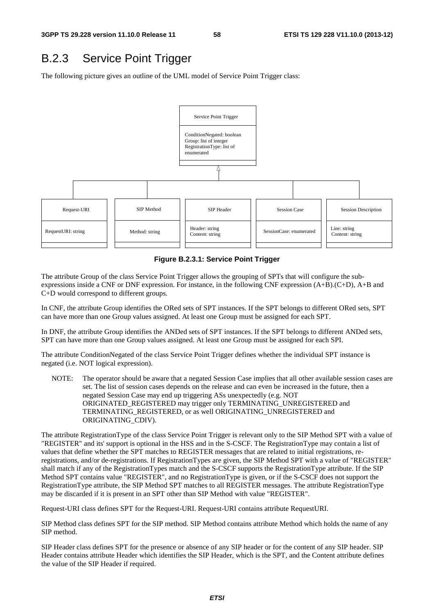## B.2.3 Service Point Trigger

The following picture gives an outline of the UML model of Service Point Trigger class:



**Figure B.2.3.1: Service Point Trigger** 

The attribute Group of the class Service Point Trigger allows the grouping of SPTs that will configure the subexpressions inside a CNF or DNF expression. For instance, in the following CNF expression (A+B).(C+D), A+B and C+D would correspond to different groups.

In CNF, the attribute Group identifies the ORed sets of SPT instances. If the SPT belongs to different ORed sets, SPT can have more than one Group values assigned. At least one Group must be assigned for each SPT.

In DNF, the attribute Group identifies the ANDed sets of SPT instances. If the SPT belongs to different ANDed sets, SPT can have more than one Group values assigned. At least one Group must be assigned for each SPI.

The attribute ConditionNegated of the class Service Point Trigger defines whether the individual SPT instance is negated (i.e. NOT logical expression).

NOTE: The operator should be aware that a negated Session Case implies that all other available session cases are set. The list of session cases depends on the release and can even be increased in the future, then a negated Session Case may end up triggering ASs unexpectedly (e.g. NOT ORIGINATED\_REGISTERED may trigger only TERMINATING\_UNREGISTERED and TERMINATING\_REGISTERED, or as well ORIGINATING\_UNREGISTERED and ORIGINATING\_CDIV).

The attribute RegistrationType of the class Service Point Trigger is relevant only to the SIP Method SPT with a value of "REGISTER" and its' support is optional in the HSS and in the S-CSCF. The RegistrationType may contain a list of values that define whether the SPT matches to REGISTER messages that are related to initial registrations, reregistrations, and/or de-registrations. If RegistrationTypes are given, the SIP Method SPT with a value of "REGISTER" shall match if any of the RegistrationTypes match and the S-CSCF supports the RegistrationType attribute. If the SIP Method SPT contains value "REGISTER", and no RegistrationType is given, or if the S-CSCF does not support the RegistrationType attribute, the SIP Method SPT matches to all REGISTER messages. The attribute RegistrationType may be discarded if it is present in an SPT other than SIP Method with value "REGISTER".

Request-URI class defines SPT for the Request-URI. Request-URI contains attribute RequestURI.

SIP Method class defines SPT for the SIP method. SIP Method contains attribute Method which holds the name of any SIP method.

SIP Header class defines SPT for the presence or absence of any SIP header or for the content of any SIP header. SIP Header contains attribute Header which identifies the SIP Header, which is the SPT, and the Content attribute defines the value of the SIP Header if required.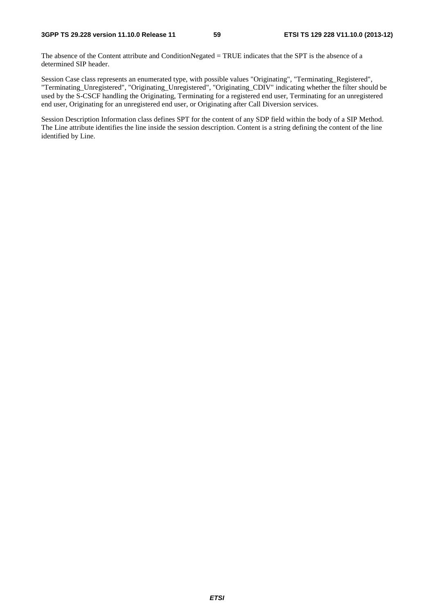The absence of the Content attribute and ConditionNegated = TRUE indicates that the SPT is the absence of a determined SIP header.

Session Case class represents an enumerated type, with possible values "Originating", "Terminating\_Registered", "Terminating\_Unregistered", "Originating\_Unregistered", "Originating\_CDIV" indicating whether the filter should be used by the S-CSCF handling the Originating, Terminating for a registered end user, Terminating for an unregistered end user, Originating for an unregistered end user, or Originating after Call Diversion services.

Session Description Information class defines SPT for the content of any SDP field within the body of a SIP Method. The Line attribute identifies the line inside the session description. Content is a string defining the content of the line identified by Line.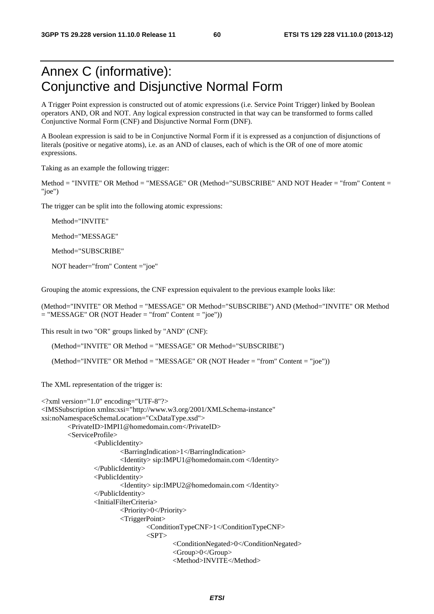# Annex C (informative): Conjunctive and Disjunctive Normal Form

A Trigger Point expression is constructed out of atomic expressions (i.e. Service Point Trigger) linked by Boolean operators AND, OR and NOT. Any logical expression constructed in that way can be transformed to forms called Conjunctive Normal Form (CNF) and Disjunctive Normal Form (DNF).

A Boolean expression is said to be in Conjunctive Normal Form if it is expressed as a conjunction of disjunctions of literals (positive or negative atoms), i.e. as an AND of clauses, each of which is the OR of one of more atomic expressions.

Taking as an example the following trigger:

Method = "INVITE" OR Method = "MESSAGE" OR (Method="SUBSCRIBE" AND NOT Header = "from" Content = "joe")

The trigger can be split into the following atomic expressions:

Method="INVITE"

Method="MESSAGE"

Method="SUBSCRIBE"

NOT header="from" Content ="joe"

Grouping the atomic expressions, the CNF expression equivalent to the previous example looks like:

(Method="INVITE" OR Method = "MESSAGE" OR Method="SUBSCRIBE") AND (Method="INVITE" OR Method  $=$  "MESSAGE" OR (NOT Header  $=$  "from" Content  $=$  "joe"))

This result in two "OR" groups linked by "AND" (CNF):

(Method="INVITE" OR Method = "MESSAGE" OR Method="SUBSCRIBE")

(Method="INVITE" OR Method = "MESSAGE" OR (NOT Header = "from" Content = "joe"))

The XML representation of the trigger is:

```
<?xml version="1.0" encoding="UTF-8"?> 
<IMSSubscription xmlns:xsi="http://www.w3.org/2001/XMLSchema-instance" 
xsi:noNamespaceSchemaLocation="CxDataType.xsd"> 
         <PrivateID>IMPI1@homedomain.com</PrivateID> 
         <ServiceProfile> 
                 <PublicIdentity> 
                          <BarringIndication>1</BarringIndication> 
                          <Identity> sip:IMPU1@homedomain.com </Identity> 
                  </PublicIdentity> 
                  <PublicIdentity> 
                          <Identity> sip:IMPU2@homedomain.com </Identity> 
                  </PublicIdentity> 
                  <InitialFilterCriteria> 
                          <Priority>0</Priority> 
                          <TriggerPoint> 
                                  <ConditionTypeCNF>1</ConditionTypeCNF> 
                                 <SPT> <ConditionNegated>0</ConditionNegated> 
                                           <Group>0</Group> 
                                           <Method>INVITE</Method>
```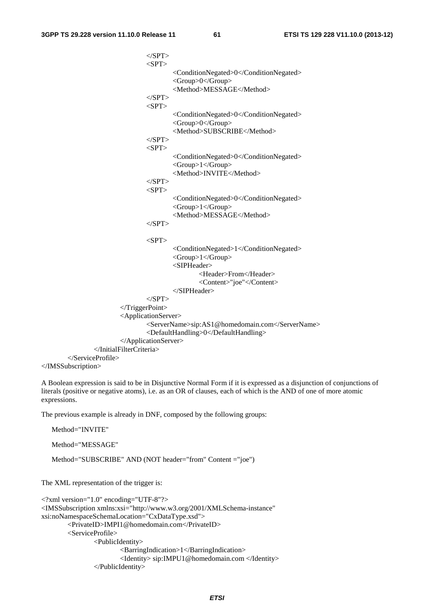$\langle$ SPT $>$ 

```
<SPT> <ConditionNegated>0</ConditionNegated> 
                                         <Group>0</Group> 
                                         <Method>MESSAGE</Method> 
                                </SPT>
                                <SPT> <ConditionNegated>0</ConditionNegated> 
                                         <Group>0</Group> 
                                         <Method>SUBSCRIBE</Method> 
                                </SPT>
                                <SPT> <ConditionNegated>0</ConditionNegated> 
                                         <Group>1</Group> 
                                         <Method>INVITE</Method> 
                                </SPT>
                                <SPT> <ConditionNegated>0</ConditionNegated> 
                                         <Group>1</Group> 
                                         <Method>MESSAGE</Method> 
                                </SPT><SPT> <ConditionNegated>1</ConditionNegated> 
                                         <Group>1</Group> 
                                         <SIPHeader> 
                                                  <Header>From</Header> 
                                                 <Content>"joe"</Content> 
                                         </SIPHeader> 
                                </SPT> </TriggerPoint> 
                         <ApplicationServer> 
                                 <ServerName>sip:AS1@homedomain.com</ServerName> 
                                 <DefaultHandling>0</DefaultHandling> 
                         </ApplicationServer> 
                 </InitialFilterCriteria> 
         </ServiceProfile> 
</IMSSubscription>
```
A Boolean expression is said to be in Disjunctive Normal Form if it is expressed as a disjunction of conjunctions of literals (positive or negative atoms), i.e. as an OR of clauses, each of which is the AND of one of more atomic expressions.

The previous example is already in DNF, composed by the following groups:

Method="SUBSCRIBE" AND (NOT header="from" Content ="joe")

Method="INVITE"

Method="MESSAGE"

```
The XML representation of the trigger is: 
<?xml version="1.0" encoding="UTF-8"?> 
<IMSSubscription xmlns:xsi="http://www.w3.org/2001/XMLSchema-instance" 
xsi:noNamespaceSchemaLocation="CxDataType.xsd"> 
         <PrivateID>IMPI1@homedomain.com</PrivateID> 
         <ServiceProfile> 
                  <PublicIdentity> 
                          <BarringIndication>1</BarringIndication> 
                          <Identity> sip:IMPU1@homedomain.com </Identity> 
                  </PublicIdentity>
```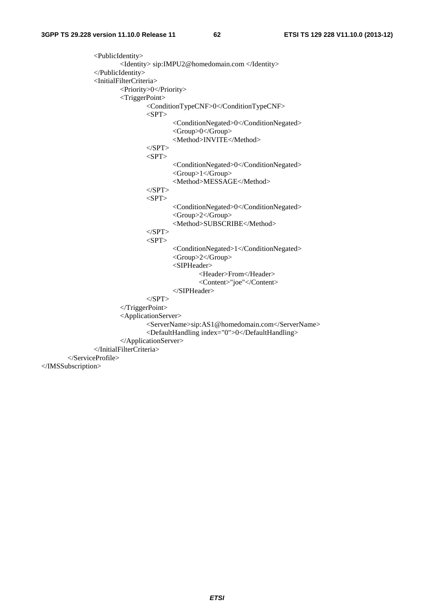<PublicIdentity> <Identity> sip:IMPU2@homedomain.com </Identity> </PublicIdentity> <InitialFilterCriteria> <Priority>0</Priority> <TriggerPoint> <ConditionTypeCNF>0</ConditionTypeCNF>  $<$ SPT $>$  <ConditionNegated>0</ConditionNegated> <Group>0</Group> <Method>INVITE</Method>  $<$ /SPT $>$  $<$ SPT $>$  <ConditionNegated>0</ConditionNegated> <Group>1</Group> <Method>MESSAGE</Method>  $<$ /SPT>  $<$ SPT $>$  <ConditionNegated>0</ConditionNegated> <Group>2</Group> <Method>SUBSCRIBE</Method>  $<$ /SPT $>$  $<$ SPT $>$  <ConditionNegated>1</ConditionNegated> <Group>2</Group> <SIPHeader> <Header>From</Header> <Content>"joe"</Content> </SIPHeader>  $<$ /SPT> </TriggerPoint> <ApplicationServer> <ServerName>sip:AS1@homedomain.com</ServerName> <DefaultHandling index="0">0</DefaultHandling> </ApplicationServer> </InitialFilterCriteria> </ServiceProfile> </IMSSubscription>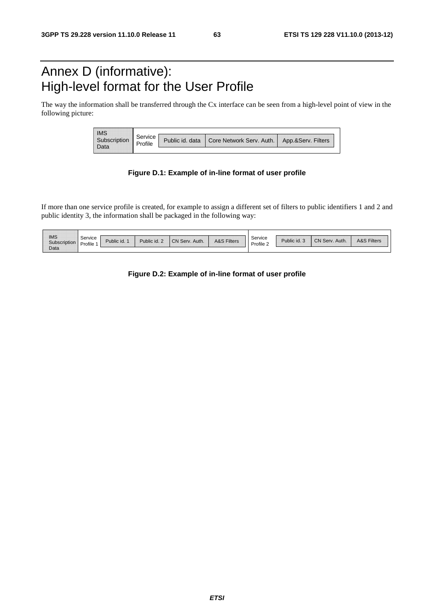# Annex D (informative): High-level format for the User Profile

The way the information shall be transferred through the Cx interface can be seen from a high-level point of view in the following picture:

| <b>IMS</b>        | Service |                                                                 |  |  |
|-------------------|---------|-----------------------------------------------------------------|--|--|
| Subscription<br>. | Profile | Public id. data   Core Network Serv. Auth.   App.&Serv. Filters |  |  |

#### **Figure D.1: Example of in-line format of user profile**

If more than one service profile is created, for example to assign a different set of filters to public identifiers 1 and 2 and public identity 3, the information shall be packaged in the following way:

| <br><br>-------------------- |         |                |                     |                         |                 |           |                      |                       |                            |
|------------------------------|---------|----------------|---------------------|-------------------------|-----------------|-----------|----------------------|-----------------------|----------------------------|
| <b>IMS</b><br>--------       | Service | <br>Public id. | Public id. $\angle$ | <br>CN Serv.<br>. Auth. | <br>A&S Filters | Service   | <br><br>Public id. 3 | <br>CN Serv.<br>Auth. | <b>A&amp;S Filters</b>     |
|                              | Profile |                |                     |                         |                 | Profile 2 |                      |                       | __________________________ |
| Data<br>----------           |         |                |                     |                         |                 |           |                      |                       |                            |

**Figure D.2: Example of in-line format of user profile**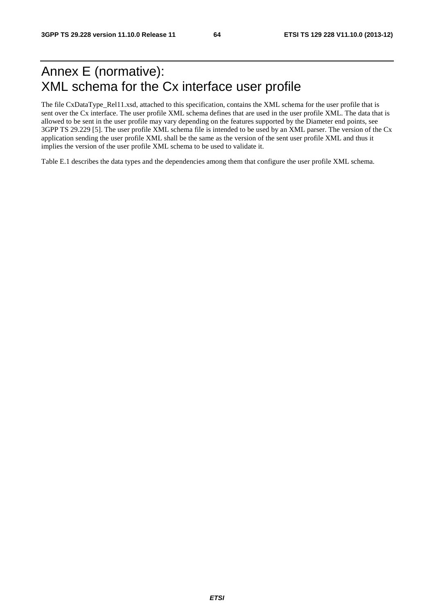# Annex E (normative): XML schema for the Cx interface user profile

The file CxDataType\_Rel11.xsd, attached to this specification, contains the XML schema for the user profile that is sent over the Cx interface. The user profile XML schema defines that are used in the user profile XML. The data that is allowed to be sent in the user profile may vary depending on the features supported by the Diameter end points, see 3GPP TS 29.229 [5]. The user profile XML schema file is intended to be used by an XML parser. The version of the Cx application sending the user profile XML shall be the same as the version of the sent user profile XML and thus it implies the version of the user profile XML schema to be used to validate it.

Table E.1 describes the data types and the dependencies among them that configure the user profile XML schema.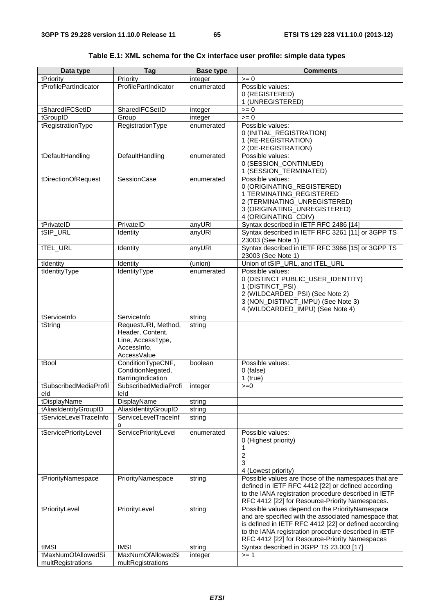| Data type                     | Tag                        | <b>Base type</b>      | <b>Comments</b>                                                                                         |
|-------------------------------|----------------------------|-----------------------|---------------------------------------------------------------------------------------------------------|
| tPriority                     | Priority                   | integer               | $>= 0$                                                                                                  |
| tProfilePartIndicator         | ProfilePartIndicator       | enumerated            | Possible values:                                                                                        |
|                               |                            |                       | 0 (REGISTERED)                                                                                          |
|                               |                            |                       | 1 (UNREGISTERED)                                                                                        |
| tSharedIFCSetID               | SharedIFCSetID             | integer               | $>= 0$                                                                                                  |
| tGroupID<br>tRegistrationType | Group<br>RegistrationType  | integer<br>enumerated | $>= 0$<br>Possible values:                                                                              |
|                               |                            |                       | 0 (INITIAL_REGISTRATION)                                                                                |
|                               |                            |                       | 1 (RE-REGISTRATION)                                                                                     |
|                               |                            |                       | 2 (DE-REGISTRATION)                                                                                     |
| tDefaultHandling              | DefaultHandling            | enumerated            | Possible values:                                                                                        |
|                               |                            |                       | 0 (SESSION_CONTINUED)                                                                                   |
|                               |                            |                       | 1 (SESSION_TERMINATED)                                                                                  |
| tDirectionOfRequest           | SessionCase                | enumerated            | Possible values:                                                                                        |
|                               |                            |                       | 0 (ORIGINATING_REGISTERED)                                                                              |
|                               |                            |                       | 1 TERMINATING_REGISTERED<br>2 (TERMINATING_UNREGISTERED)                                                |
|                               |                            |                       | 3 (ORIGINATING_UNREGISTERED)                                                                            |
|                               |                            |                       | 4 (ORIGINATING_CDIV)                                                                                    |
| tPrivateID                    | PrivateID                  | anyURI                | Syntax described in IETF RFC 2486 [14]                                                                  |
| tSIP_URL                      | Identity                   | anyURI                | Syntax described in IETF RFC 3261 [11] or 3GPP TS                                                       |
|                               |                            |                       | 23003 (See Note 1)                                                                                      |
| tTEL_URL                      | Identity                   | anyURI                | Syntax described in IETF RFC 3966 [15] or 3GPP TS                                                       |
|                               |                            |                       | 23003 (See Note 1)                                                                                      |
| tIdentity                     | Identity                   | (union)               | Union of tSIP_URL, and tTEL_URL                                                                         |
| tIdentityType                 | IdentityType               | enumerated            | Possible values:                                                                                        |
|                               |                            |                       | 0 (DISTINCT PUBLIC_USER_IDENTITY)<br>1 (DISTINCT_PSI)                                                   |
|                               |                            |                       | 2 (WILDCARDED_PSI) (See Note 2)                                                                         |
|                               |                            |                       | 3 (NON_DISTINCT_IMPU) (See Note 3)                                                                      |
|                               |                            |                       | 4 (WILDCARDED_IMPU) (See Note 4)                                                                        |
| tServiceInfo                  | ServiceInfo                | string                |                                                                                                         |
| tString                       | RequestURI, Method,        | string                |                                                                                                         |
|                               | Header, Content,           |                       |                                                                                                         |
|                               | Line, AccessType,          |                       |                                                                                                         |
|                               | Accessinfo,<br>AccessValue |                       |                                                                                                         |
| tBool                         | ConditionTypeCNF,          | boolean               | Possible values:                                                                                        |
|                               | ConditionNegated,          |                       | $0$ (false)                                                                                             |
|                               | BarringIndication          |                       | $1$ (true)                                                                                              |
| tSubscribedMediaProfil        | SubscribedMediaProfi       | integer               | $>=0$                                                                                                   |
| eld                           | leid                       |                       |                                                                                                         |
| tDisplayName                  | DisplayName                | string                |                                                                                                         |
| tAliasIdentityGroupID         | AliasIdentityGroupID       | string                |                                                                                                         |
| tServiceLevelTraceInfo        | ServiceLevelTraceInf       | string                |                                                                                                         |
| tServicePriorityLevel         | o<br>ServicePriorityLevel  | enumerated            | Possible values:                                                                                        |
|                               |                            |                       | 0 (Highest priority)                                                                                    |
|                               |                            |                       | 1                                                                                                       |
|                               |                            |                       | $\overline{\mathbf{c}}$                                                                                 |
|                               |                            |                       | 3                                                                                                       |
|                               |                            |                       | 4 (Lowest priority)                                                                                     |
| tPriorityNamespace            | PriorityNamespace          | string                | Possible values are those of the namespaces that are                                                    |
|                               |                            |                       | defined in IETF RFC 4412 [22] or defined according                                                      |
|                               |                            |                       | to the IANA registration procedure described in IETF<br>RFC 4412 [22] for Resource-Priority Namespaces. |
| tPriorityLevel                | PriorityLevel              | string                | Possible values depend on the PriorityNamespace                                                         |
|                               |                            |                       | and are specified with the associated namespace that                                                    |
|                               |                            |                       | is defined in IETF RFC 4412 [22] or defined according                                                   |
|                               |                            |                       | to the IANA registration procedure described in IETF                                                    |
|                               |                            |                       | RFC 4412 [22] for Resource-Priority Namespaces                                                          |
| tIMSI                         | <b>IMSI</b>                | string                | Syntax described in 3GPP TS 23.003 [17]                                                                 |
| tMaxNumOfAllowedSi            | MaxNumOfAllowedSi          | integer               | $>= 1$                                                                                                  |
| multRegistrations             | multRegistrations          |                       |                                                                                                         |

#### **Table E.1: XML schema for the Cx interface user profile: simple data types**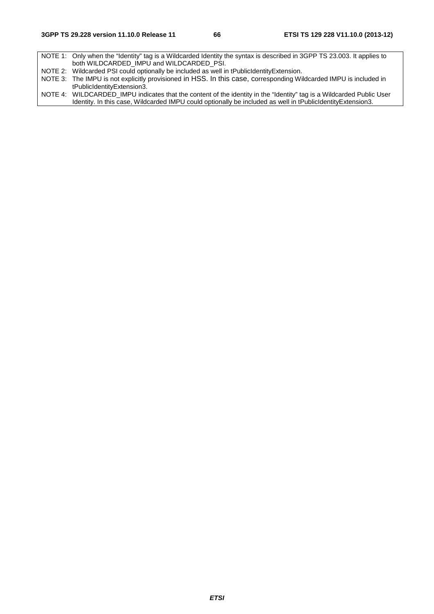NOTE 1: Only when the "Identity" tag is a Wildcarded Identity the syntax is described in 3GPP TS 23.003. It applies to both WILDCARDED\_IMPU and WILDCARDED\_PSI. NOTE 2: Wildcarded PSI could optionally be included as well in tPublicIdentityExtension. NOTE 3: The IMPU is not explicitly provisioned in HSS. In this case, corresponding Wildcarded IMPU is included in tPublicIdentityExtension3. NOTE 4: WILDCARDED\_IMPU indicates that the content of the identity in the "Identity" tag is a Wildcarded Public User Identity. In this case, Wildcarded IMPU could optionally be included as well in tPublicIdentityExtension3.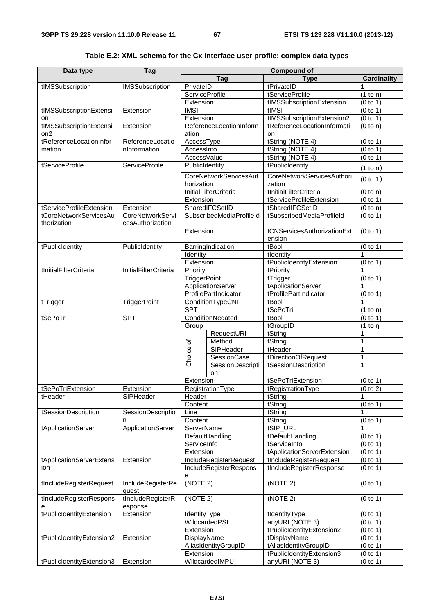| Data type                 | Tag                          |                       |                               | <b>Compound of</b>          |                       |  |  |
|---------------------------|------------------------------|-----------------------|-------------------------------|-----------------------------|-----------------------|--|--|
|                           |                              |                       | Tag                           | <b>Type</b>                 | <b>Cardinality</b>    |  |  |
| tIMSSubscription          | <b>IMSSubscription</b>       | PrivateID             |                               | tPrivateID                  | 1                     |  |  |
|                           |                              | <b>ServiceProfile</b> |                               | tServiceProfile             | $\overline{(1}$ to n) |  |  |
|                           |                              | Extension             |                               | tIMSSubscriptionExtension   | (0 to 1)              |  |  |
| tIMSSubscriptionExtensi   | Extension                    | <b>IMSI</b>           |                               | tIMSI                       | (0 to 1)              |  |  |
| on                        |                              | Extension             |                               | tlMSSubscriptionExtension2  | (0 to 1)              |  |  |
| tIMSSubscriptionExtensi   | Extension                    |                       | ReferenceLocationInform       | tReferenceLocationInformati | (0 to n)              |  |  |
| on <sub>2</sub>           |                              | ation                 |                               | on                          |                       |  |  |
| tReferenceLocationInfor   | ReferenceLocatio             | AccessType            |                               | tString (NOTE 4)            | (0 to 1)              |  |  |
| mation                    | nInformation                 | Accessinfo            |                               | tString (NOTE 4)            | (0 to 1)              |  |  |
|                           |                              | AccessValue           |                               | tString (NOTE 4)            | (0 to 1)              |  |  |
| tServiceProfile           | <b>ServiceProfile</b>        | PublicIdentity        |                               | tPublicIdentity             |                       |  |  |
|                           |                              |                       |                               |                             | (1 to n)              |  |  |
|                           |                              |                       | <b>CoreNetworkServicesAut</b> | CoreNetworkServicesAuthori  | (0 to 1)              |  |  |
|                           |                              | horization            |                               | zation                      |                       |  |  |
|                           |                              |                       | <b>InitialFilterCriteria</b>  | tInitialFilterCriteria      | (0 to n)              |  |  |
|                           |                              | Extension             |                               | tServiceProfileExtension    | (0 to 1)              |  |  |
| tServiceProfileExtension  | Extension                    |                       | SharedIFCSetID                | tSharedIFCSetID             | (0 to n)              |  |  |
| tCoreNetworkServicesAu    | <b>CoreNetworkServi</b>      |                       | SubscribedMediaProfileId      | tSubscribedMediaProfileId   | (0 to 1)              |  |  |
| thorization               | cesAuthorization             |                       |                               |                             |                       |  |  |
|                           |                              | Extension             |                               | tCNServicesAuthorizationExt | (0 to 1)              |  |  |
|                           |                              |                       |                               | ension                      |                       |  |  |
| tPublicIdentity           | PublicIdentity               |                       | BarringIndication             | tBool                       | (0 to 1)              |  |  |
|                           |                              | Identity              |                               | tIdentity                   | 1                     |  |  |
|                           |                              | Extension             |                               | tPublicIdentityExtension    | (0 to 1)              |  |  |
| tInitialFilterCriteria    | <b>InitialFilterCriteria</b> | Priority              |                               | tPriority                   | 1                     |  |  |
|                           |                              | <b>TriggerPoint</b>   |                               | tTrigger                    | (0 to 1)              |  |  |
|                           |                              |                       | ApplicationServer             | tApplicationServer          | 1                     |  |  |
|                           |                              | ProfilePartIndicator  |                               | tProfilePartIndicator       | (0 to 1)              |  |  |
| tTrigger                  | <b>TriggerPoint</b>          | ConditionTypeCNF      |                               | tBool                       | 1                     |  |  |
|                           |                              | <b>SPT</b>            |                               | tSePoTri                    | (1 to n)              |  |  |
| tSePoTri                  | <b>SPT</b>                   |                       | ConditionNegated              | tBool                       | (0 to 1)              |  |  |
|                           |                              | Group                 |                               | tGroupID                    | (1 to n)              |  |  |
|                           |                              |                       | RequestURI                    | tString                     | 1                     |  |  |
|                           |                              |                       | Method                        | tString                     | 1                     |  |  |
|                           |                              | Choice of             | SIPHeader                     | tHeader                     | 1                     |  |  |
|                           |                              |                       | SessionCase                   | tDirectionOfRequest         | 1                     |  |  |
|                           |                              |                       | SessionDescripti              | tSessionDescription         | 1                     |  |  |
|                           |                              |                       | on                            |                             |                       |  |  |
|                           |                              | Extension             |                               | tSePoTriExtension           | (0 to 1)              |  |  |
| tSePoTriExtension         | Extension                    |                       | RegistrationType              | tRegistrationType           | (0 to 2)              |  |  |
| tHeader                   | SIPHeader                    | Header                |                               | tString                     | 1                     |  |  |
|                           |                              | Content               |                               | tString                     | (0 to 1)              |  |  |
| tSessionDescription       | SessionDescriptio            | Line                  |                               | tString                     |                       |  |  |
|                           | n                            | Content               |                               | tString                     | (0 to 1)              |  |  |
| tApplicationServer        | ApplicationServer            | ServerName            |                               | tSIP_URL                    | 1                     |  |  |
|                           |                              |                       | DefaultHandling               | tDefaultHandling            | (0 to 1)              |  |  |
|                           |                              | ServiceInfo           |                               | tServiceInfo                | (0 to 1)              |  |  |
|                           |                              | Extension             |                               | tApplicationServerExtension | (0 to 1)              |  |  |
| tApplicationServerExtens  | Extension                    |                       | IncludeRegisterRequest        | tIncludeRegisterRequest     | (0 to 1)              |  |  |
| ion                       |                              |                       | IncludeRegisterRespons        | tIncludeRegisterResponse    | (0 to 1)              |  |  |
|                           |                              | е                     |                               |                             |                       |  |  |
| tIncludeRegisterRequest   | IncludeRegisterRe            | (NOTE 2)              |                               | (NOTE 2)                    | (0 to 1)              |  |  |
|                           | quest                        |                       |                               |                             |                       |  |  |
| tIncludeRegisterRespons   | tIncludeRegisterR            | (NOTE 2)              |                               | (NOTE 2)                    | (0 to 1)              |  |  |
| е                         | esponse                      |                       |                               |                             |                       |  |  |
| tPublicIdentityExtension  | Extension                    | IdentityType          |                               | tIdentityType               | (0 to 1)              |  |  |
|                           |                              |                       | WildcardedPSI                 | anyURI (NOTE 3)             | (0 to 1)              |  |  |
|                           |                              | Extension             |                               | tPublicIdentityExtension2   | (0 to 1)              |  |  |
| tPublicIdentityExtension2 | Extension                    | DisplayName           |                               | tDisplayName                | (0 to 1)              |  |  |
|                           |                              |                       | AliasIdentityGroupID          | tAliasIdentityGroupID       | (0 to 1)              |  |  |
|                           |                              | Extension             |                               | tPublicIdentityExtension3   | (0 to 1)              |  |  |
| tPublicIdentityExtension3 | Extension                    |                       | WildcardedIMPU                | anyURI (NOTE 3)             | (0 to 1)              |  |  |

**Table E.2: XML schema for the Cx interface user profile: complex data types**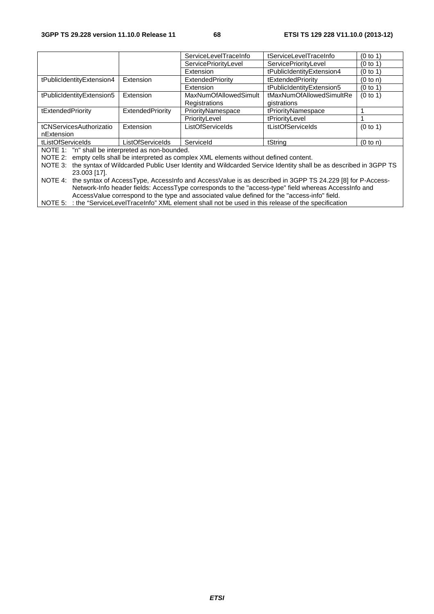|                                                  |                         | ServiceLevelTraceInfo                                                                     | tServiceLevelTraceInfo                                                                                                | (0 to 1) |
|--------------------------------------------------|-------------------------|-------------------------------------------------------------------------------------------|-----------------------------------------------------------------------------------------------------------------------|----------|
|                                                  |                         | ServicePriorityLevel                                                                      | ServicePriorityLevel                                                                                                  | (0 to 1) |
|                                                  |                         | Extension                                                                                 | tPublicIdentityExtension4                                                                                             | (0 to 1) |
| tPublicIdentityExtension4                        | Extension               | ExtendedPriority                                                                          | tExtendedPriority                                                                                                     | (0 to n) |
|                                                  |                         | Extension                                                                                 | tPublicIdentityExtension5                                                                                             | (0 to 1) |
| tPublicIdentityExtension5                        | Extension               | <b>MaxNumOfAllowedSimult</b>                                                              | tMaxNumOfAllowedSimultRe                                                                                              | (0 to 1) |
|                                                  |                         | Registrations                                                                             | gistrations                                                                                                           |          |
| tExtendedPriority                                | ExtendedPriority        | PriorityNamespace                                                                         | tPriorityNamespace                                                                                                    |          |
|                                                  |                         | PriorityLevel                                                                             | tPriorityLevel                                                                                                        |          |
| tCNServicesAuthorizatio                          | Extension               | <b>ListOfServiceIds</b>                                                                   | tListOfServiceIds                                                                                                     | (0 to 1) |
| nExtension                                       |                         |                                                                                           |                                                                                                                       |          |
| tListOfServiceIds                                | <b>ListOfServiceIds</b> | Serviceld                                                                                 | tString                                                                                                               | (0 to n) |
| NOTE 1: "n" shall be interpreted as non-bounded. |                         |                                                                                           |                                                                                                                       |          |
|                                                  |                         | NOTE 2: empty cells shall be interpreted as complex XML elements without defined content. |                                                                                                                       |          |
|                                                  |                         |                                                                                           | NOTE 2: the ounter of Wildoorded Dublie Hear Identity and Wildoorded Comice Identity aboll be as described in 2CDD TO |          |

NOTE 3: the syntax of Wildcarded Public User Identity and Wildcarded Service Identity shall be as described in 3GPP TS 23.003 [17].

NOTE 4: the syntax of AccessType, AccessInfo and AccessValue is as described in 3GPP TS 24.229 [8] for P-Access-Network-Info header fields: AccessType corresponds to the "access-type" field whereas AccessInfo and AccessValue correspond to the type and associated value defined for the "access-info" field.

NOTE 5: : the "ServiceLevelTraceInfo" XML element shall not be used in this release of the specification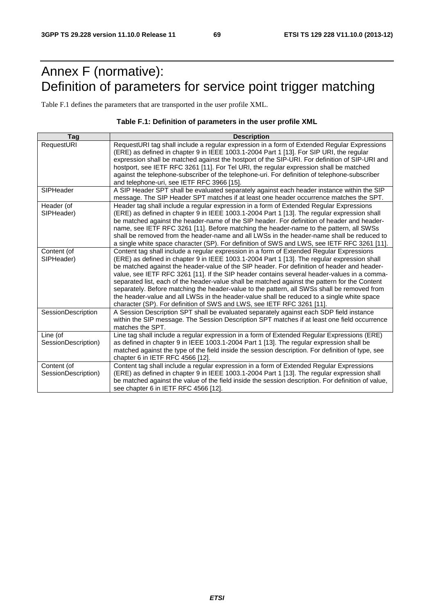# Annex F (normative): Definition of parameters for service point trigger matching

Table F.1 defines the parameters that are transported in the user profile XML.

#### **Table F.1: Definition of parameters in the user profile XML**

| Tag                 | <b>Description</b>                                                                                                                                                                     |
|---------------------|----------------------------------------------------------------------------------------------------------------------------------------------------------------------------------------|
| RequestURI          | RequestURI tag shall include a regular expression in a form of Extended Regular Expressions<br>(ERE) as defined in chapter 9 in IEEE 1003.1-2004 Part 1 [13]. For SIP URI, the regular |
|                     | expression shall be matched against the hostport of the SIP-URI. For definition of SIP-URI and                                                                                         |
|                     | hostport, see IETF RFC 3261 [11]. For Tel URI, the regular expression shall be matched                                                                                                 |
|                     | against the telephone-subscriber of the telephone-uri. For definition of telephone-subscriber                                                                                          |
| SIPHeader           | and telephone-uri, see IETF RFC 3966 [15].<br>A SIP Header SPT shall be evaluated separately against each header instance within the SIP                                               |
|                     | message. The SIP Header SPT matches if at least one header occurrence matches the SPT.                                                                                                 |
| Header (of          | Header tag shall include a regular expression in a form of Extended Regular Expressions                                                                                                |
| SIPHeader)          | (ERE) as defined in chapter 9 in IEEE 1003.1-2004 Part 1 [13]. The regular expression shall                                                                                            |
|                     | be matched against the header-name of the SIP header. For definition of header and header-                                                                                             |
|                     | name, see IETF RFC 3261 [11]. Before matching the header-name to the pattern, all SWSs<br>shall be removed from the header-name and all LWSs in the header-name shall be reduced to    |
|                     | a single white space character (SP). For definition of SWS and LWS, see IETF RFC 3261 [11].                                                                                            |
| Content (of         | Content tag shall include a regular expression in a form of Extended Regular Expressions                                                                                               |
| SIPHeader)          | (ERE) as defined in chapter 9 in IEEE 1003.1-2004 Part 1 [13]. The regular expression shall                                                                                            |
|                     | be matched against the header-value of the SIP header. For definition of header and header-                                                                                            |
|                     | value, see IETF RFC 3261 [11]. If the SIP header contains several header-values in a comma-                                                                                            |
|                     | separated list, each of the header-value shall be matched against the pattern for the Content                                                                                          |
|                     | separately. Before matching the header-value to the pattern, all SWSs shall be removed from                                                                                            |
|                     | the header-value and all LWSs in the header-value shall be reduced to a single white space                                                                                             |
| SessionDescription  | character (SP). For definition of SWS and LWS, see IETF RFC 3261 [11].<br>A Session Description SPT shall be evaluated separately against each SDP field instance                      |
|                     | within the SIP message. The Session Description SPT matches if at least one field occurrence                                                                                           |
|                     | matches the SPT.                                                                                                                                                                       |
| Line (of            | Line tag shall include a regular expression in a form of Extended Regular Expressions (ERE)                                                                                            |
| SessionDescription) | as defined in chapter 9 in IEEE 1003.1-2004 Part 1 [13]. The regular expression shall be                                                                                               |
|                     | matched against the type of the field inside the session description. For definition of type, see                                                                                      |
|                     | chapter 6 in IETF RFC 4566 [12].                                                                                                                                                       |
| Content (of         | Content tag shall include a regular expression in a form of Extended Regular Expressions                                                                                               |
| SessionDescription) | (ERE) as defined in chapter 9 in IEEE 1003.1-2004 Part 1 [13]. The regular expression shall                                                                                            |
|                     | be matched against the value of the field inside the session description. For definition of value,<br>see chapter 6 in IETF RFC 4566 [12].                                             |
|                     |                                                                                                                                                                                        |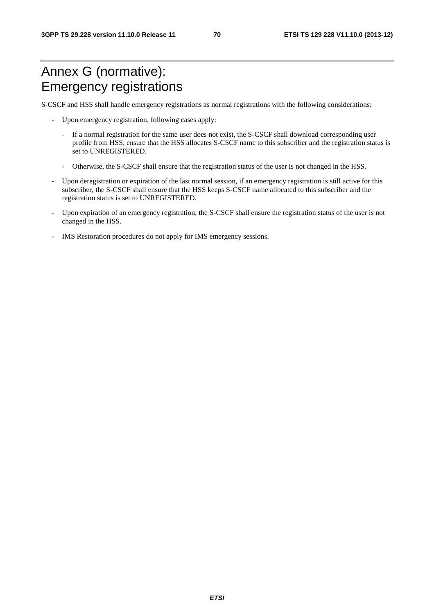# Annex G (normative): Emergency registrations

S-CSCF and HSS shall handle emergency registrations as normal registrations with the following considerations:

- Upon emergency registration, following cases apply:
	- If a normal registration for the same user does not exist, the S-CSCF shall download corresponding user profile from HSS, ensure that the HSS allocates S-CSCF name to this subscriber and the registration status is set to UNREGISTERED.
	- Otherwise, the S-CSCF shall ensure that the registration status of the user is not changed in the HSS.
- Upon deregistration or expiration of the last normal session, if an emergency registration is still active for this subscriber, the S-CSCF shall ensure that the HSS keeps S-CSCF name allocated to this subscriber and the registration status is set to UNREGISTERED.
- Upon expiration of an emergency registration, the S-CSCF shall ensure the registration status of the user is not changed in the HSS.
- IMS Restoration procedures do not apply for IMS emergency sessions.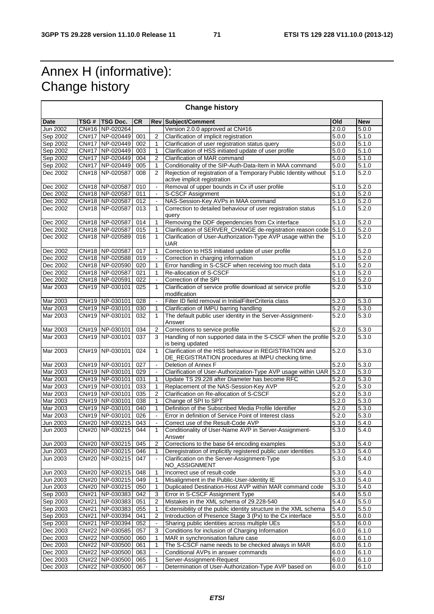# Annex H (informative): Change history

 $\blacksquare$ 

| <b>Change history</b> |              |                 |           |                          |                                                                                                             |                    |            |  |
|-----------------------|--------------|-----------------|-----------|--------------------------|-------------------------------------------------------------------------------------------------------------|--------------------|------------|--|
| <b>Date</b>           | TSG #        | TSG Doc.        | <b>CR</b> |                          | <b>Rev Subject/Comment</b>                                                                                  | Old                | <b>New</b> |  |
| Jun 2002              |              | CN#16 NP-020264 |           |                          | Version 2.0.0 approved at CN#16                                                                             | 2.0.0              | 5.0.0      |  |
| Sep 2002              |              | CN#17 NP-020449 | 001       | $\overline{2}$           | Clarification of implicit registration                                                                      | 5.0.0              | 5.1.0      |  |
| Sep 2002              |              | CN#17 NP-020449 | 002       | 1                        | Clarification of user registration status query                                                             | 5.0.0              | 5.1.0      |  |
| Sep 2002              |              | CN#17 NP-020449 | 003       | 1                        | Clarification of HSS initiated update of user profile                                                       | 5.0.0              | 5.1.0      |  |
| Sep 2002              |              | CN#17 NP-020449 | 004       | $\overline{2}$           | Clarification of MAR command<br>5.0.0                                                                       |                    | 5.1.0      |  |
| Sep 2002              |              | CN#17 NP-020449 | 005       | 1                        | Conditionality of the SIP-Auth-Data-Item in MAA command<br>5.0.0                                            |                    | 5.1.0      |  |
| Dec 2002              |              | CN#18 NP-020587 | 008       | $\mathfrak{p}$           | Rejection of registration of a Temporary Public Identity without<br>active implicit registration            | 5.1.0              | 5.2.0      |  |
| Dec 2002              |              | CN#18 NP-020587 | 010       | $\blacksquare$           | Removal of upper bounds in Cx i/f user profile                                                              | $\overline{5}.1.0$ | 5.2.0      |  |
| Dec 2002              |              | CN#18 NP-020587 | 011       | $\blacksquare$           | S-CSCF Assignment                                                                                           | 5.1.0              | 5.2.0      |  |
| Dec 2002              |              | CN#18 NP-020587 | 012       | $\overline{\phantom{a}}$ | NAS-Session-Key AVPs in MAA command                                                                         | 5.1.0              | 5.2.0      |  |
| Dec 2002              |              | CN#18 NP-020587 | 013       | 1                        | Correction to detailed behaviour of user registration status<br>query                                       | 5.1.0              | 5.2.0      |  |
| Dec 2002              |              | CN#18 NP-020587 | 014       | 1                        | Removing the DDF dependencies from Cx interface                                                             | 5.1.0              | 5.2.0      |  |
| Dec 2002              |              | CN#18 NP-020587 | 015       | 1                        | Clarification of SERVER_CHANGE de-registration reason code                                                  | 5.1.0              | 5.2.0      |  |
| Dec 2002              |              | CN#18 NP-020589 | 016       | $\mathbf{1}$             | Clarification of User-Authorization-Type AVP usage within the<br><b>UAR</b>                                 | 5.1.0              | 5.2.0      |  |
| Dec 2002              |              | CN#18 NP-020587 | 017       | 1                        | Correction to HSS initiated update of user profile                                                          | $\overline{5.1.0}$ | 5.2.0      |  |
| Dec 2002              |              | CN#18 NP-020588 | 019       |                          | Correction in charging information                                                                          | 5.1.0              | 5.2.0      |  |
| Dec 2002              |              | CN#18 NP-020590 | 020       | 1                        | Error handling in S-CSCF when receiving too much data                                                       | 5.1.0              | 5.2.0      |  |
| Dec 2002              |              | CN#18 NP-020587 | 021       | $\mathbf{1}$             | Re-allocation of S-CSCF                                                                                     | 5.1.0              | 5.2.0      |  |
| Dec 2002              |              | CN#18 NP-020591 | 022       | $\Box$                   | Correction of the SPI                                                                                       | 5.1.0              | 5.2.0      |  |
| Mar 2003              |              | CN#19 NP-030101 | 025       | 1                        | Clarification of service profile download at service profile<br>modification                                | 5.2.0              | 5.3.0      |  |
| Mar 2003              |              | CN#19 NP-030101 | 028       | $\blacksquare$           | Filter ID field removal in InitialFilterCriteria class                                                      | 5.2.0              | 5.3.0      |  |
| Mar 2003              |              | CN#19 NP-030101 | 030       | 1                        | Clarification of IMPU barring handling                                                                      | 5.2.0              | 5.3.0      |  |
| Mar 2003              |              | CN#19 NP-030101 | 032       | $\mathbf{1}$             | The default public user identity in the Server-Assignment-<br>Answer                                        | 5.2.0              | 5.3.0      |  |
| Mar 2003              |              | CN#19 NP-030101 | 034       | $\overline{2}$           | Corrections to service profile                                                                              | 5.2.0              | 5.3.0      |  |
| Mar 2003              |              | CN#19 NP-030101 | 037       | 3                        | Handling of non supported data in the S-CSCF when the profile<br>is being updated                           | 5.2.0              | 5.3.0      |  |
| Mar 2003              |              | CN#19 NP-030101 | 024       | $\mathbf{1}$             | Clarification of the HSS behaviour in REGISTRATION and<br>DE_REGISTRATION procedures at IMPU checking time. | 5.2.0              | 5.3.0      |  |
| Mar 2003              |              | CN#19 NP-030101 | 027       | $\bar{\phantom{a}}$      | Deletion of Annex F                                                                                         | 5.2.0              | 5.3.0      |  |
| Mar 2003              |              | CN#19 NP-030101 | 029       | $\overline{\phantom{a}}$ | Clarification of User-Authorization-Type AVP usage within UAR                                               | 5.2.0              | 5.3.0      |  |
| Mar 2003              |              | CN#19 NP-030101 | 031       | 1                        | Update TS 29.228 after Diameter has become RFC                                                              | 5.2.0              | 5.3.0      |  |
| Mar 2003              |              | CN#19 NP-030101 | 033       | $\mathbf{1}$             | Replacement of the NAS-Session-Key AVP                                                                      | 5.2.0              | 5.3.0      |  |
| Mar 2003              |              | CN#19 NP-030101 | 035       | $\overline{2}$           | Clarification on Re-allocation of S-CSCF                                                                    | 5.2.0              | 5.3.0      |  |
| Mar 2003              |              | CN#19 NP-030101 | 038       | 1                        | Change of SPI to SPT                                                                                        | 5.2.0              | 5.3.0      |  |
| Mar 2003              |              | CN#19 NP-030101 | 040       | 1                        | Definition of the Subscribed Media Profile Identifier                                                       | 5.2.0              | 5.3.0      |  |
| Mar 2003              |              | CN#19 NP-030101 | 026       |                          | Error in definition of Service Point of Interest class                                                      | 5.2.0              | 5.3.0      |  |
| Jun 2003              |              | CN#20 NP-030215 | 043       | $\blacksquare$           | Correct use of the Result-Code AVP                                                                          | 5.3.0              | 5.4.0      |  |
| Jun 2003              |              | CN#20 NP-030215 | 044       | 1                        | Conditionality of User-Name AVP in Server-Assignment-<br>Answer                                             | 5.3.0              | 5.4.0      |  |
| Jun 2003              |              | CN#20 NP-030215 | 045       | $\overline{c}$           | Corrections to the base 64 encoding examples                                                                | 5.3.0              | 5.4.0      |  |
| Jun 2003              |              | CN#20 NP-030215 | 046       | 1                        | Deregistration of implicitly registered public user identities                                              | 5.3.0              | 5.4.0      |  |
| Jun 2003              |              | CN#20 NP-030215 | 047       | $\blacksquare$           | Clarification on the Server-Assignment-Type<br>NO_ASSIGNMENT                                                | 5.3.0              | 5.4.0      |  |
| <b>Jun 2003</b>       |              | CN#20 NP-030215 | 048       | 1                        | Incorrect use of result-code                                                                                | 5.3.0              | 5.4.0      |  |
| Jun 2003              |              | CN#20 NP-030215 | 049       | 1                        | Misalignment in the Public-User-Identity IE                                                                 | 5.3.0              | 5.4.0      |  |
| Jun 2003              |              | CN#20 NP-030215 | 050       | 1                        | Duplicated Destination-Host AVP within MAR command code                                                     | 5.3.0              | 5.4.0      |  |
| Sep 2003              | CN#21        | NP-030383       | 042       | 3                        | Error in S-CSCF Assignment Type                                                                             | 5.4.0              | 5.5.0      |  |
| Sep 2003              | CN#21        | NP-030383       | 051       | 2                        | Mistakes in the XML schema of 29.228-540                                                                    | 5.4.0              | 5.5.0      |  |
| Sep 2003              | CN#21        | NP-030383       | 055       | 1                        | Extensibility of the public identity structure in the XML schema                                            | 5.4.0              | 5.5.0      |  |
| Sep 2003              | CN#21        | NP-030394       | 041       | $\overline{2}$           | Introduction of Presence Stage 3 (Px) to the Cx interface                                                   | 5.5.0              | 6.0.0      |  |
| Sep 2003              | CN#21        | NP-030394       | 052       | $\blacksquare$           | Sharing public identities across multiple UEs                                                               | 5.5.0              | 6.0.0      |  |
| Dec 2003              |              | CN#22 NP-030585 | 057       | 3                        | Conditions for inclusion of Charging Information                                                            | 6.0.0              | 6.1.0      |  |
| Dec 2003              |              | CN#22 NP-030500 | 060       | 1                        | MAR in synchronisation failure case                                                                         | 6.0.0              | 6.1.0      |  |
| Dec 2003              | <b>CN#22</b> | NP-030500       | 061       | 1                        | The S-CSCF name needs to be checked always in MAR                                                           | 6.0.0              | 6.1.0      |  |
| Dec 2003              |              | CN#22 NP-030500 | 063       | $\bar{\phantom{a}}$      | Conditional AVPs in answer commands                                                                         | 6.0.0              | 6.1.0      |  |
| Dec 2003              | <b>CN#22</b> | NP-030500       | 065       | 1                        | Server-Assignment-Request                                                                                   | 6.0.0              | 6.1.0      |  |
| Dec 2003              |              | CN#22 NP-030500 | 067       |                          | Determination of User-Authorization-Type AVP based on                                                       | 6.0.0              | 6.1.0      |  |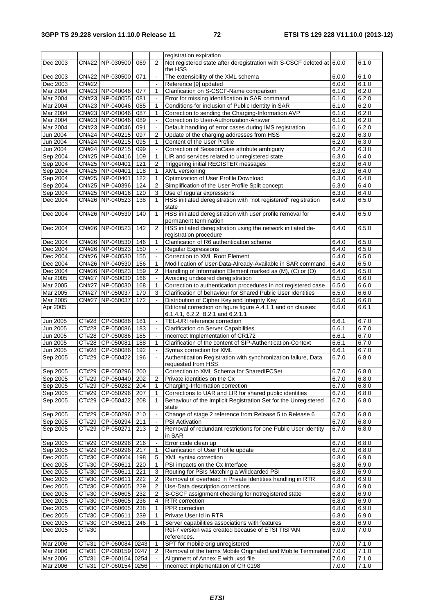|                 |              |                     |     |                          | registration expiration                                                  |       |       |
|-----------------|--------------|---------------------|-----|--------------------------|--------------------------------------------------------------------------|-------|-------|
| Dec 2003        |              | CN#22 NP-030500     | 069 | 2                        | Not registered state after deregistration with S-CSCF deleted at 6.0.0   |       | 6.1.0 |
| Dec 2003        |              | CN#22 NP-030500     | 071 | $\blacksquare$           | the HSS<br>The extensibility of the XML schema                           | 6.0.0 | 6.1.0 |
| Dec 2003        | <b>CN#22</b> |                     |     | $\blacksquare$           | Reference [9] updated                                                    | 6.0.0 | 6.1.0 |
| Mar 2004        |              | CN#23 NP-040046     | 077 | 1                        | Clarification on S-CSCF-Name comparison                                  | 6.1.0 | 6.2.0 |
| Mar 2004        |              | CN#23 NP-040055     | 081 | $\overline{\phantom{a}}$ | Error for missing identification in SAR command                          | 6.1.0 | 6.2.0 |
| Mar 2004        |              | CN#23 NP-040046     | 085 | 1                        | Conditions for inclusion of Public Identity in SAR                       | 6.1.0 | 6.2.0 |
| Mar 2004        |              | CN#23 NP-040046     | 087 | 1                        | Correction to sending the Charging-Information AVP                       | 6.1.0 | 6.2.0 |
| Mar 2004        |              | CN#23 NP-040046     | 089 | $\blacksquare$           | Correction to User-Authorization-Answer                                  | 6.1.0 | 6.2.0 |
| Mar 2004        |              | CN#23 NP-040046     | 091 | $\blacksquare$           | Default handling of error cases during IMS registration                  | 6.1.0 | 6.2.0 |
| Jun 2004        |              | CN#24 NP-040215     | 097 | 2                        | Update of the charging addresses from HSS                                | 6.2.0 | 6.3.0 |
| Jun 2004        |              | CN#24 NP-040215     | 095 | 1                        | Content of the User Profile                                              | 6.2.0 | 6.3.0 |
| Jun 2004        |              | CN#24 NP-040215     | 099 | $\blacksquare$           | Correction of SessionCase attribute ambiguity                            | 6.2.0 | 6.3.0 |
| Sep 2004        |              | CN#25 NP-040416     | 109 | 1                        | LIR and services related to unregistered state                           | 6.3.0 | 6.4.0 |
| Sep 2004        |              | CN#25 NP-040401     | 121 | $\overline{2}$           | Triggering initial REGISTER messages                                     | 6.3.0 | 6.4.0 |
| Sep 2004        |              | CN#25 NP-040401     | 118 | 1                        | XML versioning                                                           | 6.3.0 | 6.4.0 |
| Sep 2004        |              | CN#25 NP-040401     | 122 | 1                        | Optimization of User Profile Download                                    | 6.3.0 | 6.4.0 |
| Sep 2004        |              | CN#25 NP-040396     | 124 | $\overline{2}$           | Simplification of the User Profile Split concept                         | 6.3.0 | 6.4.0 |
| Sep 2004        |              | CN#25 NP-040416     | 120 | 3                        | Use of regular expressions                                               | 6.3.0 | 6.4.0 |
| Dec 2004        |              | CN#26 NP-040523     | 138 | 1                        | HSS initiated deregistration with "not registered" registration          | 6.4.0 | 6.5.0 |
|                 |              |                     |     |                          | state                                                                    |       |       |
| Dec 2004        |              | CN#26 NP-040530     | 140 | $\mathbf{1}$             | HSS initiated deregistration with user profile removal for               | 6.4.0 | 6.5.0 |
|                 |              |                     |     |                          | permanent termination                                                    |       |       |
| Dec 2004        |              | CN#26 NP-040523     | 142 | 2                        | HSS initiated deregistration using the network initiated de-             | 6.4.0 | 6.5.0 |
|                 |              |                     |     |                          | registration procedure                                                   |       |       |
| Dec 2004        |              | CN#26 NP-040530     | 146 | 1                        | Clarification of R6 authentication scheme                                | 6.4.0 | 6.5.0 |
| Dec 2004        |              | CN#26 NP-040523     | 150 | $\blacksquare$           | <b>Regular Expressions</b>                                               | 6.4.0 | 6.5.0 |
| Dec 2004        |              | CN#26 NP-040530     | 155 | $\overline{\phantom{a}}$ | Correction to XML Root Element                                           | 6.4.0 | 6.5.0 |
| Dec 2004        |              | CN#26 NP-040530     | 156 | 1                        | Modification of User-Data-Already-Available in SAR command.              | 6.4.0 | 6.5.0 |
| Dec 2004        |              | CN#26 NP-040523     | 159 | $\overline{2}$           | Handling of Information Element marked as (M), (C) or (O)                | 6.4.0 | 6.5.0 |
| Mar 2005        |              | CN#27 NP-050030     | 166 | $\blacksquare$           | Avoiding undesired deregistration                                        | 6.5.0 | 6.6.0 |
| Mar 2005        |              | CN#27 NP-050030     | 168 | 1                        | Correction to authentication procedures in not registered case           | 6.5.0 | 6.6.0 |
| Mar 2005        | <b>CN#27</b> | NP-050037           | 170 | 3                        | Clarification of behaviour for Shared Public User Identities             | 6.5.0 | 6.6.0 |
| Mar 2005        | <b>CN#27</b> | NP-050037           | 172 | $\mathbf{r}$             | Distribution of Cipher Key and Integrity Key                             | 6.5.0 | 6.6.0 |
| Apr 2005        |              |                     |     |                          | Editorial correction on figure figure A.4.1.1 and on clauses:            | 6.6.0 | 6.6.1 |
|                 |              |                     |     |                          | 6.1.4.1, 6.2.2, B.2.1 and 6.2.1.1                                        |       |       |
| Jun 2005        |              | CT#28 CP-050086     | 181 | $\blacksquare$           | TEL-URI reference correction                                             | 6.6.1 | 6.7.0 |
| <b>Jun 2005</b> |              | CT#28 CP-050086     | 183 | $\blacksquare$           | <b>Clarification on Server Capabilities</b>                              | 6.6.1 | 6.7.0 |
| Jun 2005        |              | CT#28 CP-050086     | 185 | $\overline{\phantom{a}}$ | Incorrect Implementation of CR172                                        | 6.6.1 | 6.7.0 |
| Jun 2005        |              | CT#28 CP-050081     | 188 | 1                        | Clarification of the content of SIP-Authentication-Context               | 6.6.1 | 6.7.0 |
| Jun 2005        | CT#28        | CP-050086           | 192 | $\blacksquare$           | Syntax correction for XML                                                | 6.6.1 | 6.7.0 |
| Sep 2005        | CT#29        | CP-050422           | 196 |                          | Authentication Registration with synchronization failure, Data           | 6.7.0 | 6.8.0 |
|                 |              |                     |     |                          | requested from HSS                                                       |       |       |
| Sep 2005        |              | CT#29 CP-050296     | 200 |                          | Correction to XML Schema for SharedIFCSet                                | 6.7.0 | 6.8.0 |
| Sep 2005        |              | CT#29 CP-050440 202 |     | $\overline{2}$           | Private identities on the Cx                                             | 6.7.0 | 6.8.0 |
| Sep 2005        |              | CT#29 CP-050282     | 204 | 1                        | Charging-Information correction                                          | 6.7.0 | 6.8.0 |
| Sep 2005        |              | CT#29 CP-050296     | 207 | 1                        | Corrections to UAR and LIR for shared public identities                  | 6.7.0 | 6.8.0 |
| Sep 2005        | CT#29        | CP-050422           | 208 | $\mathbf{1}$             | Behaviour of the Implicit Registration Set for the Unregistered<br>state | 6.7.0 | 6.8.0 |
| Sep 2005        | CT#29        | CP-050296           | 210 | $\blacksquare$           | Change of stage 2 reference from Release 5 to Release 6                  | 6.7.0 | 6.8.0 |
| Sep 2005        |              | CT#29 CP-050294     | 211 | $\blacksquare$           | <b>PSI</b> Activation                                                    | 6.7.0 | 6.8.0 |
| Sep 2005        | CT#29        | CP-050271           | 213 | 2                        | Removal of redundant restrictions for one Public User Identity           | 6.7.0 | 6.8.0 |
|                 |              |                     |     |                          | in SAR                                                                   |       |       |
| Sep 2005        |              | CT#29 CP-050296     | 216 | $\blacksquare$           | Error code clean up                                                      | 6.7.0 | 6.8.0 |
| Sep 2005        |              | CT#29 CP-050296     | 217 | 1                        | Clarification of User Profile update                                     | 6.7.0 | 6.8.0 |
| Dec 2005        |              | CT#30 CP-050604     | 198 | 5                        | XML syntax correction                                                    | 6.8.0 | 6.9.0 |
| Dec 2005        |              | CT#30   CP-050611   | 220 | 1                        | PSI impacts on the Cx Interface                                          | 6.8.0 | 6.9.0 |
| Dec 2005        |              | CT#30 CP-050611     | 221 | 3                        | Routing for PSIs Matching a Wildcarded PSI                               | 6.8.0 | 6.9.0 |
| Dec 2005        |              | CT#30 CP-050611     | 222 | 2                        | Removal of overhead in Private Identities handling in RTR                | 6.8.0 | 6.9.0 |
| Dec 2005        |              | CT#30   CP-050605   | 229 | 2                        | Use-Data description corrections                                         | 6.8.0 | 6.9.0 |
| Dec 2005        |              | CT#30 CP-050605     | 232 | 2                        | S-CSCF assignment checking for notregistered state                       | 6.8.0 | 6.9.0 |
| Dec 2005        |              | CT#30 CP-050605     | 236 | 4                        | RTR correction                                                           | 6.8.0 | 6.9.0 |
| Dec 2005        |              | CT#30 CP-050605     | 238 | 1                        | PPR correction                                                           | 6.8.0 | 6.9.0 |
| Dec 2005        |              | CT#30 CP-050611     | 239 | 1                        | Private User Id in RTR                                                   | 6.8.0 | 6.9.0 |
| Dec 2005        | CT#30        | CP-050611           | 246 | 1                        | Server capabilities associations with features                           | 6.8.0 | 6.9.0 |
| Dec 2005        | CT#30        |                     |     |                          | Rel-7 version was created because of ETSI TISPAN                         | 6.9.0 | 7.0.0 |
|                 |              |                     |     |                          | references.                                                              |       |       |
| Mar 2006        | CT#31        | CP-060084 0243      |     | 1                        | SPT for mobile orig unregistered                                         | 7.0.0 | 7.1.0 |
| Mar 2006        | CT#31        | CP-060159 0247      |     | 2                        | Removal of the terms Mobile Originated and Mobile Terminated             | 7.0.0 | 7.1.0 |
| Mar 2006        | CT#31        | CP-060154 0254      |     | $\blacksquare$           | Alignment of Annex E with .xsd file                                      | 7.0.0 | 7.1.0 |
| Mar 2006        | CT#31        | CP-060154 0256      |     | $\blacksquare$           | Incorrect implementation of CR 0198                                      | 7.0.0 | 7.1.0 |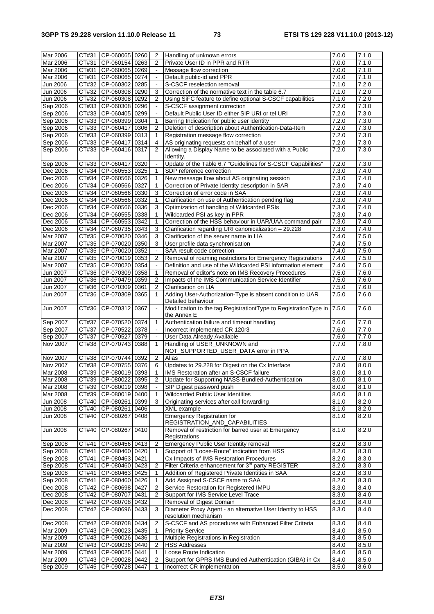| Mar 2006        | CT#31 | CP-060065 0260           |      | 2                        | Handling of unknown errors                                       | 7.0.0 | 7.1.0              |
|-----------------|-------|--------------------------|------|--------------------------|------------------------------------------------------------------|-------|--------------------|
| Mar 2006        | CT#31 | CP-060154 0263           |      | $\overline{2}$           | Private User ID in PPR and RTR                                   | 7.0.0 | 7.1.0              |
| Mar 2006        | CT#31 | CP-060065 0269           |      | $\blacksquare$           | Message flow correction                                          | 7.0.0 | 7.1.0              |
| Mar 2006        | CT#31 | CP-060065 0274           |      | $\blacksquare$           | Default public-id and PPR                                        | 7.0.0 | 7.1.0              |
| Jun 2006        |       | CT#32 CP-060302 0285     |      | $\Box$                   | S-CSCF reselection removal                                       | 7.1.0 | 7.2.0              |
| <b>Jun 2006</b> | CT#32 | CP-060308 0290           |      | 3                        | Correction of the normative text in the table 6.7                | 7.1.0 | 7.2.0              |
| Jun 2006        | CT#32 | CP-060308 0292           |      | 2                        | Using SiFC feature to define optional S-CSCF capabilities        | 7.1.0 | 7.2.0              |
| Sep 2006        |       | CT#33 CP-060308 0296     |      |                          | S-CSCF assignment correction                                     | 7.2.0 | 7.3.0              |
| Sep 2006        | CT#33 | CP-060405 0299           |      | $\bar{\phantom{a}}$      | Default Public User ID either SIP URI or tel URI                 | 7.2.0 | 7.3.0              |
| Sep 2006        | CT#33 | CP-060399 0304           |      | 1                        | Barring Indication for public user identity                      | 7.2.0 | 7.3.0              |
| Sep 2006        |       | CT#33 CP-060417          | 0306 | $\overline{2}$           | Deletion of description about Authentication-Data-Item           | 7.2.0 | 7.3.0              |
| Sep 2006        |       | CT#33 CP-060399 0313     |      | 1                        | Registration message flow correction                             | 7.2.0 | 7.3.0              |
| Sep 2006        |       | CT#33 CP-060417          | 0314 | 4                        | AS originating requests on behalf of a user                      | 7.2.0 | 7.3.0              |
| Sep 2006        | CT#33 | CP-060416                | 0317 | $\overline{2}$           | Allowing a Display Name to be associated with a Public           | 7.2.0 | 7.3.0              |
|                 |       |                          |      |                          | Identity.                                                        |       |                    |
| Sep 2006        |       | CT#33 CP-060417 0320     |      | $\blacksquare$           | Update of the Table 6.7 "Guidelines for S-CSCF Capabilities"     | 7.2.0 | 7.3.0              |
| Dec 2006        | CT#34 | CP-060553 0325           |      | 1                        | SDP reference correction                                         | 7.3.0 | 7.4.0              |
| Dec 2006        |       | CT#34 CP-060566 0326     |      | 1                        | New message flow about AS originating session                    | 7.3.0 | 7.4.0              |
| Dec 2006        |       | CT#34 CP-060566 0327     |      | $\mathbf{1}$             |                                                                  | 7.3.0 | 7.4.0              |
|                 |       |                          |      |                          | Correction of Private Identity description in SAR                |       |                    |
| Dec 2006        |       | CT#34 CP-060566 0330     |      | 3                        | Correction of error code in SAA                                  | 7.3.0 | 7.4.0              |
| Dec 2006        | CT#34 | CP-060566 0332           |      | 1                        | Clarification on use of Authentication pending flag              | 7.3.0 | 7.4.0              |
| Dec 2006        |       | CT#34 CP-060566 0336     |      | 3                        | Optimization of handling of Wildcarded PSIs                      | 7.3.0 | 7.4.0              |
| Dec 2006        |       | CT#34 CP-060555 0338     |      | 1                        | Wildcarded PSI as key in PPR                                     | 7.3.0 | 7.4.0              |
| Dec 2006        | CT#34 | CP-060553 0342           |      | 1                        | Correction of the HSS behaviour in UAR/UAA command pair          | 7.3.0 | $\overline{7}.4.0$ |
| Dec 2006        |       | CT#34 CP-060735 0343     |      | 3                        | Clarification regarding URI canonicalization - 29.228            | 7.3.0 | 7.4.0              |
| Mar 2007        |       | CT#35 CP-070020 0346     |      | 3                        | Clarification of the server name in LIA                          | 7.4.0 | 7.5.0              |
| Mar 2007        | CT#35 | CP-070020 0350           |      | 3                        | User profile data synchronisation                                | 7.4.0 | 7.5.0              |
| Mar 2007        |       | CT#35 CP-070020 0352     |      | $\blacksquare$           | SAA result code correction                                       | 7.4.0 | 7.5.0              |
| Mar 2007        |       | CT#35 CP-070019 0353     |      | $\overline{c}$           | Removal of roaming restrictions for Emergency Registrations      | 7.4.0 | 7.5.0              |
| Mar 2007        | CT#35 | CP-070020 0354           |      |                          | Definition and use of the Wildcarded PSI information element     | 7.4.0 | 7.5.0              |
| Jun 2007        |       | CT#36 CP-070309 0358     |      | 1                        | Removal of editor's note on IMS Recovery Procedures              | 7.5.0 | 7.6.0              |
| <b>Jun 2007</b> |       | CT#36 CP-070479 0359     |      | 2                        | Impacts of the IMS Communication Service Identifier              | 7.5.0 | 7.6.0              |
| Jun 2007        |       | CT#36   CP-070309   0361 |      | $\overline{2}$           | Clarification on LIA                                             | 7.5.0 | 7.6.0              |
| Jun 2007        | CT#36 | CP-070309                | 0365 | $\mathbf{1}$             | Adding User-Authorization-Type is absent condition to UAR        | 7.5.0 | 7.6.0              |
|                 |       |                          |      |                          | Detailed behaviour                                               |       |                    |
| Jun 2007        | CT#36 | CP-070312                | 0367 | $\overline{\phantom{a}}$ | Modification to the tag RegistrationtType to RegistrationType in | 7.5.0 | 7.6.0              |
|                 |       |                          |      |                          | the Annex E                                                      |       |                    |
| Sep 2007        | CT#37 | CP-070520 0374           |      | 1                        | Authentication failure and timeout handling                      | 7.6.0 | 7.7.0              |
| Sep 2007        | CT#37 | CP-070522 0378           |      | $\blacksquare$           | Incorrect implemented CR 120r3                                   | 7.6.0 | 7.7.0              |
| Sep 2007        | CT#37 | CP-070527                | 0379 | $\blacksquare$           | User Data Already Available                                      | 7.6.0 | 7.7.0              |
| Nov 2007        | CT#38 | CP-070743                | 0388 | 1                        | Handling of USER_UNKNOWN and                                     | 7.7.0 | 7.8.0              |
|                 |       |                          |      |                          | NOT_SUPPORTED_USER_DATA error in PPA                             |       |                    |
| Nov 2007        |       | CT#38   CP-070744   0392 |      | $\overline{2}$           | <b>Alias</b>                                                     | 7.7.0 | 7.8.0              |
| <b>Nov 2007</b> |       | CT#38 CP-070755 0376     |      | 6                        | Updates to 29.228 for Digest on the Cx Interface                 | 7.8.0 | 8.0.0              |
| Mar 2008        |       | CT#39 CP-080019 0393     |      | 1                        | IMS Restoration after an S-CSCF failure                          | 8.0.0 | 8.1.0              |
| <b>Mar 2008</b> |       | CT#39 CP-080022 0395     |      | $\overline{2}$           | Update for Supporting NASS-Bundled-Authentication                | 8.0.0 | 8.1.0              |
| Mar 2008        |       | CT#39 CP-080019 0398     |      | $\blacksquare$           | SIP Digest password push                                         | 8.0.0 | 8.1.0              |
| Mar 2008        |       | CT#39   CP-080019   0400 |      | 1                        | <b>Wildcarded Public User Identities</b>                         | 8.0.0 | 8.1.0              |
| Jun 2008        |       | CT#40 CP-080261 0399     |      | 3                        | Originating services after call forwarding                       | 8.1.0 | 8.2.0              |
| <b>Jun 2008</b> |       | CT#40 CP-080261          | 0406 |                          | XML example                                                      | 8.1.0 | 8.2.0              |
| <b>Jun 2008</b> | CT#40 | CP-080267                | 0408 |                          | <b>Emergency Registration for</b>                                | 8.1.0 | 8.2.0              |
|                 |       |                          |      |                          | REGISTRATION_AND_CAPABILITIES                                    |       |                    |
| <b>Jun 2008</b> | CT#40 | CP-080267                | 0410 |                          | Removal of restriction for barred user at Emergency              | 8.1.0 | 8.2.0              |
|                 |       |                          |      |                          | Registrations                                                    |       |                    |
| Sep 2008        | CT#41 | CP-080456 0413           |      | 2                        | Emergency Public User Identity removal                           | 8.2.0 | 8.3.0              |
| Sep 2008        | CT#41 | CP-080460 0420           |      | 1                        | Support of "Loose-Route" indication from HSS                     | 8.2.0 | 8.3.0              |
| Sep 2008        | CT#41 | CP-080463 0421           |      |                          | Cx Impacts of IMS Restoration Procedures                         | 8.2.0 | 8.3.0              |
| Sep 2008        | CT#41 | CP-080460 0423           |      | 2                        | Filter Criteria enhancement for 3 <sup>rd</sup> party REGISTER   | 8.2.0 | 8.3.0              |
| Sep 2008        | CT#41 | CP-080463 0425           |      | 1                        | Addition of Registered Private Identities in SAA                 | 8.2.0 | 8.3.0              |
| Sep 2008        | CT#41 | CP-080460 0426           |      | 1                        | Add Assigned S-CSCF name to SAA                                  | 8.2.0 | 8.3.0              |
| Dec 2008        |       | CT#42 CP-080698 0427     |      | 2                        | Service Restoration for Registered IMPU                          | 8.3.0 | 8.4.0              |
| Dec 2008        |       | CT#42   CP-080707   0431 |      | 2                        | Support for IMS Service Level Trace                              | 8.3.0 | 8.4.0              |
| Dec 2008        |       | CT#42 CP-080708 0432     |      |                          | Removal of Digest Domain                                         | 8.3.0 | $\overline{8.4.0}$ |
| Dec 2008        | CT#42 | CP-080696 0433           |      | 3                        | Diameter Proxy Agent - an alternative User Identity to HSS       | 8.3.0 | 8.4.0              |
|                 |       |                          |      |                          | resolution mechanism                                             |       |                    |
| Dec 2008        |       | CT#42 CP-080708 0434     |      | 2                        | S-CSCF and AS procedures with Enhanced Filter Criteria           | 8.3.0 | 8.4.0              |
| Mar 2009        |       | CT#43   CP-090023   0435 |      | 1                        | <b>Priority Service</b>                                          | 8.4.0 | 8.5.0              |
| Mar 2009        |       | CT#43 CP-090026 0436     |      | 1                        | Multiple Registrations in Registration                           | 8.4.0 | 8.5.0              |
| Mar 2009        |       | CT#43 CP-090036 0440     |      | 2                        | <b>HSS Addresses</b>                                             | 8.4.0 | 8.5.0              |
|                 |       |                          |      |                          |                                                                  |       |                    |
| Mar 2009        |       | CT#43   CP-090025   0441 |      | 1                        | Loose Route Indication                                           | 8.4.0 | 8.5.0              |
| Mar 2009        |       | CT#43 CP-090028 0442     |      | 2                        | Support for GPRS IMS Bundled Authentication (GIBA) in Cx         | 8.4.0 | 8.5.0              |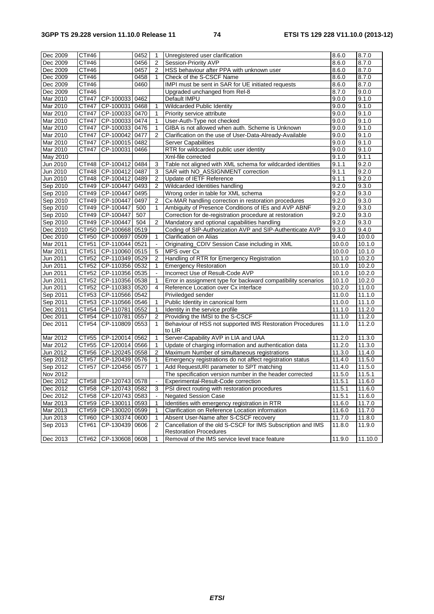| Dec 2009 | CT#46               |                          | 0452 | 1              | Unregistered user clarification                               | 8.6.0               | 8.7.0   |
|----------|---------------------|--------------------------|------|----------------|---------------------------------------------------------------|---------------------|---------|
| Dec 2009 | CT#46               |                          | 0456 | $\overline{2}$ | Session-Priority AVP                                          | 8.6.0               | 8.7.0   |
| Dec 2009 | CT#46               |                          | 0457 | $\overline{2}$ | HSS behaviour after PPA with unknown user                     | 8.6.0               | 8.7.0   |
| Dec 2009 | CT#46               |                          | 0458 | 1              | Check of the S-CSCF Name                                      | 8.6.0               | 8.7.0   |
| Dec 2009 | CT#46               |                          | 0460 |                | IMPI must be sent in SAR for UE initiated requests            | 8.6.0               | 8.7.0   |
| Dec 2009 | CT#46               |                          |      |                | Upgraded unchanged from Rel-8                                 | 8.7.0               | 9.0.0   |
| Mar 2010 | CT#47               | CP-100033 0462           |      |                | Default IMPU                                                  | 9.0.0               | 9.1.0   |
| Mar 2010 | CT#47               | CP-100031 0468           |      | 1              | Wildcarded Public Identity                                    | 9.0.0               | 9.1.0   |
| Mar 2010 | CT#47               | CP-100033 0470           |      | 1              | Priority service attribute                                    | 9.0.0               | 9.1.0   |
| Mar 2010 | CT#47               | CP-100033 0474           |      | 1              | User-Auth-Type not checked                                    | 9.0.0               | 9.1.0   |
| Mar 2010 | CT#47               | CP-100033 0476           |      | 1              | GIBA is not allowed when auth. Scheme is Unknown              | 9.0.0               | 9.1.0   |
|          | CT#47               | CP-100042 0477           |      | $\overline{2}$ |                                                               |                     | 9.1.0   |
| Mar 2010 | CT#47               |                          |      |                | Clarification on the use of User-Data-Already-Available       | 9.0.0               |         |
| Mar 2010 |                     | CP-100015 0482           |      |                | <b>Server Capabilities</b>                                    | 9.0.0               | 9.1.0   |
| Mar 2010 | CT#47               | CP-100031 0466           |      |                | RTR for wildcarded public user identity                       | 9.0.0               | 9.1.0   |
| May 2010 |                     |                          |      |                | Xml-file corrected                                            | 9.1.0               | 9.1.1   |
| Jun 2010 | CT#48               | CP-100412 0484           |      | 3              | Table not aligned with XML schema for wildcarded identities   | 9.1.1               | 9.2.0   |
| Jun 2010 |                     | CT#48   CP-100412   0487 |      | 3              | SAR with NO_ASSIGNMENT correction                             | 9.1.1               | 9.2.0   |
| Jun 2010 |                     | CT#48 CP-100412 0489     |      | 2              | Update of IETF Reference                                      | 9.1.1               | 9.2.0   |
| Sep 2010 | CT#49               | CP-100447                | 0493 | 2              | Wildcarded Identities handling                                | 9.2.0               | 9.3.0   |
| Sep 2010 | $\overline{CT}$ #49 | CP-100447                | 0495 |                | Wrong order in table for XML schema                           | 9.2.0               | 9.3.0   |
| Sep 2010 | CT#49               | CP-100447                | 0497 | $\overline{c}$ | Cx-MAR handling correction in restoration procedures          | 9.2.0               | 9.3.0   |
| Sep 2010 | CT#49               | CP-100447                | 500  | 1              | Ambiguity of Presence Conditions of IEs and AVP ABNF          | 9.2.0               | 9.3.0   |
| Sep 2010 | $\overline{CT#49}$  | CP-100447                | 507  |                | Correction for de-registration procedure at restoration       | 9.2.0               | 9.3.0   |
| Sep 2010 | CT#49               | CP-100447                | 504  | $\overline{2}$ | Mandatory and optional capabilities handling                  | 9.2.0               | 9.3.0   |
| Dec 2010 | CT#50               | CP-100668                | 0519 |                | Coding of SIP-Authorization AVP and SIP-Authenticate AVP      | 9.3.0               | 9.4.0   |
| Dec 2010 | CT#50               | CP-100697                | 0509 | 1              | <b>Clarification on Alias</b>                                 | 9.4.0               | 10.0.0  |
| Mar 2011 | CT#51               | CP-110044 0521           |      |                | Originating_CDIV Session Case including in XML                | 10.0.0              | 10.1.0  |
| Mar 2011 | CT#51               | CP-110060 0515           |      | 5              | MPS over Cx                                                   | 10.0.0              | 10.1.0  |
| Jun 2011 | CT#52               | CP-110349 0529           |      | $\overline{2}$ | Handling of RTR for Emergency Registration                    | 10.1.0              | 10.2.0  |
| Jun 2011 | CT#52               | CP-110356 0532           |      | 1              | <b>Emergency Restoration</b>                                  | 10.1.0              | 10.2.0  |
| Jun 2011 | CT#52               | CP-110356 0535           |      |                | Incorrect Use of Result-Code AVP                              | 10.1.0              | 10.2.0  |
| Jun 2011 | CT#52               | CP-110356 0538           |      | 1              | Error in assignment type for backward compatibility scenarios | 10.1.0              | 10.2.0  |
| Jun 2011 | CT#52               | CP-110383 0520           |      | 4              | Reference Location over Cx interface                          | 10.2.0              | 11.0.0  |
| Sep 2011 |                     | CT#53   CP-110566   0542 |      |                | Priviledged sender                                            | 11.0.0              | 11.1.0  |
| Sep 2011 |                     | CT#53 CP-110566 0546     |      | 1              | Public Identity in canonical form                             | 11.0.0              | 11.1.0  |
| Dec 2011 | CT#54               | CP-110781                | 0552 | 1              | Identity in the service profile                               | 11.1.0              | 11.2.0  |
| Dec 2011 | CT#54               | CP-110781 0557           |      | $\overline{2}$ | Providing the IMSI to the S-CSCF                              | 11.1.0              | 11.2.0  |
| Dec 2011 | CT#54               | CP-110809 0553           |      | $\mathbf{1}$   | Behaviour of HSS not supported IMS Restoration Procedures     | 11.1.0              | 11.2.0  |
|          |                     |                          |      |                | to LIR                                                        |                     |         |
| Mar 2012 | CT#55               | CP-120014 0562           |      | 1              | Server-Capability AVP in LIA and UAA                          | 11.2.0              | 11.3.0  |
| Mar 2012 |                     | CT#55 CP-120014 0566     |      | 1              | Update of charging information and authentication data        | 11.2.0              | 11.3.0  |
| Jun 2012 |                     | CT#56   CP-120245   0558 |      | $\overline{2}$ | Maximum Number of simultaneous registrations                  | $\overline{11.3.0}$ | 11.4.0  |
| Sep 2012 | CT#57               | CP-120439 0576           |      | 1              | Emergency registrations do not affect registration status     | 11.4.0              | 11.5.0  |
| Sep 2012 | CT#57               | CP-120456 0577           |      | 1              | Add RequestURI parameter to SPT matching                      | 11.4.0              | 11.5.0  |
| Nov 2012 |                     |                          |      |                | The specification version number in the header corrected      | 11.5.0              | 11.5.1  |
| Dec 2012 |                     | CT#58   CP-120743   0578 |      | $\blacksquare$ | Experimental-Result-Code correction                           | 11.5.1              | 11.6.0  |
| Dec 2012 |                     | CT#58   CP-120743   0582 |      | 3              | PSI direct routing with restoration procedures                | 11.5.1              | 11.6.0  |
| Dec 2012 |                     | CT#58   CP-120743   0583 |      |                | <b>Negated Session Case</b>                                   | 11.5.1              | 11.6.0  |
| Mar 2013 |                     | CT#59 CP-130011 0593     |      | $\mathbf{1}$   | Identities with emergency registration in RTR                 | 11.6.0              | 11.7.0  |
| Mar 2013 | CT#59               | CP-130020 0599           |      | 1              | Clarification on Reference Location information               | 11.6.0              | 11.7.0  |
| Jun 2013 | CT#60               | CP-130374 0600           |      | 1              | Absent User-Name after S-CSCF recovery                        | 11.7.0              | 11.8.0  |
| Sep 2013 | CT#61               | CP-130439 0606           |      | 2              | Cancellation of the old S-CSCF for IMS Subscription and IMS   | 11.8.0              | 11.9.0  |
|          |                     |                          |      |                | <b>Restoration Procedures</b>                                 |                     |         |
| Dec 2013 |                     | CT#62 CP-130608 0608     |      | 1              | Removal of the IMS service level trace feature                | 11.9.0              | 11.10.0 |